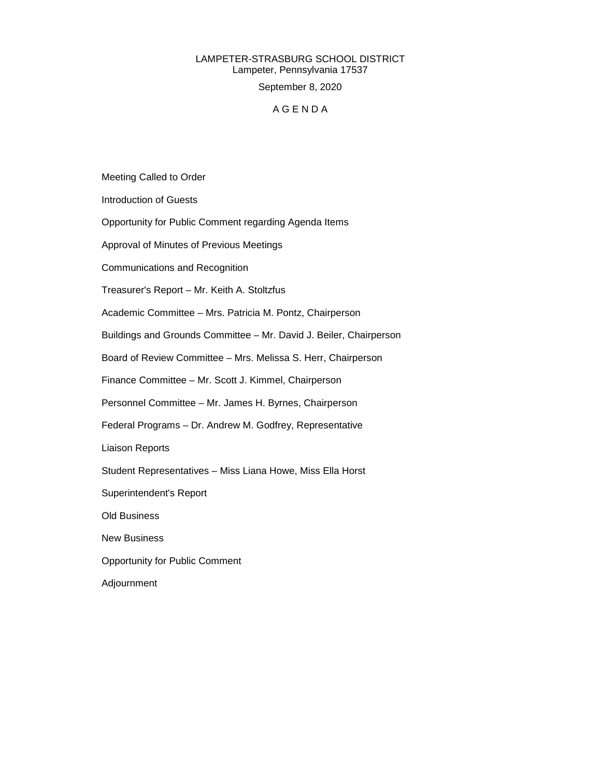## LAMPETER-STRASBURG SCHOOL DISTRICT Lampeter, Pennsylvania 17537 September 8, 2020

### A G E N D A

Meeting Called to Order

Introduction of Guests

Opportunity for Public Comment regarding Agenda Items

Approval of Minutes of Previous Meetings

Communications and Recognition

Treasurer's Report – Mr. Keith A. Stoltzfus

Academic Committee – Mrs. Patricia M. Pontz, Chairperson

Buildings and Grounds Committee – Mr. David J. Beiler, Chairperson

Board of Review Committee – Mrs. Melissa S. Herr, Chairperson

Finance Committee – Mr. Scott J. Kimmel, Chairperson

Personnel Committee – Mr. James H. Byrnes, Chairperson

Federal Programs – Dr. Andrew M. Godfrey, Representative

Liaison Reports

Student Representatives – Miss Liana Howe, Miss Ella Horst

Superintendent's Report

Old Business

New Business

Opportunity for Public Comment

Adjournment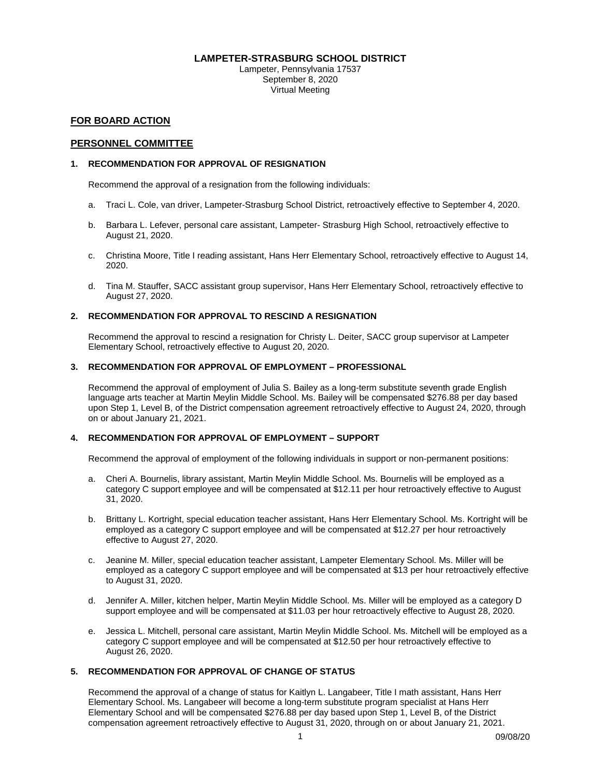### **LAMPETER-STRASBURG SCHOOL DISTRICT**

Lampeter, Pennsylvania 17537 September 8, 2020 Virtual Meeting

### **FOR BOARD ACTION**

### **PERSONNEL COMMITTEE**

### **1. RECOMMENDATION FOR APPROVAL OF RESIGNATION**

Recommend the approval of a resignation from the following individuals:

- a. Traci L. Cole, van driver, Lampeter-Strasburg School District, retroactively effective to September 4, 2020.
- b. Barbara L. Lefever, personal care assistant, Lampeter- Strasburg High School, retroactively effective to August 21, 2020.
- c. Christina Moore, Title I reading assistant, Hans Herr Elementary School, retroactively effective to August 14, 2020.
- d. Tina M. Stauffer, SACC assistant group supervisor, Hans Herr Elementary School, retroactively effective to August 27, 2020.

### **2. RECOMMENDATION FOR APPROVAL TO RESCIND A RESIGNATION**

Recommend the approval to rescind a resignation for Christy L. Deiter, SACC group supervisor at Lampeter Elementary School, retroactively effective to August 20, 2020.

### **3. RECOMMENDATION FOR APPROVAL OF EMPLOYMENT – PROFESSIONAL**

Recommend the approval of employment of Julia S. Bailey as a long-term substitute seventh grade English language arts teacher at Martin Meylin Middle School. Ms. Bailey will be compensated \$276.88 per day based upon Step 1, Level B, of the District compensation agreement retroactively effective to August 24, 2020, through on or about January 21, 2021.

### **4. RECOMMENDATION FOR APPROVAL OF EMPLOYMENT – SUPPORT**

Recommend the approval of employment of the following individuals in support or non-permanent positions:

- a. Cheri A. Bournelis, library assistant, Martin Meylin Middle School. Ms. Bournelis will be employed as a category C support employee and will be compensated at \$12.11 per hour retroactively effective to August 31, 2020.
- b. Brittany L. Kortright, special education teacher assistant, Hans Herr Elementary School. Ms. Kortright will be employed as a category C support employee and will be compensated at \$12.27 per hour retroactively effective to August 27, 2020.
- c. Jeanine M. Miller, special education teacher assistant, Lampeter Elementary School. Ms. Miller will be employed as a category C support employee and will be compensated at \$13 per hour retroactively effective to August 31, 2020.
- d. Jennifer A. Miller, kitchen helper, Martin Meylin Middle School. Ms. Miller will be employed as a category D support employee and will be compensated at \$11.03 per hour retroactively effective to August 28, 2020.
- e. Jessica L. Mitchell, personal care assistant, Martin Meylin Middle School. Ms. Mitchell will be employed as a category C support employee and will be compensated at \$12.50 per hour retroactively effective to August 26, 2020.

### **5. RECOMMENDATION FOR APPROVAL OF CHANGE OF STATUS**

Recommend the approval of a change of status for Kaitlyn L. Langabeer, Title I math assistant, Hans Herr Elementary School. Ms. Langabeer will become a long-term substitute program specialist at Hans Herr Elementary School and will be compensated \$276.88 per day based upon Step 1, Level B, of the District compensation agreement retroactively effective to August 31, 2020, through on or about January 21, 2021.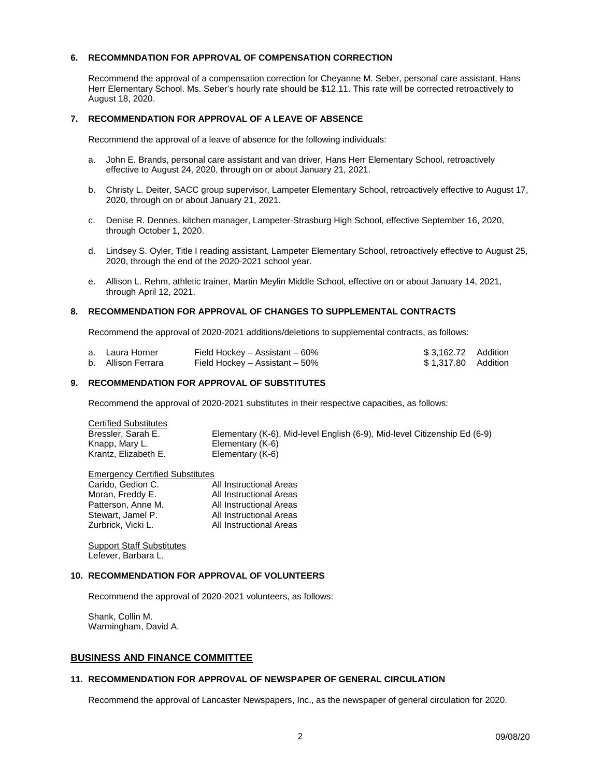### **6. RECOMMNDATION FOR APPROVAL OF COMPENSATION CORRECTION**

Recommend the approval of a compensation correction for Cheyanne M. Seber, personal care assistant, Hans Herr Elementary School. Ms. Seber's hourly rate should be \$12.11. This rate will be corrected retroactively to August 18, 2020.

### **7. RECOMMENDATION FOR APPROVAL OF A LEAVE OF ABSENCE**

Recommend the approval of a leave of absence for the following individuals:

- a. John E. Brands, personal care assistant and van driver, Hans Herr Elementary School, retroactively effective to August 24, 2020, through on or about January 21, 2021.
- b. Christy L. Deiter, SACC group supervisor, Lampeter Elementary School, retroactively effective to August 17, 2020, through on or about January 21, 2021.
- c. Denise R. Dennes, kitchen manager, Lampeter-Strasburg High School, effective September 16, 2020, through October 1, 2020.
- d. Lindsey S. Oyler, Title I reading assistant, Lampeter Elementary School, retroactively effective to August 25, 2020, through the end of the 2020-2021 school year.
- e. Allison L. Rehm, athletic trainer, Martin Meylin Middle School, effective on or about January 14, 2021, through April 12, 2021.

### **8. RECOMMENDATION FOR APPROVAL OF CHANGES TO SUPPLEMENTAL CONTRACTS**

Recommend the approval of 2020-2021 additions/deletions to supplemental contracts, as follows:

| a. Laura Horner    | Field Hockey – Assistant – 60%     | \$3,162.72 Addition |  |
|--------------------|------------------------------------|---------------------|--|
| b. Allison Ferrara | Field Hockey $-$ Assistant $-50\%$ | \$1.317.80 Addition |  |

### **9. RECOMMENDATION FOR APPROVAL OF SUBSTITUTES**

Recommend the approval of 2020-2021 substitutes in their respective capacities, as follows:

| <b>Certified Substitutes</b> |                                                                           |
|------------------------------|---------------------------------------------------------------------------|
| Bressler, Sarah E.           | Elementary (K-6), Mid-level English (6-9), Mid-level Citizenship Ed (6-9) |
| Knapp, Mary L.               | Elementary (K-6)                                                          |
| Krantz. Elizabeth E.         | Elementary (K-6)                                                          |

| <b>Emergency Certified Substitutes</b> |                         |
|----------------------------------------|-------------------------|
| Carido, Gedion C.                      | All Instructional Areas |
| Moran, Freddy E.                       | All Instructional Areas |
| Patterson, Anne M.                     | All Instructional Areas |
| Stewart, Jamel P.                      | All Instructional Areas |
| Zurbrick, Vicki L.                     | All Instructional Areas |
|                                        |                         |

**Support Staff Substitutes** Lefever, Barbara L.

### **10. RECOMMENDATION FOR APPROVAL OF VOLUNTEERS**

Recommend the approval of 2020-2021 volunteers, as follows:

Shank, Collin M. Warmingham, David A.

### **BUSINESS AND FINANCE COMMITTEE**

### **11. RECOMMENDATION FOR APPROVAL OF NEWSPAPER OF GENERAL CIRCULATION**

Recommend the approval of Lancaster Newspapers, Inc., as the newspaper of general circulation for 2020.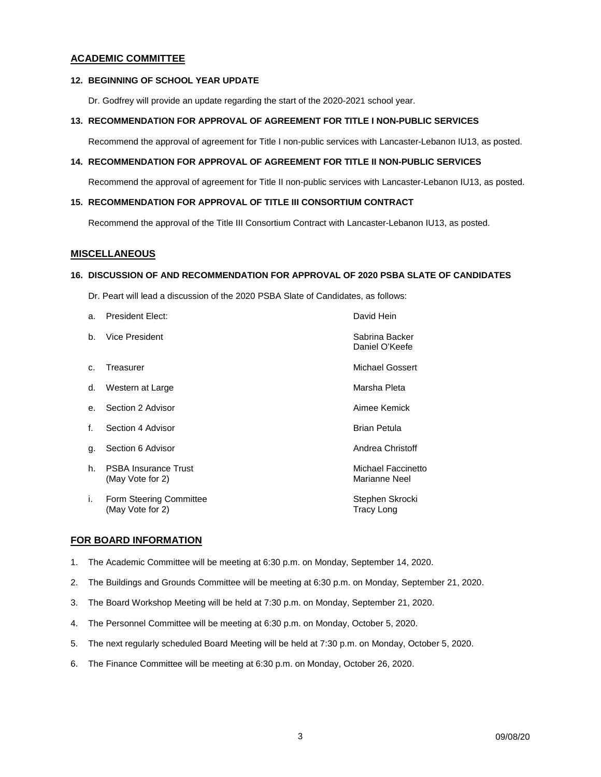### **ACADEMIC COMMITTEE**

### **12. BEGINNING OF SCHOOL YEAR UPDATE**

Dr. Godfrey will provide an update regarding the start of the 2020-2021 school year.

### **13. RECOMMENDATION FOR APPROVAL OF AGREEMENT FOR TITLE I NON-PUBLIC SERVICES**

Recommend the approval of agreement for Title I non-public services with Lancaster-Lebanon IU13, as posted.

### **14. RECOMMENDATION FOR APPROVAL OF AGREEMENT FOR TITLE II NON-PUBLIC SERVICES**

Recommend the approval of agreement for Title II non-public services with Lancaster-Lebanon IU13, as posted.

### **15. RECOMMENDATION FOR APPROVAL OF TITLE III CONSORTIUM CONTRACT**

Recommend the approval of the Title III Consortium Contract with Lancaster-Lebanon IU13, as posted.

### **MISCELLANEOUS**

### **16. DISCUSSION OF AND RECOMMENDATION FOR APPROVAL OF 2020 PSBA SLATE OF CANDIDATES**

Dr. Peart will lead a discussion of the 2020 PSBA Slate of Candidates, as follows:

| а.             | <b>President Elect:</b>                         | David Hein                           |
|----------------|-------------------------------------------------|--------------------------------------|
| b.             | Vice President                                  | Sabrina Backer<br>Daniel O'Keefe     |
| C <sub>1</sub> | Treasurer                                       | Michael Gossert                      |
| d.             | Western at Large                                | Marsha Pleta                         |
|                | e. Section 2 Advisor                            | Aimee Kemick                         |
| f.             | Section 4 Advisor                               | <b>Brian Petula</b>                  |
| g.             | Section 6 Advisor                               | Andrea Christoff                     |
| h.             | <b>PSBA Insurance Trust</b><br>(May Vote for 2) | Michael Faccinetto<br>Marianne Neel  |
| i.             | Form Steering Committee<br>(May Vote for 2)     | Stephen Skrocki<br><b>Tracy Long</b> |

### **FOR BOARD INFORMATION**

- 1. The Academic Committee will be meeting at 6:30 p.m. on Monday, September 14, 2020.
- 2. The Buildings and Grounds Committee will be meeting at 6:30 p.m. on Monday, September 21, 2020.
- 3. The Board Workshop Meeting will be held at 7:30 p.m. on Monday, September 21, 2020.
- 4. The Personnel Committee will be meeting at 6:30 p.m. on Monday, October 5, 2020.
- 5. The next regularly scheduled Board Meeting will be held at 7:30 p.m. on Monday, October 5, 2020.
- 6. The Finance Committee will be meeting at 6:30 p.m. on Monday, October 26, 2020.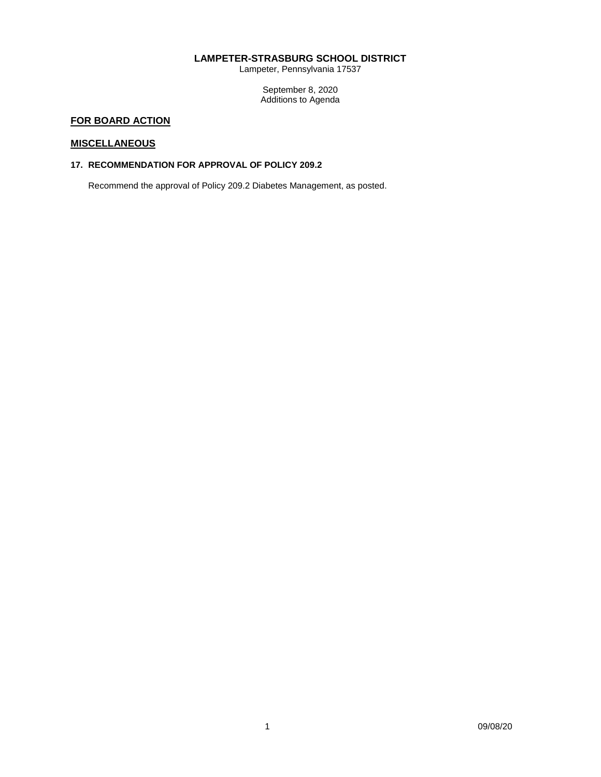### **LAMPETER-STRASBURG SCHOOL DISTRICT**

Lampeter, Pennsylvania 17537

September 8, 2020 Additions to Agenda

# **FOR BOARD ACTION**

### **MISCELLANEOUS**

### **17. RECOMMENDATION FOR APPROVAL OF POLICY 209.2**

Recommend the approval of Policy 209.2 Diabetes Management, as posted.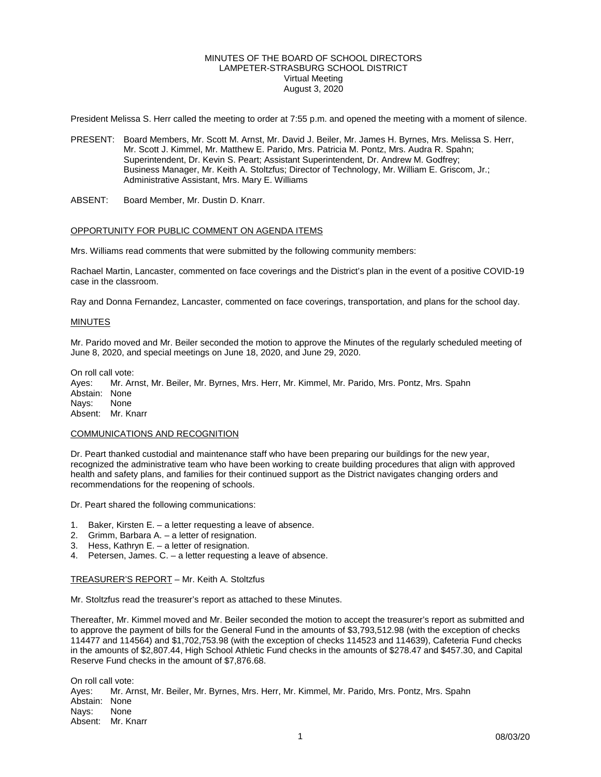### MINUTES OF THE BOARD OF SCHOOL DIRECTORS LAMPETER-STRASBURG SCHOOL DISTRICT Virtual Meeting August 3, 2020

President Melissa S. Herr called the meeting to order at 7:55 p.m. and opened the meeting with a moment of silence.

- PRESENT: Board Members, Mr. Scott M. Arnst, Mr. David J. Beiler, Mr. James H. Byrnes, Mrs. Melissa S. Herr, Mr. Scott J. Kimmel, Mr. Matthew E. Parido, Mrs. Patricia M. Pontz, Mrs. Audra R. Spahn; Superintendent, Dr. Kevin S. Peart; Assistant Superintendent, Dr. Andrew M. Godfrey; Business Manager, Mr. Keith A. Stoltzfus; Director of Technology, Mr. William E. Griscom, Jr.; Administrative Assistant, Mrs. Mary E. Williams
- ABSENT: Board Member, Mr. Dustin D. Knarr.

### OPPORTUNITY FOR PUBLIC COMMENT ON AGENDA ITEMS

Mrs. Williams read comments that were submitted by the following community members:

Rachael Martin, Lancaster, commented on face coverings and the District's plan in the event of a positive COVID-19 case in the classroom.

Ray and Donna Fernandez, Lancaster, commented on face coverings, transportation, and plans for the school day.

#### **MINUTES**

Mr. Parido moved and Mr. Beiler seconded the motion to approve the Minutes of the regularly scheduled meeting of June 8, 2020, and special meetings on June 18, 2020, and June 29, 2020.

On roll call vote:

Ayes: Mr. Arnst, Mr. Beiler, Mr. Byrnes, Mrs. Herr, Mr. Kimmel, Mr. Parido, Mrs. Pontz, Mrs. Spahn Abstain: None<br>Navs: None Nays: Absent: Mr. Knarr

#### COMMUNICATIONS AND RECOGNITION

Dr. Peart thanked custodial and maintenance staff who have been preparing our buildings for the new year, recognized the administrative team who have been working to create building procedures that align with approved health and safety plans, and families for their continued support as the District navigates changing orders and recommendations for the reopening of schools.

Dr. Peart shared the following communications:

- 1. Baker, Kirsten E. a letter requesting a leave of absence.
- 2. Grimm, Barbara A. a letter of resignation.
- 3. Hess, Kathryn E. a letter of resignation.
- 4. Petersen, James. C. a letter requesting a leave of absence.

#### TREASURER'S REPORT – Mr. Keith A. Stoltzfus

Mr. Stoltzfus read the treasurer's report as attached to these Minutes.

Thereafter, Mr. Kimmel moved and Mr. Beiler seconded the motion to accept the treasurer's report as submitted and to approve the payment of bills for the General Fund in the amounts of \$3,793,512.98 (with the exception of checks 114477 and 114564) and \$1,702,753.98 (with the exception of checks 114523 and 114639), Cafeteria Fund checks in the amounts of \$2,807.44, High School Athletic Fund checks in the amounts of \$278.47 and \$457.30, and Capital Reserve Fund checks in the amount of \$7,876.68.

On roll call vote: Ayes: Mr. Arnst, Mr. Beiler, Mr. Byrnes, Mrs. Herr, Mr. Kimmel, Mr. Parido, Mrs. Pontz, Mrs. Spahn Abstain: None<br>Navs: None Nays: Absent: Mr. Knarr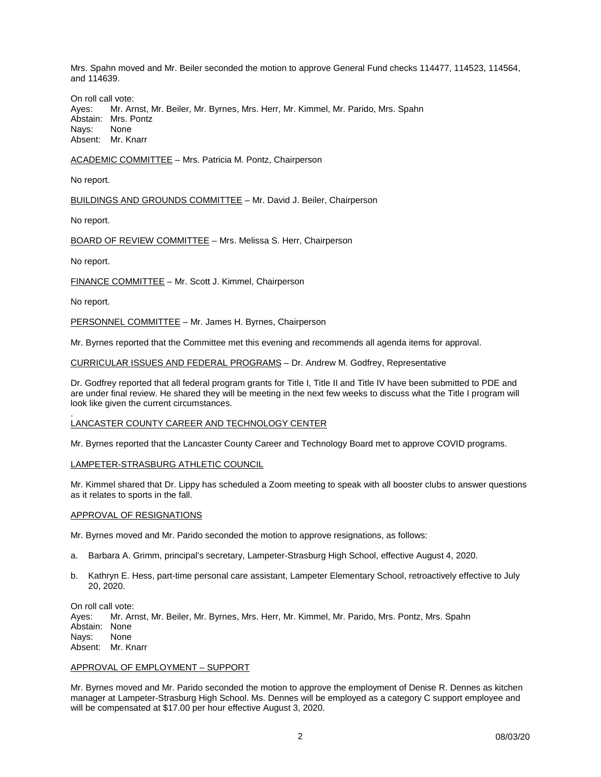Mrs. Spahn moved and Mr. Beiler seconded the motion to approve General Fund checks 114477, 114523, 114564, and 114639.

On roll call vote:<br>Aves: Mr. Ar Ayes: Mr. Arnst, Mr. Beiler, Mr. Byrnes, Mrs. Herr, Mr. Kimmel, Mr. Parido, Mrs. Spahn<br>Abstain: Mrs. Pontz Mrs. Pontz Nays: None Absent: Mr. Knarr

ACADEMIC COMMITTEE – Mrs. Patricia M. Pontz, Chairperson

No report.

BUILDINGS AND GROUNDS COMMITTEE – Mr. David J. Beiler, Chairperson

No report.

BOARD OF REVIEW COMMITTEE – Mrs. Melissa S. Herr, Chairperson

No report.

FINANCE COMMITTEE – Mr. Scott J. Kimmel, Chairperson

No report.

PERSONNEL COMMITTEE - Mr. James H. Byrnes, Chairperson

Mr. Byrnes reported that the Committee met this evening and recommends all agenda items for approval.

CURRICULAR ISSUES AND FEDERAL PROGRAMS – Dr. Andrew M. Godfrey, Representative

Dr. Godfrey reported that all federal program grants for Title I, Title II and Title IV have been submitted to PDE and are under final review. He shared they will be meeting in the next few weeks to discuss what the Title I program will look like given the current circumstances.

#### . LANCASTER COUNTY CAREER AND TECHNOLOGY CENTER

Mr. Byrnes reported that the Lancaster County Career and Technology Board met to approve COVID programs.

### LAMPETER-STRASBURG ATHLETIC COUNCIL

Mr. Kimmel shared that Dr. Lippy has scheduled a Zoom meeting to speak with all booster clubs to answer questions as it relates to sports in the fall.

#### APPROVAL OF RESIGNATIONS

Mr. Byrnes moved and Mr. Parido seconded the motion to approve resignations, as follows:

- a. Barbara A. Grimm, principal's secretary, Lampeter-Strasburg High School, effective August 4, 2020.
- b. Kathryn E. Hess, part-time personal care assistant, Lampeter Elementary School, retroactively effective to July 20, 2020.

On roll call vote:<br>Ayes: Mr. Ar Mr. Arnst, Mr. Beiler, Mr. Byrnes, Mrs. Herr, Mr. Kimmel, Mr. Parido, Mrs. Pontz, Mrs. Spahn Abstain: None Nays: None Absent: Mr. Knarr

#### APPROVAL OF EMPLOYMENT – SUPPORT

Mr. Byrnes moved and Mr. Parido seconded the motion to approve the employment of Denise R. Dennes as kitchen manager at Lampeter-Strasburg High School. Ms. Dennes will be employed as a category C support employee and will be compensated at \$17.00 per hour effective August 3, 2020.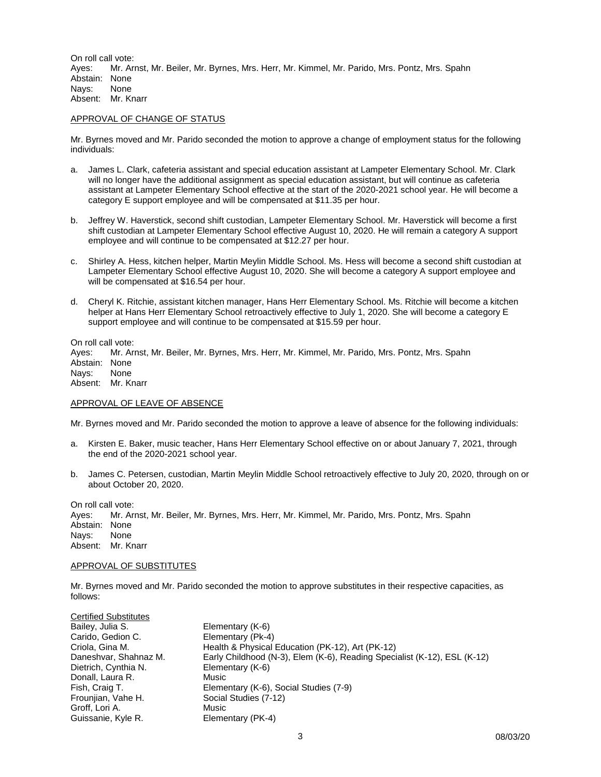On roll call vote:<br>Aves: Mr. Ar Mr. Arnst, Mr. Beiler, Mr. Byrnes, Mrs. Herr, Mr. Kimmel, Mr. Parido, Mrs. Pontz, Mrs. Spahn Abstain: None Nays: None Absent: Mr. Knarr

### APPROVAL OF CHANGE OF STATUS

Mr. Byrnes moved and Mr. Parido seconded the motion to approve a change of employment status for the following individuals:

- a. James L. Clark, cafeteria assistant and special education assistant at Lampeter Elementary School. Mr. Clark will no longer have the additional assignment as special education assistant, but will continue as cafeteria assistant at Lampeter Elementary School effective at the start of the 2020-2021 school year. He will become a category E support employee and will be compensated at \$11.35 per hour.
- b. Jeffrey W. Haverstick, second shift custodian, Lampeter Elementary School. Mr. Haverstick will become a first shift custodian at Lampeter Elementary School effective August 10, 2020. He will remain a category A support employee and will continue to be compensated at \$12.27 per hour.
- c. Shirley A. Hess, kitchen helper, Martin Meylin Middle School. Ms. Hess will become a second shift custodian at Lampeter Elementary School effective August 10, 2020. She will become a category A support employee and will be compensated at \$16.54 per hour.
- d. Cheryl K. Ritchie, assistant kitchen manager, Hans Herr Elementary School. Ms. Ritchie will become a kitchen helper at Hans Herr Elementary School retroactively effective to July 1, 2020. She will become a category E support employee and will continue to be compensated at \$15.59 per hour.

On roll call vote:

Ayes: Mr. Arnst, Mr. Beiler, Mr. Byrnes, Mrs. Herr, Mr. Kimmel, Mr. Parido, Mrs. Pontz, Mrs. Spahn Abstain: None<br>Navs: None

Nays:

Absent: Mr. Knarr

#### APPROVAL OF LEAVE OF ABSENCE

Mr. Byrnes moved and Mr. Parido seconded the motion to approve a leave of absence for the following individuals:

- a. Kirsten E. Baker, music teacher, Hans Herr Elementary School effective on or about January 7, 2021, through the end of the 2020-2021 school year.
- b. James C. Petersen, custodian, Martin Meylin Middle School retroactively effective to July 20, 2020, through on or about October 20, 2020.

On roll call vote: Ayes: Mr. Arnst, Mr. Beiler, Mr. Byrnes, Mrs. Herr, Mr. Kimmel, Mr. Parido, Mrs. Pontz, Mrs. Spahn Abstain: None Nays: None Absent: Mr. Knarr

### APPROVAL OF SUBSTITUTES

Mr. Byrnes moved and Mr. Parido seconded the motion to approve substitutes in their respective capacities, as follows:

| <b>Certified Substitutes</b> |                                                                          |
|------------------------------|--------------------------------------------------------------------------|
| Bailey, Julia S.             | Elementary (K-6)                                                         |
| Carido, Gedion C.            | Elementary (Pk-4)                                                        |
| Criola, Gina M.              | Health & Physical Education (PK-12), Art (PK-12)                         |
| Daneshvar, Shahnaz M.        | Early Childhood (N-3), Elem (K-6), Reading Specialist (K-12), ESL (K-12) |
| Dietrich, Cynthia N.         | Elementary (K-6)                                                         |
| Donall, Laura R.             | Music                                                                    |
| Fish, Craig T.               | Elementary (K-6), Social Studies (7-9)                                   |
| Frounjian, Vahe H.           | Social Studies (7-12)                                                    |
| Groff, Lori A.               | Music                                                                    |
| Guissanie, Kyle R.           | Elementary (PK-4)                                                        |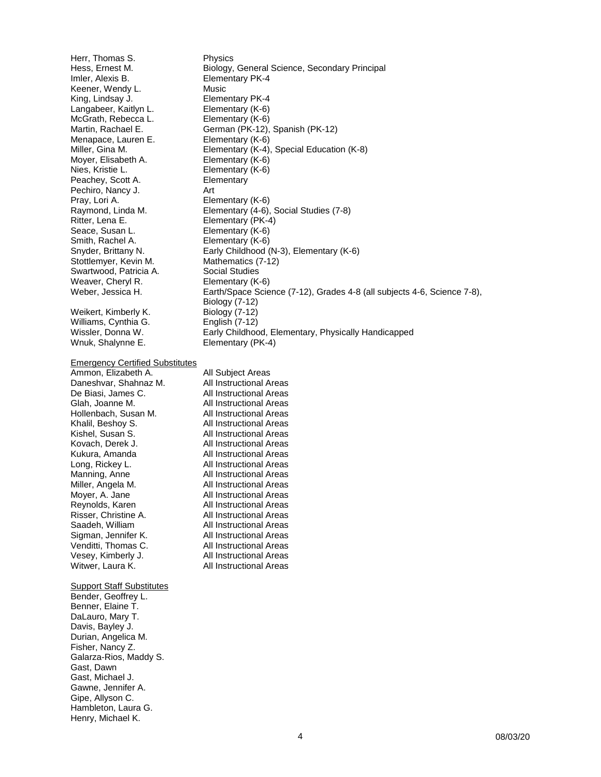Herr, Thomas S. Physics<br>
Hess, Ernest M. Biology, Imler, Alexis B. Elementary PK-4 Keener, Wendy L. Music Langabeer, Kaitlyn L. Elementary (K-6)<br>McGrath, Rebecca L. Elementary (K-6) McGrath, Rebecca L. Menapace, Lauren E. Elementary (K-6) Moyer, Elisabeth A.<br>Nies, Kristie L. **Elementary (K-6)** Peachey, Scott A. **Elementary** Pechiro, Nancy J. Art<br>Pray, Lori A. Ele Pray, Lori A. **Elementary (K-6)**<br>Raymond, Linda M. **Elementary (4-6)**, Seace, Susan L. Elementary (K-6) Smith, Rachel A. **Elementary (K-6)**<br>Snyder, Brittany N. **Early Childhood** ( Stottlemyer, Kevin M. Mathematics (7-12) Swartwood, Patricia A. Social Studies Weaver, Cheryl R. **Elementary (K-6)** Weikert, Kimberly K. Biology (7-12)<br>Williams, Cynthia G. Biology (7-12) Williams, Cynthia G. Wnuk, Shalynne E. Elementary (PK-4)

Emergency Certified Substitutes

| All S  |
|--------|
| All Ir |
| All Ir |
| All Ir |
| All Ir |
| All Ir |
| All Ir |
| All Ir |
| All Ir |
| All Ir |
| All Ir |
| All Ir |
| All Ir |
| All Ir |
| All Ir |
| All Ir |
| All Ir |
| All Ir |
| All Ir |
| All Ir |
|        |

**Support Staff Substitutes** Bender, Geoffrey L. Benner, Elaine T. DaLauro, Mary T. Davis, Bayley J. Durian, Angelica M. Fisher, Nancy Z. Galarza-Rios, Maddy S. Gast, Dawn Gast, Michael J. Gawne, Jennifer A. Gipe, Allyson C. Hambleton, Laura G. Henry, Michael K.

Biology, General Science, Secondary Principal Elementary PK-4<br>Elementary (K-6) Martin, Rachael E. German (PK-12), Spanish (PK-12) Miller, Gina M. Elementary (K-4), Special Education (K-8) Elementary (K-6) Raymond, Linda M. Elementary (4-6), Social Studies (7-8)<br>Ritter, Lena E. Elementary (PK-4) Elementary (PK-4) Early Childhood (N-3), Elementary (K-6) Weber, Jessica H. Earth/Space Science (7-12), Grades 4-8 (all subjects 4-6, Science 7-8), Biology (7-12) Wissler, Donna W. Early Childhood, Elementary, Physically Handicapped

> **Admin** nstructional Areas nstructional Areas nstructional Areas nstructional Areas nstructional Areas nstructional Areas nstructional Areas nstructional Areas nstructional Areas nstructional Areas nstructional Areas nstructional Areas nstructional Areas nstructional Areas nstructional Areas nstructional Areas nstructional Areas nstructional Areas nstructional Areas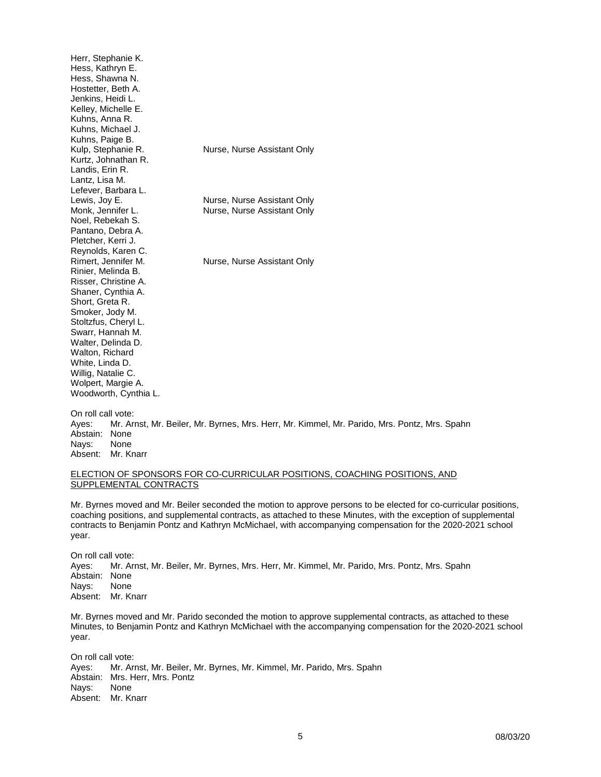Herr, Stephanie K. Hess, Kathryn E. Hess, Shawna N. Hostetter, Beth A. Jenkins, Heidi L. Kelley, Michelle E. Kuhns, Anna R. Kuhns, Michael J. Kuhns, Paige B.<br>Kulp, Stephanie R. Nurse, Nurse Assistant Only Kurtz, Johnathan R. Landis, Erin R. Lantz, Lisa M. Lefever, Barbara L.<br>Lewis, Joy E. Lewis, Joy E. **Nurse, Nurse Assistant Only**<br>Monk. Jennifer L. **Nurse. Nurse Assistant Only** Nurse, Nurse Assistant Only Noel, Rebekah S. Pantano, Debra A. Pletcher, Kerri J. Reynolds, Karen C. Rimert, Jennifer M. Nurse, Nurse Assistant Only Rinier, Melinda B. Risser, Christine A. Shaner, Cynthia A. Short, Greta R. Smoker, Jody M. Stoltzfus, Cheryl L. Swarr, Hannah M. Walter, Delinda D. Walton, Richard White, Linda D. Willig, Natalie C. Wolpert, Margie A. Woodworth, Cynthia L.

On roll call vote: Ayes: Mr. Arnst, Mr. Beiler, Mr. Byrnes, Mrs. Herr, Mr. Kimmel, Mr. Parido, Mrs. Pontz, Mrs. Spahn Abstain: None Nays: None Absent: Mr. Knarr

### ELECTION OF SPONSORS FOR CO-CURRICULAR POSITIONS, COACHING POSITIONS, AND SUPPLEMENTAL CONTRACTS

Mr. Byrnes moved and Mr. Beiler seconded the motion to approve persons to be elected for co-curricular positions, coaching positions, and supplemental contracts, as attached to these Minutes, with the exception of supplemental contracts to Benjamin Pontz and Kathryn McMichael, with accompanying compensation for the 2020-2021 school year.

On roll call vote:<br>Aves: Mr. Arr Mr. Arnst, Mr. Beiler, Mr. Byrnes, Mrs. Herr, Mr. Kimmel, Mr. Parido, Mrs. Pontz, Mrs. Spahn Abstain: None Nays: None Absent: Mr. Knarr

Mr. Byrnes moved and Mr. Parido seconded the motion to approve supplemental contracts, as attached to these Minutes, to Benjamin Pontz and Kathryn McMichael with the accompanying compensation for the 2020-2021 school year.

On roll call vote: Ayes: Mr. Arnst, Mr. Beiler, Mr. Byrnes, Mr. Kimmel, Mr. Parido, Mrs. Spahn Abstain: Mrs. Herr, Mrs. Pontz<br>Navs: None Navs: Absent: Mr. Knarr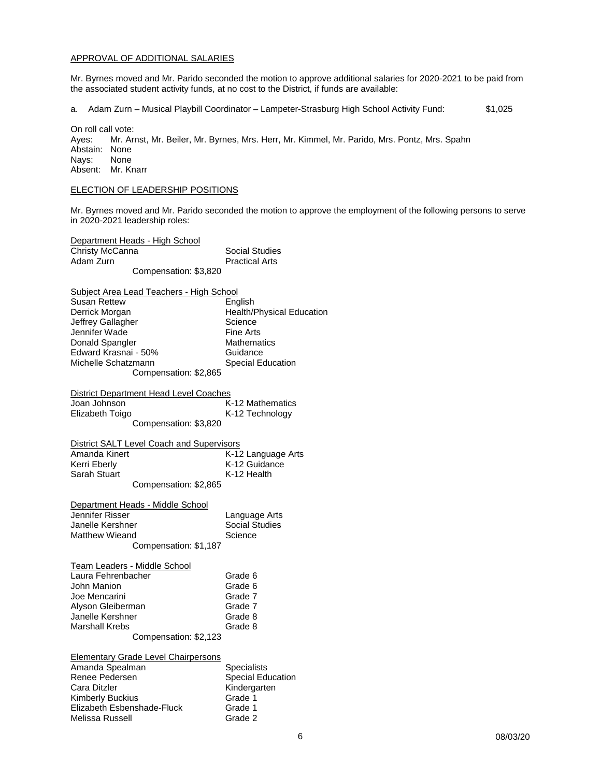#### APPROVAL OF ADDITIONAL SALARIES

Mr. Byrnes moved and Mr. Parido seconded the motion to approve additional salaries for 2020-2021 to be paid from the associated student activity funds, at no cost to the District, if funds are available:

a. Adam Zurn – Musical Playbill Coordinator – Lampeter-Strasburg High School Activity Fund: \$1,025

On roll call vote: Ayes: Mr. Arnst, Mr. Beiler, Mr. Byrnes, Mrs. Herr, Mr. Kimmel, Mr. Parido, Mrs. Pontz, Mrs. Spahn Abstain: None<br>Navs: None Nays: Absent: Mr. Knarr

### ELECTION OF LEADERSHIP POSITIONS

Mr. Byrnes moved and Mr. Parido seconded the motion to approve the employment of the following persons to serve in 2020-2021 leadership roles:

Department Heads - High School Christy McCanna Social Studies<br>
Adam Zurn<br>
Christy Studies Adam Zurn **Practical Arts** Compensation: \$3,820

Subject Area Lead Teachers - High School

| Susan Rettew          | English                   |
|-----------------------|---------------------------|
| Derrick Morgan        | Health/Physical Education |
| Jeffrey Gallagher     | Science                   |
| Jennifer Wade         | <b>Fine Arts</b>          |
| Donald Spangler       | <b>Mathematics</b>        |
| Edward Krasnai - 50%  | Guidance                  |
| Michelle Schatzmann   | <b>Special Education</b>  |
| Compensation: \$2,865 |                           |
|                       |                           |

| District Department Head Level Coaches    |                  |  |
|-------------------------------------------|------------------|--|
| Joan Johnson                              | K-12 Mathematics |  |
| Elizabeth Toigo                           | K-12 Technology  |  |
| $\sim$ $\sim$ $\sim$ $\sim$ $\sim$ $\sim$ |                  |  |

Compensation: \$3,820

| District SALT Level Coach and Supervisors |                    |
|-------------------------------------------|--------------------|
| Amanda Kinert                             | K-12 Language Arts |
| Kerri Eberly                              | K-12 Guidance      |
| Sarah Stuart                              | K-12 Health        |
| Compensation: \$2,865                     |                    |

Department Heads - Middle School<br>Jennifer Risser Language Arts<br>Social Studies Janelle Kershner Social Studies Social Studies<br>
Matthew Wieand Science Matthew Wieand Compensation: \$1,187 Team Leaders - Middle School <u>III Educato Imperio Cando.</u><br>Ita Febrenbacher Grade 6

| Laura Fenrenbacher    | Grade b |
|-----------------------|---------|
| John Manion           | Grade 6 |
| Joe Mencarini         | Grade 7 |
| Alyson Gleiberman     | Grade 7 |
| Janelle Kershner      | Grade 8 |
| <b>Marshall Krebs</b> | Grade 8 |
| Compensation: \$2,123 |         |

Elementary Grade Level Chairpersons Amanda Spealman Specialists<br>
Renee Pedersen Special Edu Renee Pedersen Special Education<br>
Cara Ditzler Special Education<br>
Special Education Kindergarten<br>Grade 1 Kimberly Buckius Grade 1<br>Elizabeth Esbenshade-Fluck Grade 1 Elizabeth Esbenshade-Fluck Grade 1<br>Melissa Russell Grade 2 Melissa Russell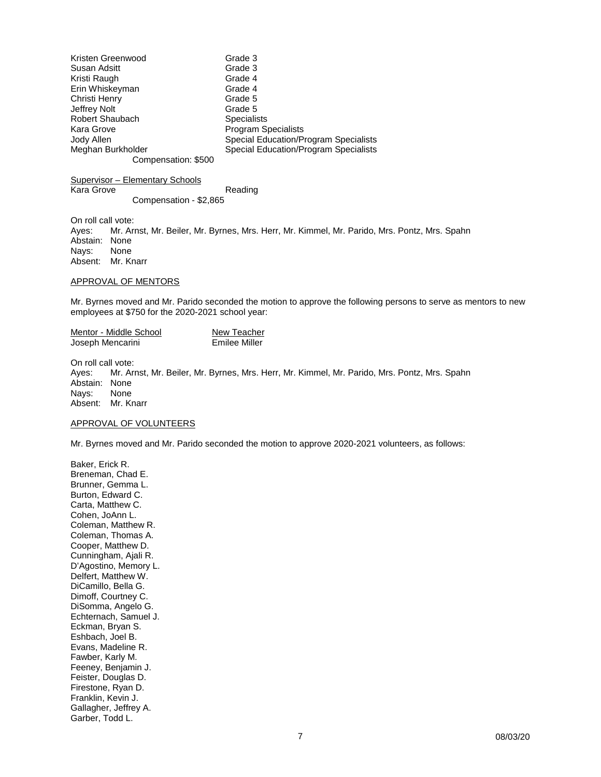| Kristen Greenwood   | Grade 3                                      |
|---------------------|----------------------------------------------|
| Susan Adsitt        | Grade 3                                      |
| Kristi Raugh        | Grade 4                                      |
| Erin Whiskeyman     | Grade 4                                      |
| Christi Henry       | Grade 5                                      |
| Jeffrey Nolt        | Grade 5                                      |
| Robert Shaubach     | <b>Specialists</b>                           |
| Kara Grove          | <b>Program Specialists</b>                   |
| Jody Allen          | <b>Special Education/Program Specialists</b> |
| Meghan Burkholder   | <b>Special Education/Program Specialists</b> |
| Compensation: \$500 |                                              |

Supervisor – Elementary Schools Kara Grove **Reading** Compensation - \$2,865

On roll call vote:<br>Aves: Mr. Ar Mr. Arnst, Mr. Beiler, Mr. Byrnes, Mrs. Herr, Mr. Kimmel, Mr. Parido, Mrs. Pontz, Mrs. Spahn Abstain: None Nays: None Absent: Mr. Knarr

#### APPROVAL OF MENTORS

Mr. Byrnes moved and Mr. Parido seconded the motion to approve the following persons to serve as mentors to new employees at \$750 for the 2020-2021 school year:

| Mentor - Middle School | New Teacher   |
|------------------------|---------------|
| Joseph Mencarini       | Emilee Miller |

On roll call vote: Ayes: Mr. Arnst, Mr. Beiler, Mr. Byrnes, Mrs. Herr, Mr. Kimmel, Mr. Parido, Mrs. Pontz, Mrs. Spahn Abstain: None Nays: None Absent: Mr. Knarr

#### APPROVAL OF VOLUNTEERS

Mr. Byrnes moved and Mr. Parido seconded the motion to approve 2020-2021 volunteers, as follows:

Baker, Erick R. Breneman, Chad E. Brunner, Gemma L. Burton, Edward C. Carta, Matthew C. Cohen, JoAnn L. Coleman, Matthew R. Coleman, Thomas A. Cooper, Matthew D. Cunningham, Ajali R. D'Agostino, Memory L. Delfert, Matthew W. DiCamillo, Bella G. Dimoff, Courtney C. DiSomma, Angelo G. Echternach, Samuel J. Eckman, Bryan S. Eshbach, Joel B. Evans, Madeline R. Fawber, Karly M. Feeney, Benjamin J. Feister, Douglas D. Firestone, Ryan D. Franklin, Kevin J. Gallagher, Jeffrey A. Garber, Todd L.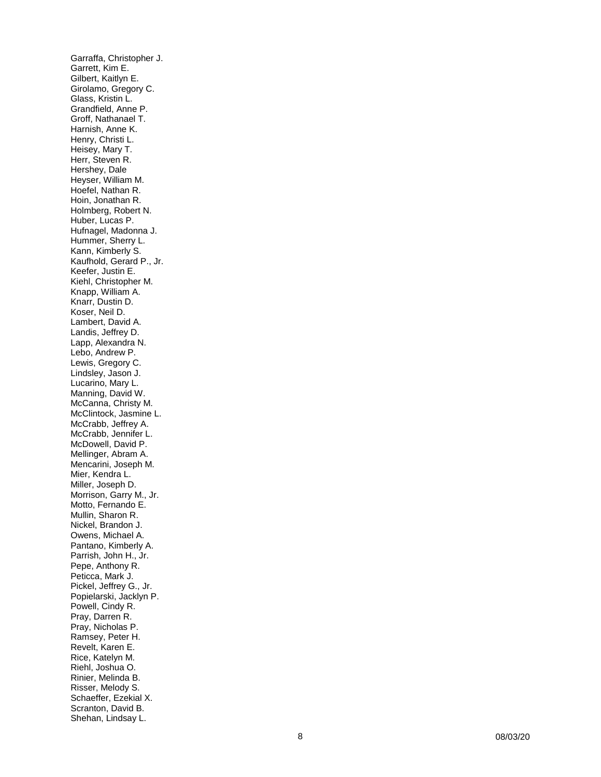Garraffa, Christopher J. Garrett, Kim E. Gilbert, Kaitlyn E. Girolamo, Gregory C. Glass, Kristin L. Grandfield, Anne P. Groff, Nathanael T. Harnish, Anne K. Henry, Christi L. Heisey, Mary T. Herr, Steven R. Hershey, Dale Heyser, William M. Hoefel, Nathan R. Hoin, Jonathan R. Holmberg, Robert N. Huber, Lucas P. Hufnagel, Madonna J. Hummer, Sherry L. Kann, Kimberly S. Kaufhold, Gerard P., Jr. Keefer, Justin E. Kiehl, Christopher M. Knapp, William A. Knarr, Dustin D. Koser, Neil D. Lambert, David A. Landis, Jeffrey D. Lapp, Alexandra N. Lebo, Andrew P. Lewis, Gregory C. Lindsley, Jason J. Lucarino, Mary L. Manning, David W. McCanna, Christy M. McClintock, Jasmine L. McCrabb, Jeffrey A. McCrabb, Jennifer L. McDowell, David P. Mellinger, Abram A. Mencarini, Joseph M. Mier, Kendra L. Miller, Joseph D. Morrison, Garry M., Jr. Motto, Fernando E. Mullin, Sharon R. Nickel, Brandon J. Owens, Michael A. Pantano, Kimberly A. Parrish, John H., Jr. Pepe, Anthony R. Peticca, Mark J. Pickel, Jeffrey G., Jr. Popielarski, Jacklyn P. Powell, Cindy R. Pray, Darren R. Pray, Nicholas P. Ramsey, Peter H. Revelt, Karen E. Rice, Katelyn M. Riehl, Joshua O. Rinier, Melinda B. Risser, Melody S. Schaeffer, Ezekial X. Scranton, David B. Shehan, Lindsay L.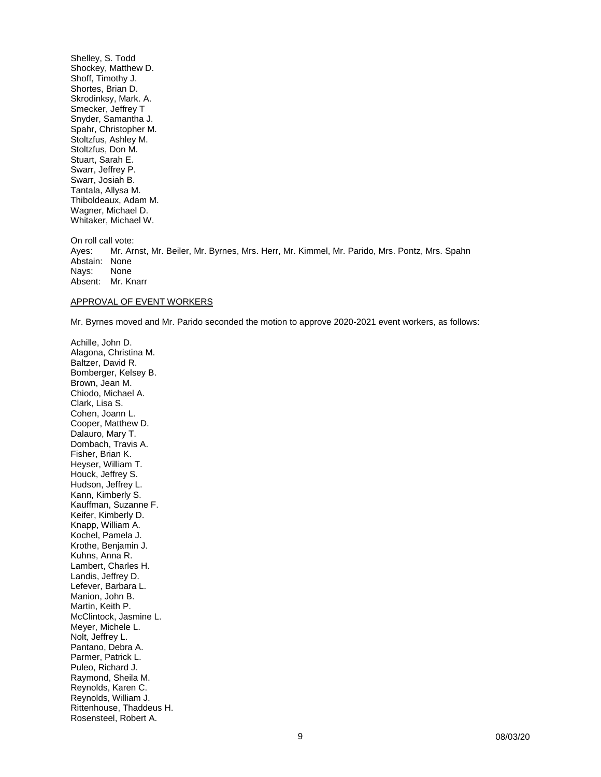Shelley, S. Todd Shockey, Matthew D. Shoff, Timothy J. Shortes, Brian D. Skrodinksy, Mark. A. Smecker, Jeffrey T Snyder, Samantha J. Spahr, Christopher M. Stoltzfus, Ashley M. Stoltzfus, Don M. Stuart, Sarah E. Swarr, Jeffrey P. Swarr, Josiah B. Tantala, Allysa M. Thiboldeaux, Adam M. Wagner, Michael D. Whitaker, Michael W.

On roll call vote: Ayes: Mr. Arnst, Mr. Beiler, Mr. Byrnes, Mrs. Herr, Mr. Kimmel, Mr. Parido, Mrs. Pontz, Mrs. Spahn Abstain: None<br>Nays: None Nays: Absent: Mr. Knarr

### APPROVAL OF EVENT WORKERS

Mr. Byrnes moved and Mr. Parido seconded the motion to approve 2020-2021 event workers, as follows:

Achille, John D. Alagona, Christina M. Baltzer, David R. Bomberger, Kelsey B. Brown, Jean M. Chiodo, Michael A. Clark, Lisa S. Cohen, Joann L. Cooper, Matthew D. Dalauro, Mary T. Dombach, Travis A. Fisher, Brian K. Heyser, William T. Houck, Jeffrey S. Hudson, Jeffrey L. Kann, Kimberly S. Kauffman, Suzanne F. Keifer, Kimberly D. Knapp, William A. Kochel, Pamela J. Krothe, Benjamin J. Kuhns, Anna R. Lambert, Charles H. Landis, Jeffrey D. Lefever, Barbara L. Manion, John B. Martin, Keith P. McClintock, Jasmine L. Meyer, Michele L. Nolt, Jeffrey L. Pantano, Debra A. Parmer, Patrick L. Puleo, Richard J. Raymond, Sheila M. Reynolds, Karen C. Reynolds, William J. Rittenhouse, Thaddeus H. Rosensteel, Robert A.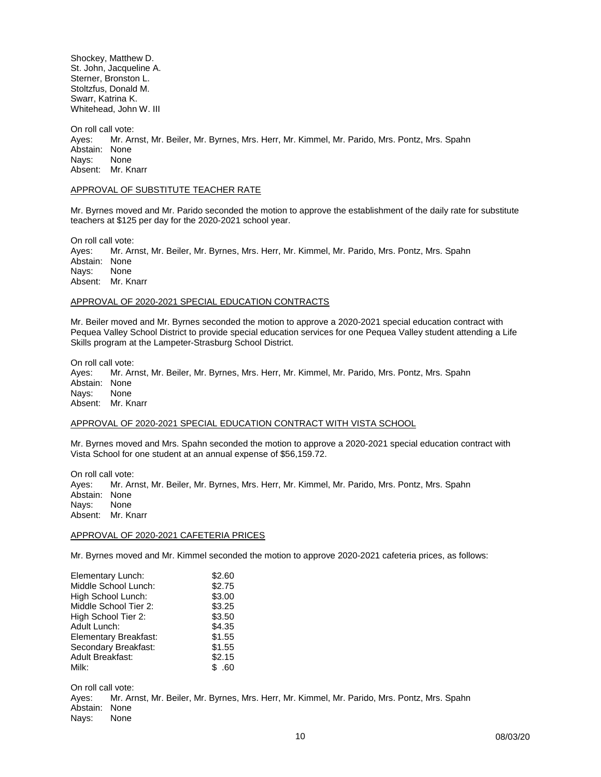Shockey, Matthew D. St. John, Jacqueline A. Sterner, Bronston L. Stoltzfus, Donald M. Swarr, Katrina K. Whitehead, John W. III

On roll call vote: Ayes: Mr. Arnst, Mr. Beiler, Mr. Byrnes, Mrs. Herr, Mr. Kimmel, Mr. Parido, Mrs. Pontz, Mrs. Spahn Abstain: None<br>Navs: None Nays: Absent: Mr. Knarr

### APPROVAL OF SUBSTITUTE TEACHER RATE

Mr. Byrnes moved and Mr. Parido seconded the motion to approve the establishment of the daily rate for substitute teachers at \$125 per day for the 2020-2021 school year.

On roll call vote:

Ayes: Mr. Arnst, Mr. Beiler, Mr. Byrnes, Mrs. Herr, Mr. Kimmel, Mr. Parido, Mrs. Pontz, Mrs. Spahn Abstain: None<br>Nays: None Nays: Absent: Mr. Knarr

### APPROVAL OF 2020-2021 SPECIAL EDUCATION CONTRACTS

Mr. Beiler moved and Mr. Byrnes seconded the motion to approve a 2020-2021 special education contract with Pequea Valley School District to provide special education services for one Pequea Valley student attending a Life Skills program at the Lampeter-Strasburg School District.

On roll call vote:

Ayes: Mr. Arnst, Mr. Beiler, Mr. Byrnes, Mrs. Herr, Mr. Kimmel, Mr. Parido, Mrs. Pontz, Mrs. Spahn Abstain: None Nays: None Absent: Mr. Knarr

### APPROVAL OF 2020-2021 SPECIAL EDUCATION CONTRACT WITH VISTA SCHOOL

Mr. Byrnes moved and Mrs. Spahn seconded the motion to approve a 2020-2021 special education contract with Vista School for one student at an annual expense of \$56,159.72.

On roll call vote: Ayes: Mr. Arnst, Mr. Beiler, Mr. Byrnes, Mrs. Herr, Mr. Kimmel, Mr. Parido, Mrs. Pontz, Mrs. Spahn Abstain: None Nays: None Absent: Mr. Knarr

#### APPROVAL OF 2020-2021 CAFETERIA PRICES

Mr. Byrnes moved and Mr. Kimmel seconded the motion to approve 2020-2021 cafeteria prices, as follows:

| Elementary Lunch:       | \$2.60 |
|-------------------------|--------|
| Middle School Lunch:    | \$2.75 |
| High School Lunch:      | \$3.00 |
| Middle School Tier 2:   | \$3.25 |
| High School Tier 2:     | \$3.50 |
| Adult Lunch:            | \$4.35 |
| Elementary Breakfast:   | \$1.55 |
| Secondary Breakfast:    | \$1.55 |
| <b>Adult Breakfast:</b> | \$2.15 |
| Milk:                   | \$ .60 |

On roll call vote: Ayes: Mr. Arnst, Mr. Beiler, Mr. Byrnes, Mrs. Herr, Mr. Kimmel, Mr. Parido, Mrs. Pontz, Mrs. Spahn Abstain: None<br>Navs: None Nays: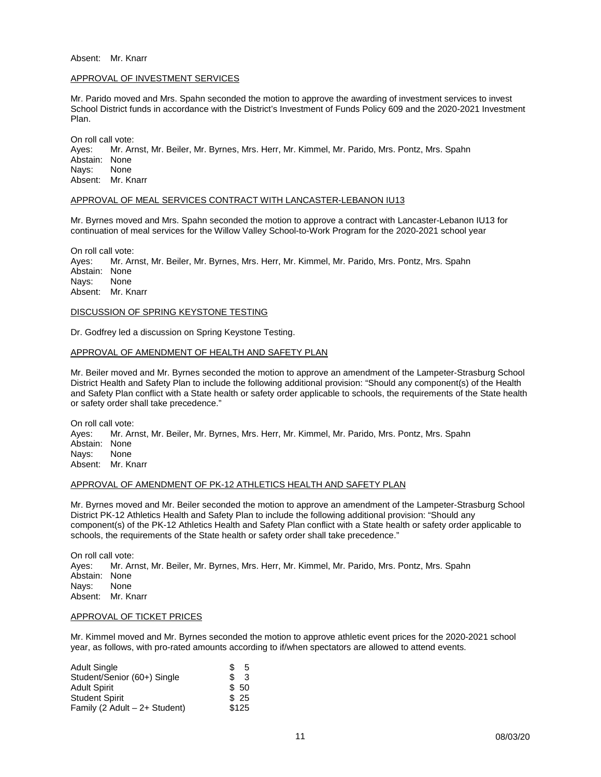#### Absent: Mr. Knarr

#### APPROVAL OF INVESTMENT SERVICES

Mr. Parido moved and Mrs. Spahn seconded the motion to approve the awarding of investment services to invest School District funds in accordance with the District's Investment of Funds Policy 609 and the 2020-2021 Investment Plan.

On roll call vote: Ayes: Mr. Arnst, Mr. Beiler, Mr. Byrnes, Mrs. Herr, Mr. Kimmel, Mr. Parido, Mrs. Pontz, Mrs. Spahn Abstain: None<br>Navs: None Navs: Absent: Mr. Knarr

#### APPROVAL OF MEAL SERVICES CONTRACT WITH LANCASTER-LEBANON IU13

Mr. Byrnes moved and Mrs. Spahn seconded the motion to approve a contract with Lancaster-Lebanon IU13 for continuation of meal services for the Willow Valley School-to-Work Program for the 2020-2021 school year

On roll call vote: Ayes: Mr. Arnst, Mr. Beiler, Mr. Byrnes, Mrs. Herr, Mr. Kimmel, Mr. Parido, Mrs. Pontz, Mrs. Spahn Abstain: None Nays: None Absent: Mr. Knarr

### DISCUSSION OF SPRING KEYSTONE TESTING

Dr. Godfrey led a discussion on Spring Keystone Testing.

#### APPROVAL OF AMENDMENT OF HEALTH AND SAFETY PLAN

Mr. Beiler moved and Mr. Byrnes seconded the motion to approve an amendment of the Lampeter-Strasburg School District Health and Safety Plan to include the following additional provision: "Should any component(s) of the Health and Safety Plan conflict with a State health or safety order applicable to schools, the requirements of the State health or safety order shall take precedence."

On roll call vote: Ayes: Mr. Arnst, Mr. Beiler, Mr. Byrnes, Mrs. Herr, Mr. Kimmel, Mr. Parido, Mrs. Pontz, Mrs. Spahn Abstain: None<br>Navs: None Nays: Absent: Mr. Knarr

### APPROVAL OF AMENDMENT OF PK-12 ATHLETICS HEALTH AND SAFETY PLAN

Mr. Byrnes moved and Mr. Beiler seconded the motion to approve an amendment of the Lampeter-Strasburg School District PK-12 Athletics Health and Safety Plan to include the following additional provision: "Should any component(s) of the PK-12 Athletics Health and Safety Plan conflict with a State health or safety order applicable to schools, the requirements of the State health or safety order shall take precedence."

On roll call vote:<br>Aves: Mr. Ar Mr. Arnst, Mr. Beiler, Mr. Byrnes, Mrs. Herr, Mr. Kimmel, Mr. Parido, Mrs. Pontz, Mrs. Spahn Abstain: None Nays: None Absent: Mr. Knarr

#### APPROVAL OF TICKET PRICES

Mr. Kimmel moved and Mr. Byrnes seconded the motion to approve athletic event prices for the 2020-2021 school year, as follows, with pro-rated amounts according to if/when spectators are allowed to attend events.

| <b>Adult Single</b>           | S   | 5     |
|-------------------------------|-----|-------|
| Student/Senior (60+) Single   | \$. | 3     |
| <b>Adult Spirit</b>           |     | \$50  |
| <b>Student Spirit</b>         |     | \$25  |
| Family (2 Adult - 2+ Student) |     | \$125 |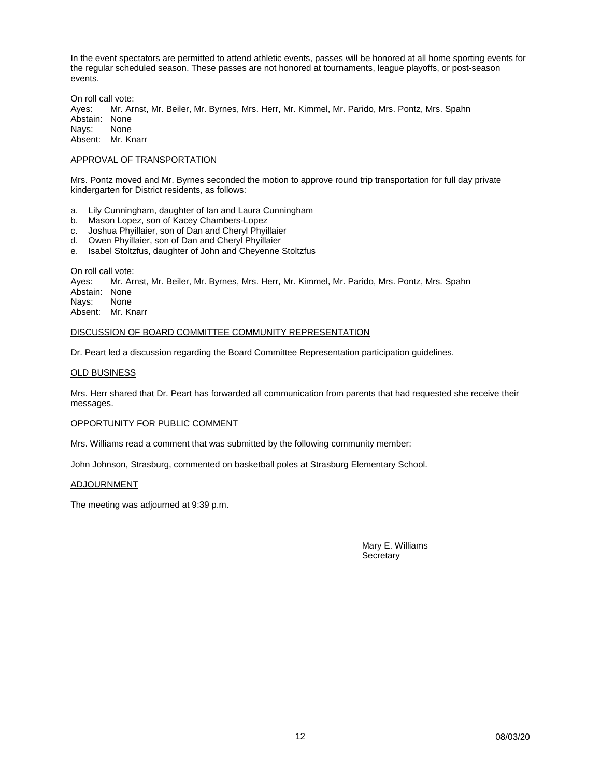In the event spectators are permitted to attend athletic events, passes will be honored at all home sporting events for the regular scheduled season. These passes are not honored at tournaments, league playoffs, or post-season events.

On roll call vote:<br>Ayes: Mr. Ar Mr. Arnst, Mr. Beiler, Mr. Byrnes, Mrs. Herr, Mr. Kimmel, Mr. Parido, Mrs. Pontz, Mrs. Spahn Abstain: None Nays: None Absent: Mr. Knarr

### APPROVAL OF TRANSPORTATION

Mrs. Pontz moved and Mr. Byrnes seconded the motion to approve round trip transportation for full day private kindergarten for District residents, as follows:

- a. Lily Cunningham, daughter of Ian and Laura Cunningham
- Mason Lopez, son of Kacey Chambers-Lopez
- c. Joshua Phyillaier, son of Dan and Cheryl Phyillaier
- d. Owen Phyillaier, son of Dan and Cheryl Phyillaier
- e. Isabel Stoltzfus, daughter of John and Cheyenne Stoltzfus

On roll call vote:

Ayes: Mr. Arnst, Mr. Beiler, Mr. Byrnes, Mrs. Herr, Mr. Kimmel, Mr. Parido, Mrs. Pontz, Mrs. Spahn Abstain: None<br>Navs: None Nays: Absent: Mr. Knarr

### DISCUSSION OF BOARD COMMITTEE COMMUNITY REPRESENTATION

Dr. Peart led a discussion regarding the Board Committee Representation participation guidelines.

### OLD BUSINESS

Mrs. Herr shared that Dr. Peart has forwarded all communication from parents that had requested she receive their messages.

#### OPPORTUNITY FOR PUBLIC COMMENT

Mrs. Williams read a comment that was submitted by the following community member:

John Johnson, Strasburg, commented on basketball poles at Strasburg Elementary School.

### ADJOURNMENT

The meeting was adjourned at 9:39 p.m.

Mary E. Williams **Secretary**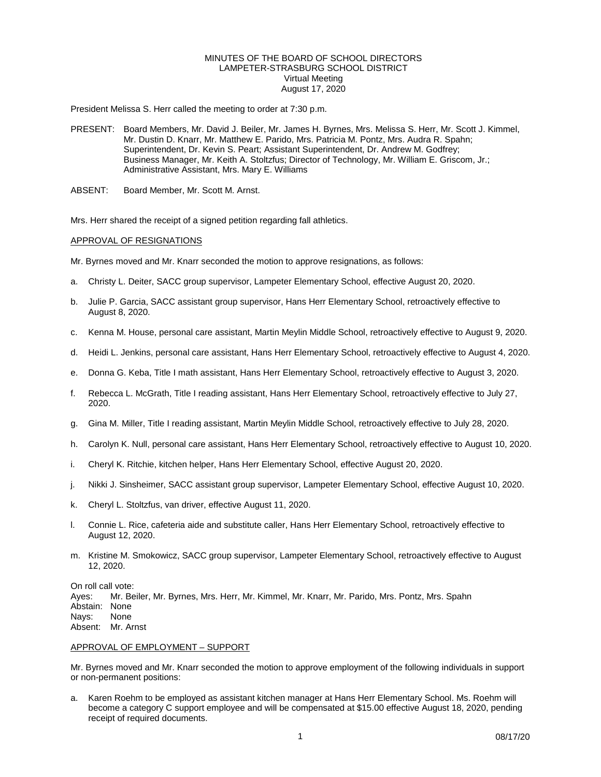### MINUTES OF THE BOARD OF SCHOOL DIRECTORS LAMPETER-STRASBURG SCHOOL DISTRICT Virtual Meeting August 17, 2020

President Melissa S. Herr called the meeting to order at 7:30 p.m.

- PRESENT: Board Members, Mr. David J. Beiler, Mr. James H. Byrnes, Mrs. Melissa S. Herr, Mr. Scott J. Kimmel, Mr. Dustin D. Knarr, Mr. Matthew E. Parido, Mrs. Patricia M. Pontz, Mrs. Audra R. Spahn; Superintendent, Dr. Kevin S. Peart; Assistant Superintendent, Dr. Andrew M. Godfrey; Business Manager, Mr. Keith A. Stoltzfus; Director of Technology, Mr. William E. Griscom, Jr.; Administrative Assistant, Mrs. Mary E. Williams
- ABSENT: Board Member, Mr. Scott M. Arnst.

Mrs. Herr shared the receipt of a signed petition regarding fall athletics.

### APPROVAL OF RESIGNATIONS

Mr. Byrnes moved and Mr. Knarr seconded the motion to approve resignations, as follows:

- a. Christy L. Deiter, SACC group supervisor, Lampeter Elementary School, effective August 20, 2020.
- b. Julie P. Garcia, SACC assistant group supervisor, Hans Herr Elementary School, retroactively effective to August 8, 2020.
- c. Kenna M. House, personal care assistant, Martin Meylin Middle School, retroactively effective to August 9, 2020.
- d. Heidi L. Jenkins, personal care assistant, Hans Herr Elementary School, retroactively effective to August 4, 2020.
- e. Donna G. Keba, Title I math assistant, Hans Herr Elementary School, retroactively effective to August 3, 2020.
- f. Rebecca L. McGrath, Title I reading assistant, Hans Herr Elementary School, retroactively effective to July 27, 2020.
- g. Gina M. Miller, Title I reading assistant, Martin Meylin Middle School, retroactively effective to July 28, 2020.
- h. Carolyn K. Null, personal care assistant, Hans Herr Elementary School, retroactively effective to August 10, 2020.
- i. Cheryl K. Ritchie, kitchen helper, Hans Herr Elementary School, effective August 20, 2020.
- j. Nikki J. Sinsheimer, SACC assistant group supervisor, Lampeter Elementary School, effective August 10, 2020.
- k. Cheryl L. Stoltzfus, van driver, effective August 11, 2020.
- l. Connie L. Rice, cafeteria aide and substitute caller, Hans Herr Elementary School, retroactively effective to August 12, 2020.
- m. Kristine M. Smokowicz, SACC group supervisor, Lampeter Elementary School, retroactively effective to August 12, 2020.

On roll call vote: Ayes: Mr. Beiler, Mr. Byrnes, Mrs. Herr, Mr. Kimmel, Mr. Knarr, Mr. Parido, Mrs. Pontz, Mrs. Spahn Abstain: None<br>Navs: None Nays: Absent: Mr. Arnst

### APPROVAL OF EMPLOYMENT – SUPPORT

Mr. Byrnes moved and Mr. Knarr seconded the motion to approve employment of the following individuals in support or non-permanent positions:

a. Karen Roehm to be employed as assistant kitchen manager at Hans Herr Elementary School. Ms. Roehm will become a category C support employee and will be compensated at \$15.00 effective August 18, 2020, pending receipt of required documents.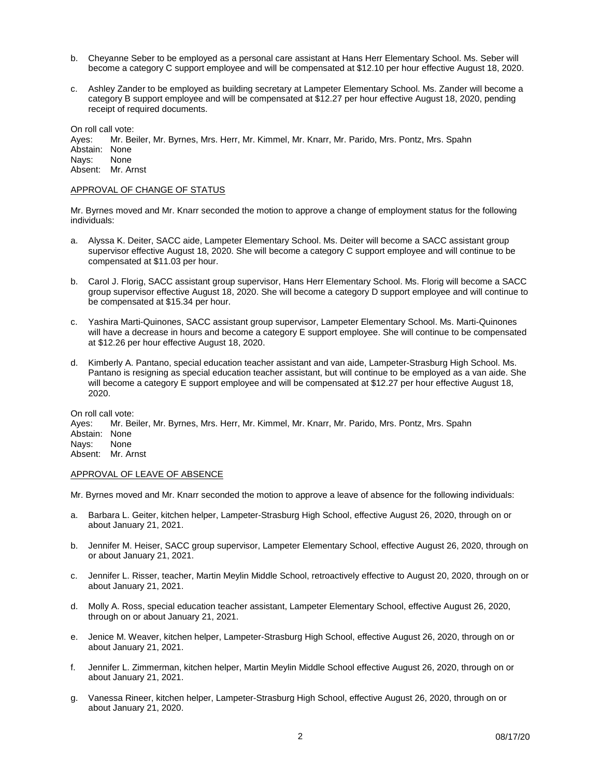- b. Cheyanne Seber to be employed as a personal care assistant at Hans Herr Elementary School. Ms. Seber will become a category C support employee and will be compensated at \$12.10 per hour effective August 18, 2020.
- c. Ashley Zander to be employed as building secretary at Lampeter Elementary School. Ms. Zander will become a category B support employee and will be compensated at \$12.27 per hour effective August 18, 2020, pending receipt of required documents.

On roll call vote:

Ayes: Mr. Beiler, Mr. Byrnes, Mrs. Herr, Mr. Kimmel, Mr. Knarr, Mr. Parido, Mrs. Pontz, Mrs. Spahn Abstain: None<br>Navs: None Navs: Absent: Mr. Arnst

### APPROVAL OF CHANGE OF STATUS

Mr. Byrnes moved and Mr. Knarr seconded the motion to approve a change of employment status for the following individuals:

- a. Alyssa K. Deiter, SACC aide, Lampeter Elementary School. Ms. Deiter will become a SACC assistant group supervisor effective August 18, 2020. She will become a category C support employee and will continue to be compensated at \$11.03 per hour.
- b. Carol J. Florig, SACC assistant group supervisor, Hans Herr Elementary School. Ms. Florig will become a SACC group supervisor effective August 18, 2020. She will become a category D support employee and will continue to be compensated at \$15.34 per hour.
- c. Yashira Marti-Quinones, SACC assistant group supervisor, Lampeter Elementary School. Ms. Marti-Quinones will have a decrease in hours and become a category E support employee. She will continue to be compensated at \$12.26 per hour effective August 18, 2020.
- d. Kimberly A. Pantano, special education teacher assistant and van aide, Lampeter-Strasburg High School. Ms. Pantano is resigning as special education teacher assistant, but will continue to be employed as a van aide. She will become a category E support employee and will be compensated at \$12.27 per hour effective August 18, 2020.

On roll call vote: Ayes: Mr. Beiler, Mr. Byrnes, Mrs. Herr, Mr. Kimmel, Mr. Knarr, Mr. Parido, Mrs. Pontz, Mrs. Spahn Abstain: None<br>Nays: None Nays: Absent: Mr. Arnst

### APPROVAL OF LEAVE OF ABSENCE

Mr. Byrnes moved and Mr. Knarr seconded the motion to approve a leave of absence for the following individuals:

- a. Barbara L. Geiter, kitchen helper, Lampeter-Strasburg High School, effective August 26, 2020, through on or about January 21, 2021.
- b. Jennifer M. Heiser, SACC group supervisor, Lampeter Elementary School, effective August 26, 2020, through on or about January 21, 2021.
- c. Jennifer L. Risser, teacher, Martin Meylin Middle School, retroactively effective to August 20, 2020, through on or about January 21, 2021.
- d. Molly A. Ross, special education teacher assistant, Lampeter Elementary School, effective August 26, 2020, through on or about January 21, 2021.
- e. Jenice M. Weaver, kitchen helper, Lampeter-Strasburg High School, effective August 26, 2020, through on or about January 21, 2021.
- f. Jennifer L. Zimmerman, kitchen helper, Martin Meylin Middle School effective August 26, 2020, through on or about January 21, 2021.
- g. Vanessa Rineer, kitchen helper, Lampeter-Strasburg High School, effective August 26, 2020, through on or about January 21, 2020.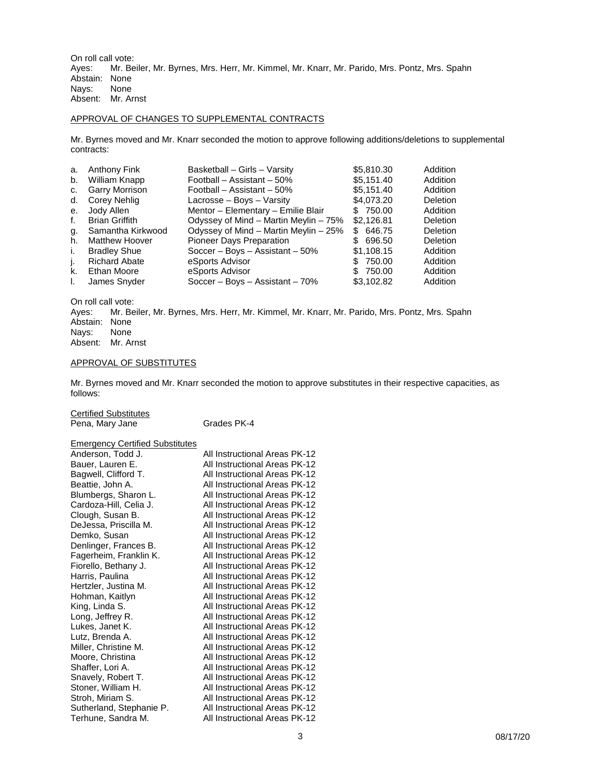On roll call vote:<br>Ayes: Mr. Be Mr. Beiler, Mr. Byrnes, Mrs. Herr, Mr. Kimmel, Mr. Knarr, Mr. Parido, Mrs. Pontz, Mrs. Spahn Abstain: None<br>Nays: None Nays: Absent: Mr. Arnst

### APPROVAL OF CHANGES TO SUPPLEMENTAL CONTRACTS

Mr. Byrnes moved and Mr. Knarr seconded the motion to approve following additions/deletions to supplemental contracts:

| a. | Anthony Fink          | Basketball - Girls - Varsity          | \$5,810.30 | Addition |
|----|-----------------------|---------------------------------------|------------|----------|
| b. | William Knapp         | Football - Assistant - 50%            | \$5,151.40 | Addition |
| C. | <b>Garry Morrison</b> | Football – Assistant – 50%            | \$5,151.40 | Addition |
| d. | Corey Nehlig          | Lacrosse – Boys – Varsity             | \$4,073.20 | Deletion |
| е. | Jody Allen            | Mentor - Elementary - Emilie Blair    | \$ 750.00  | Addition |
| f. | <b>Brian Griffith</b> | Odyssey of Mind – Martin Meylin – 75% | \$2,126.81 | Deletion |
| g. | Samantha Kirkwood     | Odyssey of Mind - Martin Meylin - 25% | \$ 646.75  | Deletion |
| h. | <b>Matthew Hoover</b> | Pioneer Days Preparation              | \$696.50   | Deletion |
| i. | <b>Bradley Shue</b>   | Soccer - Boys - Assistant $-50\%$     | \$1.108.15 | Addition |
| Ŀ. | <b>Richard Abate</b>  | eSports Advisor                       | \$ 750.00  | Addition |
| k. | Ethan Moore           | eSports Advisor                       | \$ 750.00  | Addition |
| L. | James Snyder          | Soccer - Boys - Assistant $-70%$      | \$3.102.82 | Addition |

On roll call vote:<br>Ayes: Mr. Be Mr. Beiler, Mr. Byrnes, Mrs. Herr, Mr. Kimmel, Mr. Knarr, Mr. Parido, Mrs. Pontz, Mrs. Spahn Abstain: None<br>Navs: None Nays: Absent: Mr. Arnst

### APPROVAL OF SUBSTITUTES

Mr. Byrnes moved and Mr. Knarr seconded the motion to approve substitutes in their respective capacities, as follows:

Certified Substitutes

Pena, Mary Jane Grades PK-4

### Emergency Certified Substitutes

| Anderson, Todd J.        | All Instructional Areas PK-12 |
|--------------------------|-------------------------------|
| Bauer, Lauren E.         | All Instructional Areas PK-12 |
| Bagwell, Clifford T.     | All Instructional Areas PK-12 |
| Beattie, John A.         | All Instructional Areas PK-12 |
| Blumbergs, Sharon L.     | All Instructional Areas PK-12 |
| Cardoza-Hill, Celia J.   | All Instructional Areas PK-12 |
| Clough, Susan B.         | All Instructional Areas PK-12 |
| DeJessa, Priscilla M.    | All Instructional Areas PK-12 |
| Demko, Susan             | All Instructional Areas PK-12 |
| Denlinger, Frances B.    | All Instructional Areas PK-12 |
| Fagerheim, Franklin K.   | All Instructional Areas PK-12 |
| Fiorello, Bethany J.     | All Instructional Areas PK-12 |
| Harris, Paulina          | All Instructional Areas PK-12 |
| Hertzler, Justina M.     | All Instructional Areas PK-12 |
| Hohman, Kaitlyn          | All Instructional Areas PK-12 |
| King, Linda S.           | All Instructional Areas PK-12 |
| Long, Jeffrey R.         | All Instructional Areas PK-12 |
| Lukes, Janet K.          | All Instructional Areas PK-12 |
| Lutz, Brenda A.          | All Instructional Areas PK-12 |
| Miller, Christine M.     | All Instructional Areas PK-12 |
| Moore, Christina         | All Instructional Areas PK-12 |
| Shaffer, Lori A.         | All Instructional Areas PK-12 |
| Snavely, Robert T.       | All Instructional Areas PK-12 |
| Stoner, William H.       | All Instructional Areas PK-12 |
| Stroh, Miriam S.         | All Instructional Areas PK-12 |
| Sutherland, Stephanie P. | All Instructional Areas PK-12 |
| Terhune, Sandra M.       | All Instructional Areas PK-12 |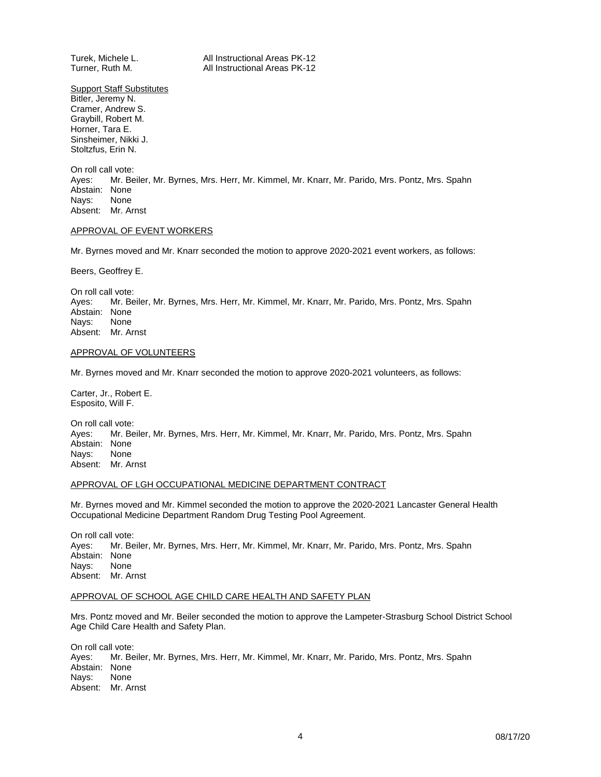Turek, Michele L. **All Instructional Areas PK-12**<br>Turner. Ruth M. **All Instructional Areas PK-12** All Instructional Areas PK-12

**Support Staff Substitutes** Bitler, Jeremy N. Cramer, Andrew S. Graybill, Robert M. Horner, Tara E. Sinsheimer, Nikki J. Stoltzfus, Erin N.

On roll call vote: Ayes: Mr. Beiler, Mr. Byrnes, Mrs. Herr, Mr. Kimmel, Mr. Knarr, Mr. Parido, Mrs. Pontz, Mrs. Spahn Abstain: None<br>Navs: None Nays: Absent: Mr. Arnst

### APPROVAL OF EVENT WORKERS

Mr. Byrnes moved and Mr. Knarr seconded the motion to approve 2020-2021 event workers, as follows:

Beers, Geoffrey E.

On roll call vote:<br>Ayes: Mr. Be Mr. Beiler, Mr. Byrnes, Mrs. Herr, Mr. Kimmel, Mr. Knarr, Mr. Parido, Mrs. Pontz, Mrs. Spahn Abstain: None<br>Navs: None Navs: Absent: Mr. Arnst

#### APPROVAL OF VOLUNTEERS

Mr. Byrnes moved and Mr. Knarr seconded the motion to approve 2020-2021 volunteers, as follows:

Carter, Jr., Robert E. Esposito, Will F.

On roll call vote: Ayes: Mr. Beiler, Mr. Byrnes, Mrs. Herr, Mr. Kimmel, Mr. Knarr, Mr. Parido, Mrs. Pontz, Mrs. Spahn Abstain: None<br>Navs: None Nays: Absent: Mr. Arnst

### APPROVAL OF LGH OCCUPATIONAL MEDICINE DEPARTMENT CONTRACT

Mr. Byrnes moved and Mr. Kimmel seconded the motion to approve the 2020-2021 Lancaster General Health Occupational Medicine Department Random Drug Testing Pool Agreement.

On roll call vote: Ayes: Mr. Beiler, Mr. Byrnes, Mrs. Herr, Mr. Kimmel, Mr. Knarr, Mr. Parido, Mrs. Pontz, Mrs. Spahn Abstain: None<br>Navs: None Nays: Absent: Mr. Arnst

#### APPROVAL OF SCHOOL AGE CHILD CARE HEALTH AND SAFETY PLAN

Mrs. Pontz moved and Mr. Beiler seconded the motion to approve the Lampeter-Strasburg School District School Age Child Care Health and Safety Plan.

On roll call vote: Ayes: Mr. Beiler, Mr. Byrnes, Mrs. Herr, Mr. Kimmel, Mr. Knarr, Mr. Parido, Mrs. Pontz, Mrs. Spahn Abstain: None<br>Navs: None Nays: Absent: Mr. Arnst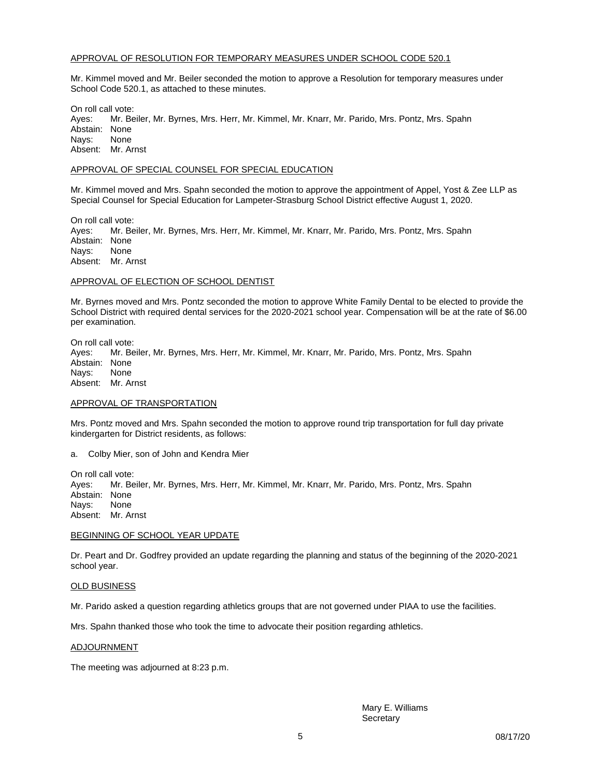### APPROVAL OF RESOLUTION FOR TEMPORARY MEASURES UNDER SCHOOL CODE 520.1

Mr. Kimmel moved and Mr. Beiler seconded the motion to approve a Resolution for temporary measures under School Code 520.1, as attached to these minutes.

On roll call vote:<br>Ayes: Mr. Be Mr. Beiler, Mr. Byrnes, Mrs. Herr, Mr. Kimmel, Mr. Knarr, Mr. Parido, Mrs. Pontz, Mrs. Spahn Abstain: None Nays: None Absent: Mr. Arnst

#### APPROVAL OF SPECIAL COUNSEL FOR SPECIAL EDUCATION

Mr. Kimmel moved and Mrs. Spahn seconded the motion to approve the appointment of Appel, Yost & Zee LLP as Special Counsel for Special Education for Lampeter-Strasburg School District effective August 1, 2020.

On roll call vote: Ayes: Mr. Beiler, Mr. Byrnes, Mrs. Herr, Mr. Kimmel, Mr. Knarr, Mr. Parido, Mrs. Pontz, Mrs. Spahn Abstain: None Nays: None Absent: Mr. Arnst

### APPROVAL OF ELECTION OF SCHOOL DENTIST

Mr. Byrnes moved and Mrs. Pontz seconded the motion to approve White Family Dental to be elected to provide the School District with required dental services for the 2020-2021 school year. Compensation will be at the rate of \$6.00 per examination.

On roll call vote: Ayes: Mr. Beiler, Mr. Byrnes, Mrs. Herr, Mr. Kimmel, Mr. Knarr, Mr. Parido, Mrs. Pontz, Mrs. Spahn Abstain: None<br>Navs: None Nays: Absent: Mr. Arnst

#### APPROVAL OF TRANSPORTATION

Mrs. Pontz moved and Mrs. Spahn seconded the motion to approve round trip transportation for full day private kindergarten for District residents, as follows:

a. Colby Mier, son of John and Kendra Mier

On roll call vote: Ayes: Mr. Beiler, Mr. Byrnes, Mrs. Herr, Mr. Kimmel, Mr. Knarr, Mr. Parido, Mrs. Pontz, Mrs. Spahn Abstain: None Nays: None Absent: Mr. Arnst

#### BEGINNING OF SCHOOL YEAR UPDATE

Dr. Peart and Dr. Godfrey provided an update regarding the planning and status of the beginning of the 2020-2021 school year.

#### OLD BUSINESS

Mr. Parido asked a question regarding athletics groups that are not governed under PIAA to use the facilities.

Mrs. Spahn thanked those who took the time to advocate their position regarding athletics.

#### ADJOURNMENT

The meeting was adjourned at 8:23 p.m.

Mary E. Williams **Secretary**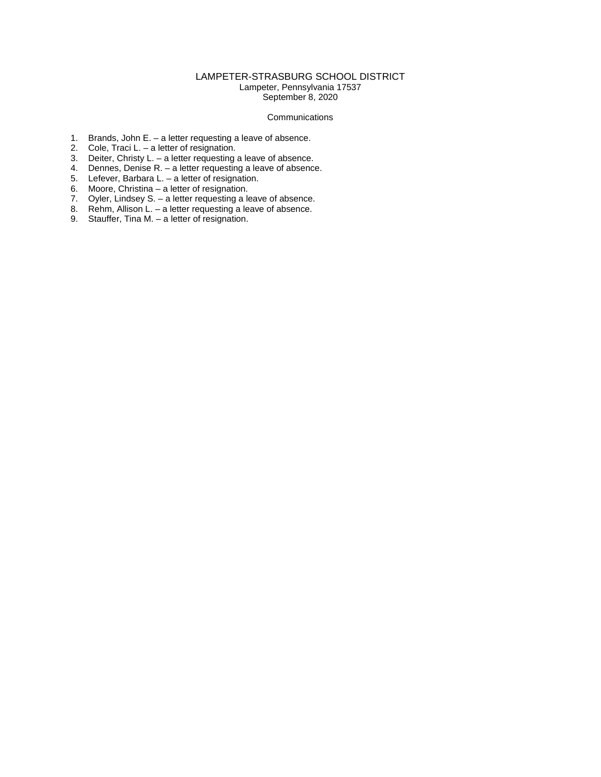### LAMPETER-STRASBURG SCHOOL DISTRICT

Lampeter, Pennsylvania 17537 September 8, 2020

### Communications

- 1. Brands, John E. a letter requesting a leave of absence.
- 2. Cole, Traci L. a letter of resignation.
- 3. Deiter, Christy L. a letter requesting a leave of absence.
- 4. Dennes, Denise R. a letter requesting a leave of absence.
- 5. Lefever, Barbara L. a letter of resignation.
- 6. Moore, Christina a letter of resignation.
- 7. Oyler, Lindsey S. a letter requesting a leave of absence.
- 8. Rehm, Allison L. a letter requesting a leave of absence.
- 9. Stauffer, Tina M. a letter of resignation.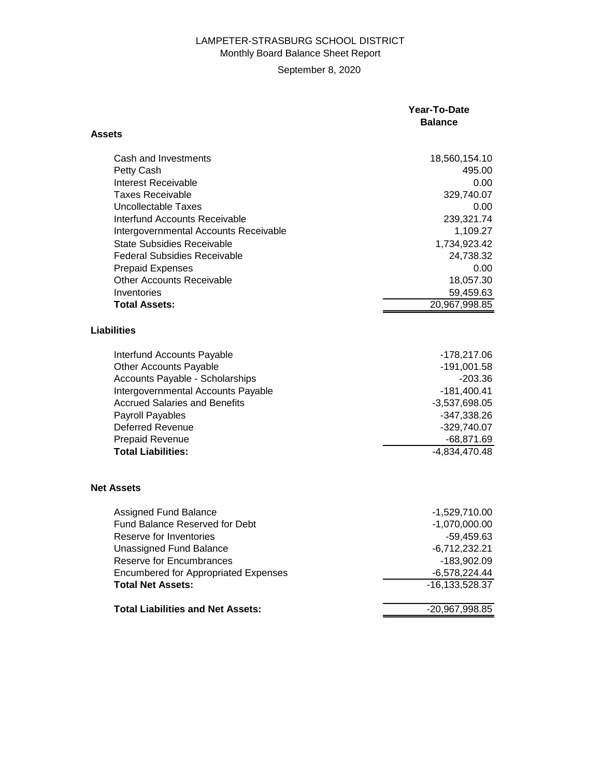# LAMPETER-STRASBURG SCHOOL DISTRICT Monthly Board Balance Sheet Report

**Assets**

# September 8, 2020

## **Year-To-Date Balance**

| Cash and Investments                        | 18,560,154.10      |
|---------------------------------------------|--------------------|
| Petty Cash                                  | 495.00             |
| <b>Interest Receivable</b>                  | 0.00               |
| <b>Taxes Receivable</b>                     | 329,740.07         |
| <b>Uncollectable Taxes</b>                  | 0.00               |
| Interfund Accounts Receivable               | 239,321.74         |
| Intergovernmental Accounts Receivable       | 1,109.27           |
| <b>State Subsidies Receivable</b>           | 1,734,923.42       |
| <b>Federal Subsidies Receivable</b>         | 24,738.32          |
| <b>Prepaid Expenses</b>                     | 0.00               |
| <b>Other Accounts Receivable</b>            | 18,057.30          |
| Inventories                                 | 59,459.63          |
| <b>Total Assets:</b>                        | 20,967,998.85      |
|                                             |                    |
| <b>Liabilities</b>                          |                    |
|                                             |                    |
| Interfund Accounts Payable                  | $-178,217.06$      |
| <b>Other Accounts Payable</b>               | $-191,001.58$      |
| Accounts Payable - Scholarships             | $-203.36$          |
| Intergovernmental Accounts Payable          | $-181,400.41$      |
| <b>Accrued Salaries and Benefits</b>        | $-3,537,698.05$    |
| Payroll Payables                            | $-347,338.26$      |
| <b>Deferred Revenue</b>                     | $-329,740.07$      |
| <b>Prepaid Revenue</b>                      | $-68,871.69$       |
| <b>Total Liabilities:</b>                   | $-4,834,470.48$    |
|                                             |                    |
|                                             |                    |
| <b>Net Assets</b>                           |                    |
| <b>Assigned Fund Balance</b>                | $-1,529,710.00$    |
| <b>Fund Balance Reserved for Debt</b>       | $-1,070,000.00$    |
| Reserve for Inventories                     | $-59,459.63$       |
| <b>Unassigned Fund Balance</b>              | $-6,712,232.21$    |
| <b>Reserve for Encumbrances</b>             | -183,902.09        |
| <b>Encumbered for Appropriated Expenses</b> | $-6,578,224.44$    |
| <b>Total Net Assets:</b>                    | $-16, 133, 528.37$ |
|                                             |                    |
| <b>Total Liabilities and Net Assets:</b>    | -20,967,998.85     |
|                                             |                    |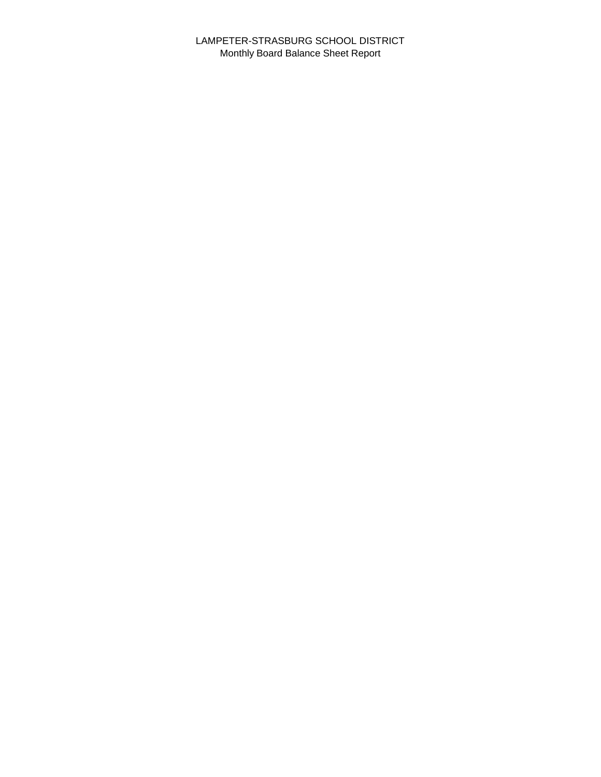LAMPETER-STRASBURG SCHOOL DISTRICT Monthly Board Balance Sheet Report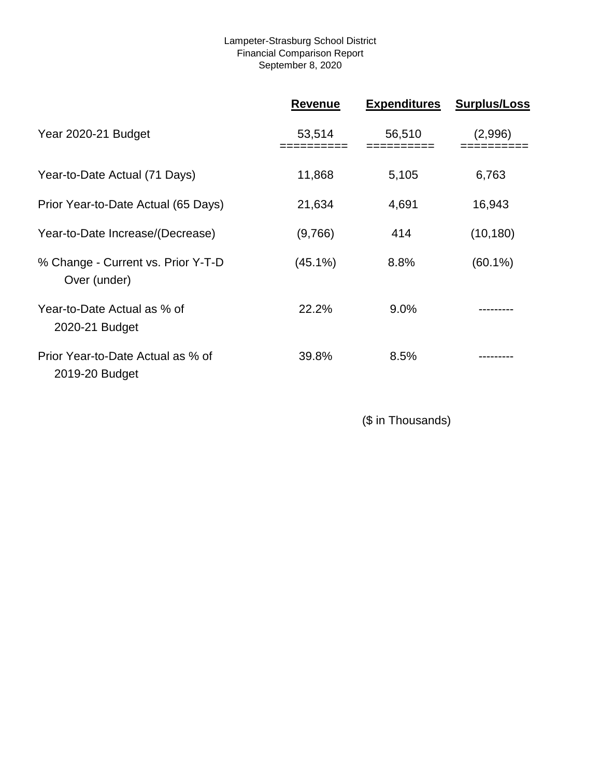## Lampeter-Strasburg School District Financial Comparison Report September 8, 2020

|                                                     | <b>Revenue</b> | <b>Expenditures</b> | <b>Surplus/Loss</b> |
|-----------------------------------------------------|----------------|---------------------|---------------------|
| Year 2020-21 Budget                                 | 53,514         | 56,510              | (2,996)             |
| Year-to-Date Actual (71 Days)                       | 11,868         | 5,105               | 6,763               |
| Prior Year-to-Date Actual (65 Days)                 | 21,634         | 4,691               | 16,943              |
| Year-to-Date Increase/(Decrease)                    | (9,766)        | 414                 | (10, 180)           |
| % Change - Current vs. Prior Y-T-D<br>Over (under)  | $(45.1\%)$     | 8.8%                | $(60.1\%)$          |
| Year-to-Date Actual as % of<br>2020-21 Budget       | 22.2%          | $9.0\%$             |                     |
| Prior Year-to-Date Actual as % of<br>2019-20 Budget | 39.8%          | 8.5%                |                     |

(\$ in Thousands)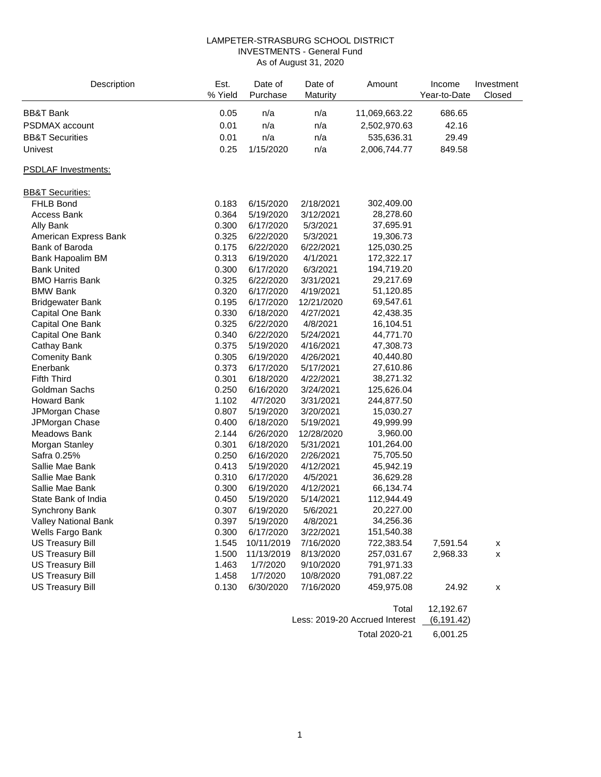### LAMPETER-STRASBURG SCHOOL DISTRICT INVESTMENTS - General Fund As of August 31, 2020

| Description                 | Est.<br>% Yield | Date of<br>Purchase | Date of<br>Maturity | Amount        | Income<br>Year-to-Date | Investment<br>Closed |
|-----------------------------|-----------------|---------------------|---------------------|---------------|------------------------|----------------------|
| <b>BB&amp;T Bank</b>        | 0.05            | n/a                 | n/a                 | 11,069,663.22 | 686.65                 |                      |
| PSDMAX account              | 0.01            | n/a                 | n/a                 | 2,502,970.63  | 42.16                  |                      |
| <b>BB&amp;T Securities</b>  | 0.01            | n/a                 | n/a                 | 535,636.31    | 29.49                  |                      |
| Univest                     | 0.25            | 1/15/2020           | n/a                 | 2,006,744.77  | 849.58                 |                      |
|                             |                 |                     |                     |               |                        |                      |
| <b>PSDLAF Investments:</b>  |                 |                     |                     |               |                        |                      |
| <b>BB&amp;T Securities:</b> |                 |                     |                     |               |                        |                      |
| <b>FHLB Bond</b>            | 0.183           | 6/15/2020           | 2/18/2021           | 302,409.00    |                        |                      |
| <b>Access Bank</b>          | 0.364           | 5/19/2020           | 3/12/2021           | 28,278.60     |                        |                      |
| Ally Bank                   | 0.300           | 6/17/2020           | 5/3/2021            | 37,695.91     |                        |                      |
| American Express Bank       | 0.325           | 6/22/2020           | 5/3/2021            | 19,306.73     |                        |                      |
| Bank of Baroda              | 0.175           | 6/22/2020           | 6/22/2021           | 125,030.25    |                        |                      |
| Bank Hapoalim BM            | 0.313           | 6/19/2020           | 4/1/2021            | 172,322.17    |                        |                      |
| <b>Bank United</b>          | 0.300           | 6/17/2020           | 6/3/2021            | 194,719.20    |                        |                      |
| <b>BMO Harris Bank</b>      | 0.325           | 6/22/2020           | 3/31/2021           | 29,217.69     |                        |                      |
| <b>BMW Bank</b>             | 0.320           | 6/17/2020           | 4/19/2021           | 51,120.85     |                        |                      |
| <b>Bridgewater Bank</b>     | 0.195           | 6/17/2020           | 12/21/2020          | 69,547.61     |                        |                      |
| Capital One Bank            | 0.330           | 6/18/2020           | 4/27/2021           | 42,438.35     |                        |                      |
| Capital One Bank            | 0.325           | 6/22/2020           | 4/8/2021            | 16,104.51     |                        |                      |
| Capital One Bank            | 0.340           | 6/22/2020           | 5/24/2021           | 44,771.70     |                        |                      |
| Cathay Bank                 | 0.375           | 5/19/2020           | 4/16/2021           | 47,308.73     |                        |                      |
| <b>Comenity Bank</b>        | 0.305           | 6/19/2020           | 4/26/2021           | 40,440.80     |                        |                      |
| Enerbank                    | 0.373           | 6/17/2020           | 5/17/2021           | 27,610.86     |                        |                      |
| <b>Fifth Third</b>          | 0.301           | 6/18/2020           | 4/22/2021           | 38,271.32     |                        |                      |
| Goldman Sachs               | 0.250           | 6/16/2020           | 3/24/2021           | 125,626.04    |                        |                      |
| <b>Howard Bank</b>          | 1.102           | 4/7/2020            | 3/31/2021           | 244,877.50    |                        |                      |
| JPMorgan Chase              | 0.807           | 5/19/2020           | 3/20/2021           | 15,030.27     |                        |                      |
| JPMorgan Chase              | 0.400           | 6/18/2020           | 5/19/2021           | 49,999.99     |                        |                      |
| Meadows Bank                | 2.144           | 6/26/2020           | 12/28/2020          | 3,960.00      |                        |                      |
| Morgan Stanley              | 0.301           | 6/18/2020           | 5/31/2021           | 101,264.00    |                        |                      |
| Safra 0.25%                 | 0.250           | 6/16/2020           | 2/26/2021           | 75,705.50     |                        |                      |
| Sallie Mae Bank             | 0.413           | 5/19/2020           | 4/12/2021           | 45,942.19     |                        |                      |
| Sallie Mae Bank             | 0.310           | 6/17/2020           | 4/5/2021            | 36,629.28     |                        |                      |
| Sallie Mae Bank             | 0.300           | 6/19/2020           | 4/12/2021           | 66,134.74     |                        |                      |
| State Bank of India         | 0.450           | 5/19/2020           | 5/14/2021           | 112,944.49    |                        |                      |
| Synchrony Bank              | 0.307           | 6/19/2020           | 5/6/2021            | 20,227.00     |                        |                      |
| Valley National Bank        | 0.397           | 5/19/2020           | 4/8/2021            | 34,256.36     |                        |                      |
| Wells Fargo Bank            | 0.300           | 6/17/2020           | 3/22/2021           | 151,540.38    |                        |                      |
| <b>US Treasury Bill</b>     | 1.545           | 10/11/2019          | 7/16/2020           | 722,383.54    | 7,591.54               | x                    |
| <b>US Treasury Bill</b>     | 1.500           | 11/13/2019          | 8/13/2020           | 257,031.67    | 2,968.33               | X                    |
| <b>US Treasury Bill</b>     | 1.463           | 1/7/2020            | 9/10/2020           | 791,971.33    |                        |                      |
| <b>US Treasury Bill</b>     | 1.458           | 1/7/2020            | 10/8/2020           | 791,087.22    |                        |                      |
| <b>US Treasury Bill</b>     | 0.130           | 6/30/2020           | 7/16/2020           | 459,975.08    | 24.92                  | x                    |
|                             |                 |                     |                     | Total         | 12,192.67              |                      |

| ινιαι                                     | 14, 194. VI |
|-------------------------------------------|-------------|
| Less: 2019-20 Accrued Interest (6,191.42) |             |
| Total 2020-21                             | 6.001.25    |
|                                           |             |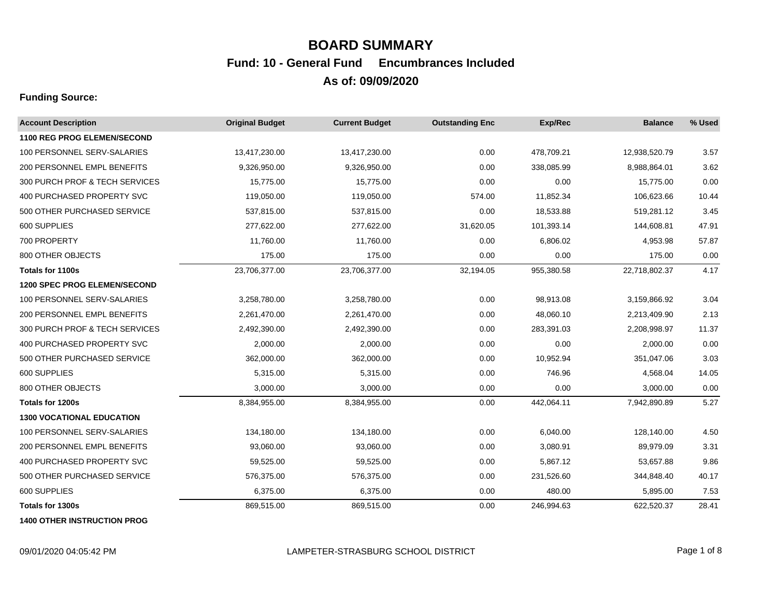# **BOARD SUMMARY As of: 09/09/2020 Fund: 10 - General Fund Encumbrances Included**

## **Funding Source:**

| <b>Account Description</b>         | <b>Original Budget</b> | <b>Current Budget</b> | <b>Outstanding Enc</b> | Exp/Rec    | <b>Balance</b> | % Used |
|------------------------------------|------------------------|-----------------------|------------------------|------------|----------------|--------|
| <b>1100 REG PROG ELEMEN/SECOND</b> |                        |                       |                        |            |                |        |
| 100 PERSONNEL SERV-SALARIES        | 13,417,230.00          | 13,417,230.00         | 0.00                   | 478,709.21 | 12,938,520.79  | 3.57   |
| 200 PERSONNEL EMPL BENEFITS        | 9,326,950.00           | 9,326,950.00          | 0.00                   | 338,085.99 | 8,988,864.01   | 3.62   |
| 300 PURCH PROF & TECH SERVICES     | 15,775.00              | 15,775.00             | 0.00                   | 0.00       | 15,775.00      | 0.00   |
| 400 PURCHASED PROPERTY SVC         | 119,050.00             | 119,050.00            | 574.00                 | 11,852.34  | 106,623.66     | 10.44  |
| 500 OTHER PURCHASED SERVICE        | 537,815.00             | 537,815.00            | 0.00                   | 18,533.88  | 519,281.12     | 3.45   |
| 600 SUPPLIES                       | 277,622.00             | 277,622.00            | 31,620.05              | 101,393.14 | 144,608.81     | 47.91  |
| 700 PROPERTY                       | 11,760.00              | 11,760.00             | 0.00                   | 6,806.02   | 4,953.98       | 57.87  |
| 800 OTHER OBJECTS                  | 175.00                 | 175.00                | 0.00                   | 0.00       | 175.00         | 0.00   |
| Totals for 1100s                   | 23,706,377.00          | 23,706,377.00         | 32,194.05              | 955,380.58 | 22,718,802.37  | 4.17   |
| 1200 SPEC PROG ELEMEN/SECOND       |                        |                       |                        |            |                |        |
| 100 PERSONNEL SERV-SALARIES        | 3,258,780.00           | 3,258,780.00          | 0.00                   | 98,913.08  | 3,159,866.92   | 3.04   |
| 200 PERSONNEL EMPL BENEFITS        | 2,261,470.00           | 2,261,470.00          | 0.00                   | 48,060.10  | 2,213,409.90   | 2.13   |
| 300 PURCH PROF & TECH SERVICES     | 2,492,390.00           | 2,492,390.00          | 0.00                   | 283,391.03 | 2,208,998.97   | 11.37  |
| 400 PURCHASED PROPERTY SVC         | 2,000.00               | 2,000.00              | 0.00                   | 0.00       | 2,000.00       | 0.00   |
| 500 OTHER PURCHASED SERVICE        | 362,000.00             | 362,000.00            | 0.00                   | 10,952.94  | 351,047.06     | 3.03   |
| 600 SUPPLIES                       | 5,315.00               | 5,315.00              | 0.00                   | 746.96     | 4,568.04       | 14.05  |
| 800 OTHER OBJECTS                  | 3,000.00               | 3,000.00              | 0.00                   | 0.00       | 3,000.00       | 0.00   |
| Totals for 1200s                   | 8,384,955.00           | 8,384,955.00          | 0.00                   | 442,064.11 | 7,942,890.89   | 5.27   |
| <b>1300 VOCATIONAL EDUCATION</b>   |                        |                       |                        |            |                |        |
| 100 PERSONNEL SERV-SALARIES        | 134,180.00             | 134,180.00            | 0.00                   | 6,040.00   | 128,140.00     | 4.50   |
| 200 PERSONNEL EMPL BENEFITS        | 93,060.00              | 93,060.00             | 0.00                   | 3,080.91   | 89,979.09      | 3.31   |
| 400 PURCHASED PROPERTY SVC         | 59,525.00              | 59,525.00             | 0.00                   | 5,867.12   | 53,657.88      | 9.86   |
| 500 OTHER PURCHASED SERVICE        | 576,375.00             | 576,375.00            | 0.00                   | 231,526.60 | 344,848.40     | 40.17  |
| 600 SUPPLIES                       | 6,375.00               | 6,375.00              | 0.00                   | 480.00     | 5,895.00       | 7.53   |
| Totals for 1300s                   | 869,515.00             | 869,515.00            | 0.00                   | 246,994.63 | 622,520.37     | 28.41  |

**1400 OTHER INSTRUCTION PROG**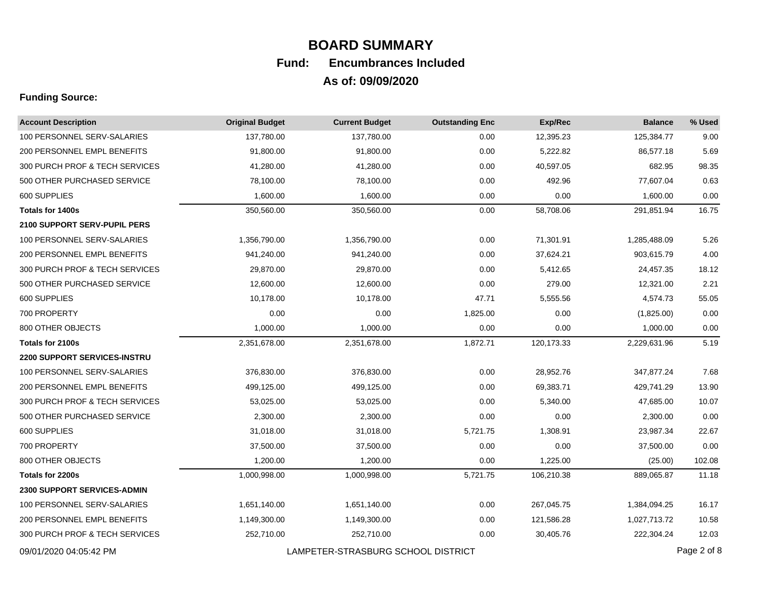| <b>Account Description</b>          | <b>Original Budget</b> | <b>Current Budget</b>              | <b>Outstanding Enc</b> | Exp/Rec    | <b>Balance</b> | % Used      |
|-------------------------------------|------------------------|------------------------------------|------------------------|------------|----------------|-------------|
| 100 PERSONNEL SERV-SALARIES         | 137.780.00             | 137,780.00                         | 0.00                   | 12,395.23  | 125,384.77     | 9.00        |
| 200 PERSONNEL EMPL BENEFITS         | 91,800.00              | 91,800.00                          | 0.00                   | 5,222.82   | 86,577.18      | 5.69        |
| 300 PURCH PROF & TECH SERVICES      | 41,280.00              | 41,280.00                          | 0.00                   | 40,597.05  | 682.95         | 98.35       |
| 500 OTHER PURCHASED SERVICE         | 78,100.00              | 78,100.00                          | 0.00                   | 492.96     | 77,607.04      | 0.63        |
| 600 SUPPLIES                        | 1,600.00               | 1,600.00                           | 0.00                   | 0.00       | 1,600.00       | 0.00        |
| <b>Totals for 1400s</b>             | 350,560.00             | 350,560.00                         | 0.00                   | 58,708.06  | 291,851.94     | 16.75       |
| <b>2100 SUPPORT SERV-PUPIL PERS</b> |                        |                                    |                        |            |                |             |
| 100 PERSONNEL SERV-SALARIES         | 1,356,790.00           | 1,356,790.00                       | 0.00                   | 71,301.91  | 1,285,488.09   | 5.26        |
| 200 PERSONNEL EMPL BENEFITS         | 941,240.00             | 941,240.00                         | 0.00                   | 37,624.21  | 903,615.79     | 4.00        |
| 300 PURCH PROF & TECH SERVICES      | 29,870.00              | 29,870.00                          | 0.00                   | 5,412.65   | 24,457.35      | 18.12       |
| 500 OTHER PURCHASED SERVICE         | 12,600.00              | 12,600.00                          | 0.00                   | 279.00     | 12,321.00      | 2.21        |
| 600 SUPPLIES                        | 10,178.00              | 10,178.00                          | 47.71                  | 5,555.56   | 4,574.73       | 55.05       |
| 700 PROPERTY                        | 0.00                   | 0.00                               | 1,825.00               | 0.00       | (1,825.00)     | 0.00        |
| 800 OTHER OBJECTS                   | 1,000.00               | 1,000.00                           | 0.00                   | 0.00       | 1,000.00       | 0.00        |
| Totals for 2100s                    | 2,351,678.00           | 2,351,678.00                       | 1,872.71               | 120,173.33 | 2,229,631.96   | 5.19        |
| <b>2200 SUPPORT SERVICES-INSTRU</b> |                        |                                    |                        |            |                |             |
| 100 PERSONNEL SERV-SALARIES         | 376,830.00             | 376,830.00                         | 0.00                   | 28,952.76  | 347,877.24     | 7.68        |
| 200 PERSONNEL EMPL BENEFITS         | 499,125.00             | 499,125.00                         | 0.00                   | 69,383.71  | 429,741.29     | 13.90       |
| 300 PURCH PROF & TECH SERVICES      | 53,025.00              | 53,025.00                          | 0.00                   | 5,340.00   | 47,685.00      | 10.07       |
| 500 OTHER PURCHASED SERVICE         | 2,300.00               | 2,300.00                           | 0.00                   | 0.00       | 2,300.00       | 0.00        |
| 600 SUPPLIES                        | 31,018.00              | 31,018.00                          | 5,721.75               | 1,308.91   | 23,987.34      | 22.67       |
| 700 PROPERTY                        | 37,500.00              | 37,500.00                          | 0.00                   | 0.00       | 37,500.00      | 0.00        |
| 800 OTHER OBJECTS                   | 1,200.00               | 1,200.00                           | 0.00                   | 1,225.00   | (25.00)        | 102.08      |
| Totals for 2200s                    | 1,000,998.00           | 1,000,998.00                       | 5,721.75               | 106,210.38 | 889,065.87     | 11.18       |
| 2300 SUPPORT SERVICES-ADMIN         |                        |                                    |                        |            |                |             |
| 100 PERSONNEL SERV-SALARIES         | 1,651,140.00           | 1,651,140.00                       | 0.00                   | 267,045.75 | 1,384,094.25   | 16.17       |
| 200 PERSONNEL EMPL BENEFITS         | 1,149,300.00           | 1,149,300.00                       | 0.00                   | 121,586.28 | 1,027,713.72   | 10.58       |
| 300 PURCH PROF & TECH SERVICES      | 252,710.00             | 252,710.00                         | 0.00                   | 30,405.76  | 222,304.24     | 12.03       |
| 09/01/2020 04:05:42 PM              |                        | LAMPETER-STRASBURG SCHOOL DISTRICT |                        |            |                | Page 2 of 8 |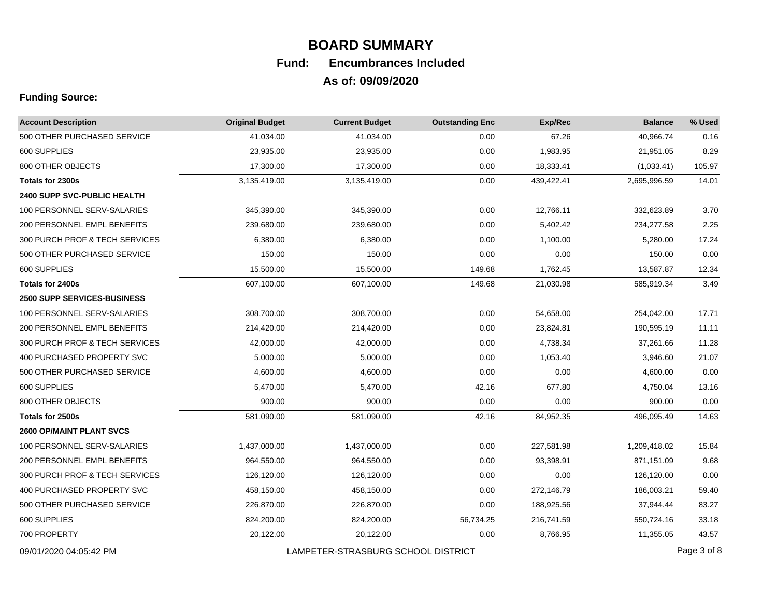| <b>Account Description</b>         | <b>Original Budget</b> | <b>Current Budget</b>              | <b>Outstanding Enc</b> | Exp/Rec    | <b>Balance</b> | % Used      |
|------------------------------------|------------------------|------------------------------------|------------------------|------------|----------------|-------------|
| 500 OTHER PURCHASED SERVICE        | 41,034.00              | 41,034.00                          | 0.00                   | 67.26      | 40,966.74      | 0.16        |
| 600 SUPPLIES                       | 23,935.00              | 23,935.00                          | 0.00                   | 1,983.95   | 21,951.05      | 8.29        |
| 800 OTHER OBJECTS                  | 17,300.00              | 17,300.00                          | 0.00                   | 18,333.41  | (1,033.41)     | 105.97      |
| Totals for 2300s                   | 3,135,419.00           | 3,135,419.00                       | 0.00                   | 439,422.41 | 2,695,996.59   | 14.01       |
| <b>2400 SUPP SVC-PUBLIC HEALTH</b> |                        |                                    |                        |            |                |             |
| 100 PERSONNEL SERV-SALARIES        | 345,390.00             | 345,390.00                         | 0.00                   | 12,766.11  | 332,623.89     | 3.70        |
| 200 PERSONNEL EMPL BENEFITS        | 239,680.00             | 239,680.00                         | 0.00                   | 5,402.42   | 234,277.58     | 2.25        |
| 300 PURCH PROF & TECH SERVICES     | 6,380.00               | 6,380.00                           | 0.00                   | 1,100.00   | 5,280.00       | 17.24       |
| 500 OTHER PURCHASED SERVICE        | 150.00                 | 150.00                             | 0.00                   | 0.00       | 150.00         | 0.00        |
| 600 SUPPLIES                       | 15,500.00              | 15,500.00                          | 149.68                 | 1,762.45   | 13,587.87      | 12.34       |
| <b>Totals for 2400s</b>            | 607,100.00             | 607,100.00                         | 149.68                 | 21,030.98  | 585,919.34     | 3.49        |
| <b>2500 SUPP SERVICES-BUSINESS</b> |                        |                                    |                        |            |                |             |
| 100 PERSONNEL SERV-SALARIES        | 308,700.00             | 308,700.00                         | 0.00                   | 54,658.00  | 254,042.00     | 17.71       |
| 200 PERSONNEL EMPL BENEFITS        | 214,420.00             | 214,420.00                         | 0.00                   | 23,824.81  | 190,595.19     | 11.11       |
| 300 PURCH PROF & TECH SERVICES     | 42,000.00              | 42,000.00                          | 0.00                   | 4,738.34   | 37,261.66      | 11.28       |
| 400 PURCHASED PROPERTY SVC         | 5,000.00               | 5,000.00                           | 0.00                   | 1,053.40   | 3,946.60       | 21.07       |
| 500 OTHER PURCHASED SERVICE        | 4,600.00               | 4,600.00                           | 0.00                   | 0.00       | 4,600.00       | 0.00        |
| 600 SUPPLIES                       | 5,470.00               | 5,470.00                           | 42.16                  | 677.80     | 4,750.04       | 13.16       |
| 800 OTHER OBJECTS                  | 900.00                 | 900.00                             | 0.00                   | 0.00       | 900.00         | 0.00        |
| Totals for 2500s                   | 581,090.00             | 581,090.00                         | 42.16                  | 84,952.35  | 496,095.49     | 14.63       |
| <b>2600 OP/MAINT PLANT SVCS</b>    |                        |                                    |                        |            |                |             |
| 100 PERSONNEL SERV-SALARIES        | 1,437,000.00           | 1,437,000.00                       | 0.00                   | 227,581.98 | 1,209,418.02   | 15.84       |
| 200 PERSONNEL EMPL BENEFITS        | 964,550.00             | 964,550.00                         | 0.00                   | 93,398.91  | 871,151.09     | 9.68        |
| 300 PURCH PROF & TECH SERVICES     | 126,120.00             | 126,120.00                         | 0.00                   | 0.00       | 126,120.00     | 0.00        |
| 400 PURCHASED PROPERTY SVC         | 458,150.00             | 458,150.00                         | 0.00                   | 272,146.79 | 186,003.21     | 59.40       |
| 500 OTHER PURCHASED SERVICE        | 226,870.00             | 226,870.00                         | 0.00                   | 188,925.56 | 37,944.44      | 83.27       |
| 600 SUPPLIES                       | 824,200.00             | 824,200.00                         | 56,734.25              | 216,741.59 | 550,724.16     | 33.18       |
| 700 PROPERTY                       | 20,122.00              | 20,122.00                          | 0.00                   | 8,766.95   | 11,355.05      | 43.57       |
| 09/01/2020 04:05:42 PM             |                        | LAMPETER-STRASBURG SCHOOL DISTRICT |                        |            |                | Page 3 of 8 |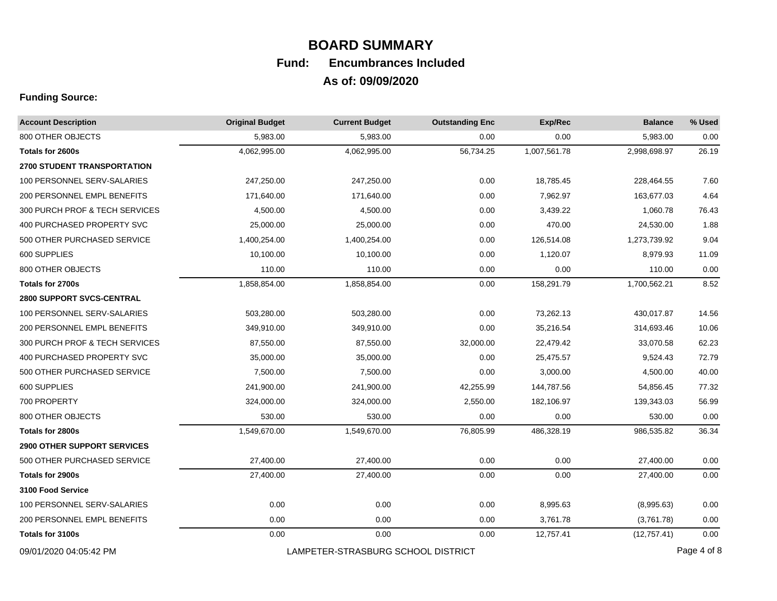| <b>Account Description</b>         | <b>Original Budget</b> | <b>Current Budget</b>              | <b>Outstanding Enc</b> | Exp/Rec      | <b>Balance</b> | % Used      |
|------------------------------------|------------------------|------------------------------------|------------------------|--------------|----------------|-------------|
| 800 OTHER OBJECTS                  | 5,983.00               | 5,983.00                           | 0.00                   | 0.00         | 5,983.00       | 0.00        |
| Totals for 2600s                   | 4,062,995.00           | 4,062,995.00                       | 56,734.25              | 1,007,561.78 | 2,998,698.97   | 26.19       |
| <b>2700 STUDENT TRANSPORTATION</b> |                        |                                    |                        |              |                |             |
| 100 PERSONNEL SERV-SALARIES        | 247,250.00             | 247,250.00                         | 0.00                   | 18,785.45    | 228,464.55     | 7.60        |
| 200 PERSONNEL EMPL BENEFITS        | 171,640.00             | 171,640.00                         | 0.00                   | 7,962.97     | 163,677.03     | 4.64        |
| 300 PURCH PROF & TECH SERVICES     | 4,500.00               | 4,500.00                           | 0.00                   | 3,439.22     | 1,060.78       | 76.43       |
| 400 PURCHASED PROPERTY SVC         | 25,000.00              | 25,000.00                          | 0.00                   | 470.00       | 24,530.00      | 1.88        |
| 500 OTHER PURCHASED SERVICE        | 1,400,254.00           | 1,400,254.00                       | 0.00                   | 126,514.08   | 1,273,739.92   | 9.04        |
| 600 SUPPLIES                       | 10,100.00              | 10,100.00                          | 0.00                   | 1,120.07     | 8,979.93       | 11.09       |
| 800 OTHER OBJECTS                  | 110.00                 | 110.00                             | 0.00                   | 0.00         | 110.00         | 0.00        |
| Totals for 2700s                   | 1,858,854.00           | 1,858,854.00                       | 0.00                   | 158,291.79   | 1,700,562.21   | 8.52        |
| <b>2800 SUPPORT SVCS-CENTRAL</b>   |                        |                                    |                        |              |                |             |
| 100 PERSONNEL SERV-SALARIES        | 503,280.00             | 503,280.00                         | 0.00                   | 73,262.13    | 430,017.87     | 14.56       |
| 200 PERSONNEL EMPL BENEFITS        | 349,910.00             | 349,910.00                         | 0.00                   | 35,216.54    | 314,693.46     | 10.06       |
| 300 PURCH PROF & TECH SERVICES     | 87,550.00              | 87,550.00                          | 32,000.00              | 22,479.42    | 33,070.58      | 62.23       |
| 400 PURCHASED PROPERTY SVC         | 35,000.00              | 35,000.00                          | 0.00                   | 25,475.57    | 9,524.43       | 72.79       |
| 500 OTHER PURCHASED SERVICE        | 7,500.00               | 7,500.00                           | 0.00                   | 3,000.00     | 4,500.00       | 40.00       |
| 600 SUPPLIES                       | 241,900.00             | 241,900.00                         | 42,255.99              | 144,787.56   | 54,856.45      | 77.32       |
| 700 PROPERTY                       | 324,000.00             | 324,000.00                         | 2,550.00               | 182,106.97   | 139,343.03     | 56.99       |
| 800 OTHER OBJECTS                  | 530.00                 | 530.00                             | 0.00                   | 0.00         | 530.00         | 0.00        |
| Totals for 2800s                   | 1,549,670.00           | 1,549,670.00                       | 76,805.99              | 486,328.19   | 986,535.82     | 36.34       |
| <b>2900 OTHER SUPPORT SERVICES</b> |                        |                                    |                        |              |                |             |
| 500 OTHER PURCHASED SERVICE        | 27,400.00              | 27,400.00                          | 0.00                   | 0.00         | 27,400.00      | 0.00        |
| Totals for 2900s                   | 27,400.00              | 27,400.00                          | 0.00                   | 0.00         | 27,400.00      | 0.00        |
| 3100 Food Service                  |                        |                                    |                        |              |                |             |
| 100 PERSONNEL SERV-SALARIES        | 0.00                   | 0.00                               | 0.00                   | 8,995.63     | (8,995.63)     | 0.00        |
| 200 PERSONNEL EMPL BENEFITS        | 0.00                   | 0.00                               | 0.00                   | 3,761.78     | (3,761.78)     | 0.00        |
| Totals for 3100s                   | 0.00                   | 0.00                               | 0.00                   | 12,757.41    | (12,757.41)    | 0.00        |
| 09/01/2020 04:05:42 PM             |                        | LAMPETER-STRASBURG SCHOOL DISTRICT |                        |              |                | Page 4 of 8 |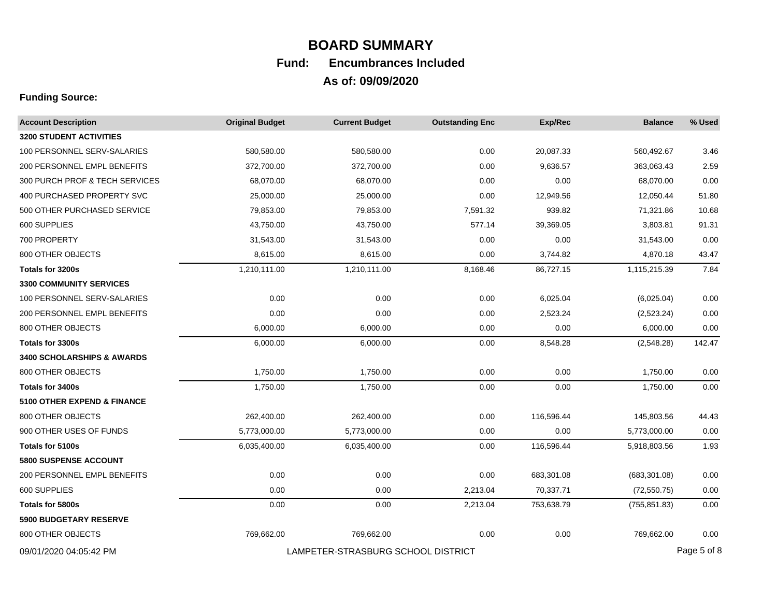| <b>Account Description</b>            | <b>Original Budget</b> | <b>Current Budget</b>              | <b>Outstanding Enc</b> | Exp/Rec    | <b>Balance</b> | % Used      |
|---------------------------------------|------------------------|------------------------------------|------------------------|------------|----------------|-------------|
| <b>3200 STUDENT ACTIVITIES</b>        |                        |                                    |                        |            |                |             |
| 100 PERSONNEL SERV-SALARIES           | 580,580.00             | 580,580.00                         | 0.00                   | 20,087.33  | 560,492.67     | 3.46        |
| 200 PERSONNEL EMPL BENEFITS           | 372,700.00             | 372,700.00                         | 0.00                   | 9,636.57   | 363,063.43     | 2.59        |
| 300 PURCH PROF & TECH SERVICES        | 68,070.00              | 68,070.00                          | 0.00                   | 0.00       | 68,070.00      | 0.00        |
| 400 PURCHASED PROPERTY SVC            | 25,000.00              | 25,000.00                          | 0.00                   | 12,949.56  | 12,050.44      | 51.80       |
| 500 OTHER PURCHASED SERVICE           | 79,853.00              | 79,853.00                          | 7,591.32               | 939.82     | 71,321.86      | 10.68       |
| 600 SUPPLIES                          | 43,750.00              | 43,750.00                          | 577.14                 | 39,369.05  | 3,803.81       | 91.31       |
| 700 PROPERTY                          | 31,543.00              | 31,543.00                          | 0.00                   | 0.00       | 31,543.00      | 0.00        |
| 800 OTHER OBJECTS                     | 8,615.00               | 8,615.00                           | 0.00                   | 3,744.82   | 4,870.18       | 43.47       |
| Totals for 3200s                      | 1,210,111.00           | 1,210,111.00                       | 8,168.46               | 86,727.15  | 1,115,215.39   | 7.84        |
| <b>3300 COMMUNITY SERVICES</b>        |                        |                                    |                        |            |                |             |
| 100 PERSONNEL SERV-SALARIES           | 0.00                   | 0.00                               | 0.00                   | 6,025.04   | (6,025.04)     | 0.00        |
| 200 PERSONNEL EMPL BENEFITS           | 0.00                   | 0.00                               | 0.00                   | 2,523.24   | (2,523.24)     | 0.00        |
| 800 OTHER OBJECTS                     | 6,000.00               | 6,000.00                           | 0.00                   | 0.00       | 6,000.00       | 0.00        |
| Totals for 3300s                      | 6,000.00               | 6,000.00                           | 0.00                   | 8,548.28   | (2,548.28)     | 142.47      |
| <b>3400 SCHOLARSHIPS &amp; AWARDS</b> |                        |                                    |                        |            |                |             |
| 800 OTHER OBJECTS                     | 1,750.00               | 1,750.00                           | 0.00                   | 0.00       | 1,750.00       | 0.00        |
| Totals for 3400s                      | 1,750.00               | 1,750.00                           | 0.00                   | 0.00       | 1,750.00       | 0.00        |
| 5100 OTHER EXPEND & FINANCE           |                        |                                    |                        |            |                |             |
| 800 OTHER OBJECTS                     | 262,400.00             | 262,400.00                         | 0.00                   | 116,596.44 | 145,803.56     | 44.43       |
| 900 OTHER USES OF FUNDS               | 5,773,000.00           | 5,773,000.00                       | 0.00                   | 0.00       | 5,773,000.00   | 0.00        |
| <b>Totals for 5100s</b>               | 6,035,400.00           | 6,035,400.00                       | 0.00                   | 116,596.44 | 5,918,803.56   | 1.93        |
| <b>5800 SUSPENSE ACCOUNT</b>          |                        |                                    |                        |            |                |             |
| 200 PERSONNEL EMPL BENEFITS           | 0.00                   | 0.00                               | 0.00                   | 683,301.08 | (683,301.08)   | 0.00        |
| 600 SUPPLIES                          | 0.00                   | 0.00                               | 2,213.04               | 70,337.71  | (72, 550.75)   | 0.00        |
| Totals for 5800s                      | 0.00                   | 0.00                               | 2,213.04               | 753,638.79 | (755, 851.83)  | 0.00        |
| 5900 BUDGETARY RESERVE                |                        |                                    |                        |            |                |             |
| 800 OTHER OBJECTS                     | 769,662.00             | 769,662.00                         | 0.00                   | 0.00       | 769,662.00     | 0.00        |
| 09/01/2020 04:05:42 PM                |                        | LAMPETER-STRASBURG SCHOOL DISTRICT |                        |            |                | Page 5 of 8 |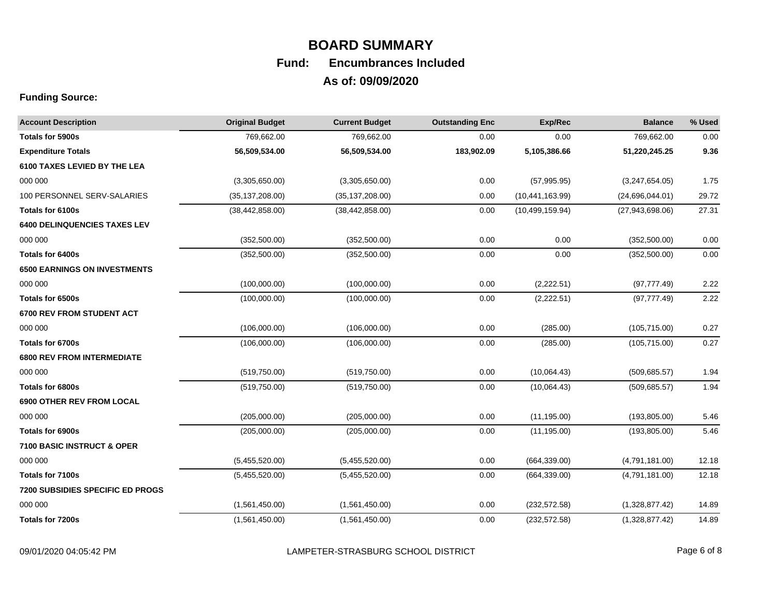| <b>Account Description</b>              | <b>Original Budget</b> | <b>Current Budget</b> | <b>Outstanding Enc</b> | Exp/Rec           | <b>Balance</b>    | % Used |
|-----------------------------------------|------------------------|-----------------------|------------------------|-------------------|-------------------|--------|
| Totals for 5900s                        | 769,662.00             | 769,662.00            | 0.00                   | 0.00              | 769,662.00        | 0.00   |
| <b>Expenditure Totals</b>               | 56,509,534.00          | 56,509,534.00         | 183,902.09             | 5,105,386.66      | 51,220,245.25     | 9.36   |
| 6100 TAXES LEVIED BY THE LEA            |                        |                       |                        |                   |                   |        |
| 000 000                                 | (3,305,650.00)         | (3,305,650.00)        | 0.00                   | (57, 995.95)      | (3,247,654.05)    | 1.75   |
| 100 PERSONNEL SERV-SALARIES             | (35, 137, 208.00)      | (35, 137, 208.00)     | 0.00                   | (10, 441, 163.99) | (24,696,044.01)   | 29.72  |
| Totals for 6100s                        | (38, 442, 858.00)      | (38, 442, 858.00)     | 0.00                   | (10, 499, 159.94) | (27, 943, 698.06) | 27.31  |
| <b>6400 DELINQUENCIES TAXES LEV</b>     |                        |                       |                        |                   |                   |        |
| 000 000                                 | (352, 500.00)          | (352, 500.00)         | 0.00                   | 0.00              | (352, 500.00)     | 0.00   |
| Totals for 6400s                        | (352, 500.00)          | (352, 500.00)         | 0.00                   | 0.00              | (352, 500.00)     | 0.00   |
| <b>6500 EARNINGS ON INVESTMENTS</b>     |                        |                       |                        |                   |                   |        |
| 000 000                                 | (100,000.00)           | (100,000.00)          | 0.00                   | (2,222.51)        | (97, 777.49)      | 2.22   |
| Totals for 6500s                        | (100,000.00)           | (100,000.00)          | 0.00                   | (2,222.51)        | (97, 777.49)      | 2.22   |
| <b>6700 REV FROM STUDENT ACT</b>        |                        |                       |                        |                   |                   |        |
| 000 000                                 | (106,000.00)           | (106,000.00)          | 0.00                   | (285.00)          | (105, 715.00)     | 0.27   |
| Totals for 6700s                        | (106,000.00)           | (106,000.00)          | 0.00                   | (285.00)          | (105, 715.00)     | 0.27   |
| <b>6800 REV FROM INTERMEDIATE</b>       |                        |                       |                        |                   |                   |        |
| 000 000                                 | (519,750.00)           | (519,750.00)          | 0.00                   | (10,064.43)       | (509, 685.57)     | 1.94   |
| Totals for 6800s                        | (519,750.00)           | (519, 750.00)         | 0.00                   | (10,064.43)       | (509, 685.57)     | 1.94   |
| <b>6900 OTHER REV FROM LOCAL</b>        |                        |                       |                        |                   |                   |        |
| 000 000                                 | (205,000.00)           | (205,000.00)          | 0.00                   | (11, 195.00)      | (193, 805.00)     | 5.46   |
| Totals for 6900s                        | (205,000.00)           | (205,000.00)          | 0.00                   | (11, 195.00)      | (193, 805.00)     | 5.46   |
| 7100 BASIC INSTRUCT & OPER              |                        |                       |                        |                   |                   |        |
| 000 000                                 | (5,455,520.00)         | (5,455,520.00)        | 0.00                   | (664, 339.00)     | (4,791,181.00)    | 12.18  |
| Totals for 7100s                        | (5,455,520.00)         | (5,455,520.00)        | 0.00                   | (664, 339.00)     | (4,791,181.00)    | 12.18  |
| <b>7200 SUBSIDIES SPECIFIC ED PROGS</b> |                        |                       |                        |                   |                   |        |
| 000 000                                 | (1,561,450.00)         | (1,561,450.00)        | 0.00                   | (232, 572.58)     | (1,328,877.42)    | 14.89  |
| Totals for 7200s                        | (1,561,450.00)         | (1,561,450.00)        | 0.00                   | (232, 572.58)     | (1,328,877.42)    | 14.89  |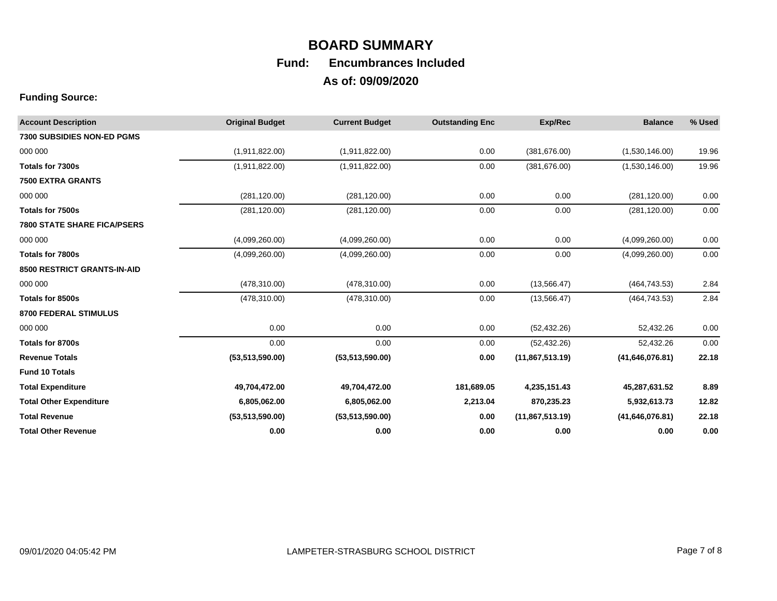| <b>Account Description</b>         | <b>Original Budget</b> | <b>Current Budget</b> | <b>Outstanding Enc</b> | Exp/Rec         | <b>Balance</b>  | % Used |
|------------------------------------|------------------------|-----------------------|------------------------|-----------------|-----------------|--------|
| <b>7300 SUBSIDIES NON-ED PGMS</b>  |                        |                       |                        |                 |                 |        |
| 000 000                            | (1,911,822.00)         | (1,911,822.00)        | 0.00                   | (381, 676.00)   | (1,530,146.00)  | 19.96  |
| Totals for 7300s                   | (1,911,822.00)         | (1,911,822.00)        | 0.00                   | (381, 676.00)   | (1,530,146.00)  | 19.96  |
| <b>7500 EXTRA GRANTS</b>           |                        |                       |                        |                 |                 |        |
| 000 000                            | (281, 120.00)          | (281, 120.00)         | 0.00                   | 0.00            | (281, 120.00)   | 0.00   |
| Totals for 7500s                   | (281, 120.00)          | (281, 120.00)         | 0.00                   | 0.00            | (281, 120.00)   | 0.00   |
| <b>7800 STATE SHARE FICA/PSERS</b> |                        |                       |                        |                 |                 |        |
| 000 000                            | (4,099,260.00)         | (4,099,260.00)        | 0.00                   | 0.00            | (4,099,260.00)  | 0.00   |
| Totals for 7800s                   | (4,099,260.00)         | (4,099,260.00)        | 0.00                   | 0.00            | (4,099,260.00)  | 0.00   |
| 8500 RESTRICT GRANTS-IN-AID        |                        |                       |                        |                 |                 |        |
| 000 000                            | (478, 310.00)          | (478, 310.00)         | 0.00                   | (13, 566.47)    | (464, 743.53)   | 2.84   |
| Totals for 8500s                   | (478, 310.00)          | (478, 310.00)         | 0.00                   | (13, 566.47)    | (464, 743.53)   | 2.84   |
| 8700 FEDERAL STIMULUS              |                        |                       |                        |                 |                 |        |
| 000 000                            | 0.00                   | 0.00                  | 0.00                   | (52, 432.26)    | 52,432.26       | 0.00   |
| Totals for 8700s                   | 0.00                   | 0.00                  | 0.00                   | (52, 432.26)    | 52,432.26       | 0.00   |
| <b>Revenue Totals</b>              | (53,513,590.00)        | (53,513,590.00)       | 0.00                   | (11,867,513.19) | (41,646,076.81) | 22.18  |
| <b>Fund 10 Totals</b>              |                        |                       |                        |                 |                 |        |
| <b>Total Expenditure</b>           | 49,704,472.00          | 49,704,472.00         | 181,689.05             | 4,235,151.43    | 45,287,631.52   | 8.89   |
| <b>Total Other Expenditure</b>     | 6,805,062.00           | 6,805,062.00          | 2,213.04               | 870,235.23      | 5,932,613.73    | 12.82  |
| <b>Total Revenue</b>               | (53,513,590.00)        | (53,513,590.00)       | 0.00                   | (11,867,513.19) | (41,646,076.81) | 22.18  |
| <b>Total Other Revenue</b>         | 0.00                   | 0.00                  | 0.00                   | 0.00            | 0.00            | 0.00   |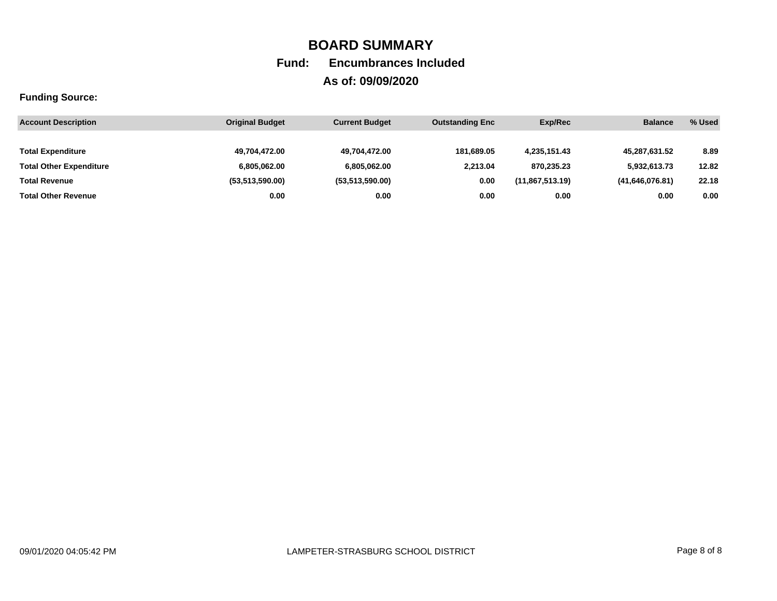| <b>Account Description</b>     | <b>Original Budget</b> | <b>Current Budget</b> | <b>Outstanding Enc</b> | Exp/Rec         | <b>Balance</b>  | % Used |
|--------------------------------|------------------------|-----------------------|------------------------|-----------------|-----------------|--------|
|                                |                        |                       |                        |                 |                 |        |
| <b>Total Expenditure</b>       | 49,704,472.00          | 49.704.472.00         | 181.689.05             | 4.235.151.43    | 45.287.631.52   | 8.89   |
| <b>Total Other Expenditure</b> | 6,805,062.00           | 6.805.062.00          | 2.213.04               | 870.235.23      | 5.932.613.73    | 12.82  |
| <b>Total Revenue</b>           | (53.513.590.00)        | (53,513,590.00)       | 0.00                   | (11,867,513.19) | (41,646,076.81) | 22.18  |
| <b>Total Other Revenue</b>     | 0.00                   | 0.00                  | 0.00                   | 0.00            | 0.00            | 0.00   |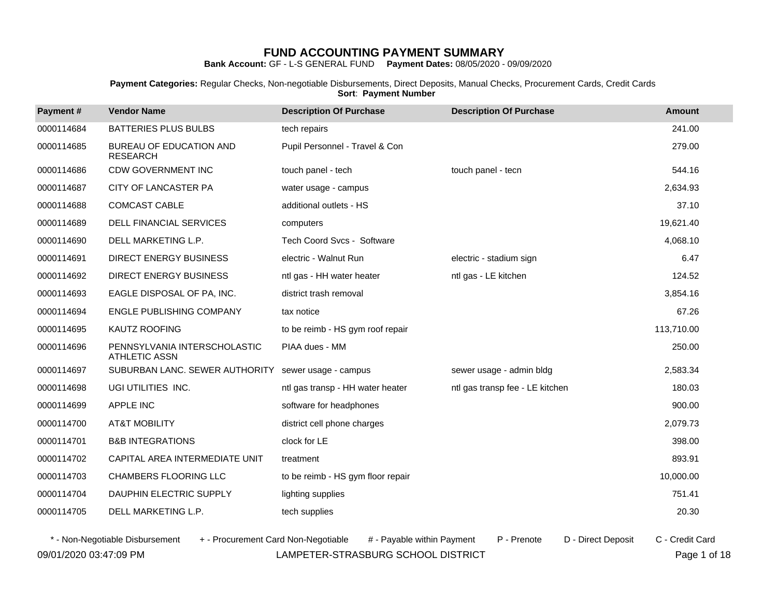**Bank Account:** GF - L-S GENERAL FUND **Payment Dates:** 08/05/2020 - 09/09/2020

**Payment Categories:** Regular Checks, Non-negotiable Disbursements, Direct Deposits, Manual Checks, Procurement Cards, Credit Cards **Sort**: **Payment Number**

| Payment#   | <b>Vendor Name</b>                                   | <b>Description Of Purchase</b>    | <b>Description Of Purchase</b>  | <b>Amount</b> |
|------------|------------------------------------------------------|-----------------------------------|---------------------------------|---------------|
| 0000114684 | <b>BATTERIES PLUS BULBS</b>                          | tech repairs                      |                                 | 241.00        |
| 0000114685 | BUREAU OF EDUCATION AND<br><b>RESEARCH</b>           | Pupil Personnel - Travel & Con    |                                 | 279.00        |
| 0000114686 | <b>CDW GOVERNMENT INC</b>                            | touch panel - tech                | touch panel - tecn              | 544.16        |
| 0000114687 | CITY OF LANCASTER PA                                 | water usage - campus              |                                 | 2,634.93      |
| 0000114688 | <b>COMCAST CABLE</b>                                 | additional outlets - HS           |                                 | 37.10         |
| 0000114689 | <b>DELL FINANCIAL SERVICES</b>                       | computers                         |                                 | 19,621.40     |
| 0000114690 | DELL MARKETING L.P.                                  | Tech Coord Svcs - Software        |                                 | 4,068.10      |
| 0000114691 | <b>DIRECT ENERGY BUSINESS</b>                        | electric - Walnut Run             | electric - stadium sign         | 6.47          |
| 0000114692 | <b>DIRECT ENERGY BUSINESS</b>                        | ntl gas - HH water heater         | ntl gas - LE kitchen            | 124.52        |
| 0000114693 | EAGLE DISPOSAL OF PA, INC.                           | district trash removal            |                                 | 3,854.16      |
| 0000114694 | <b>ENGLE PUBLISHING COMPANY</b>                      | tax notice                        |                                 | 67.26         |
| 0000114695 | KAUTZ ROOFING                                        | to be reimb - HS gym roof repair  |                                 | 113,710.00    |
| 0000114696 | PENNSYLVANIA INTERSCHOLASTIC<br><b>ATHLETIC ASSN</b> | PIAA dues - MM                    |                                 | 250.00        |
| 0000114697 | SUBURBAN LANC. SEWER AUTHORITY                       | sewer usage - campus              | sewer usage - admin bldg        | 2,583.34      |
| 0000114698 | UGI UTILITIES INC.                                   | ntl gas transp - HH water heater  | ntl gas transp fee - LE kitchen | 180.03        |
| 0000114699 | APPLE INC                                            | software for headphones           |                                 | 900.00        |
| 0000114700 | <b>AT&amp;T MOBILITY</b>                             | district cell phone charges       |                                 | 2,079.73      |
| 0000114701 | <b>B&amp;B INTEGRATIONS</b>                          | clock for LE                      |                                 | 398.00        |
| 0000114702 | CAPITAL AREA INTERMEDIATE UNIT                       | treatment                         |                                 | 893.91        |
| 0000114703 | <b>CHAMBERS FLOORING LLC</b>                         | to be reimb - HS gym floor repair |                                 | 10,000.00     |
| 0000114704 | DAUPHIN ELECTRIC SUPPLY                              | lighting supplies                 |                                 | 751.41        |
| 0000114705 | DELL MARKETING L.P.                                  | tech supplies                     |                                 | 20.30         |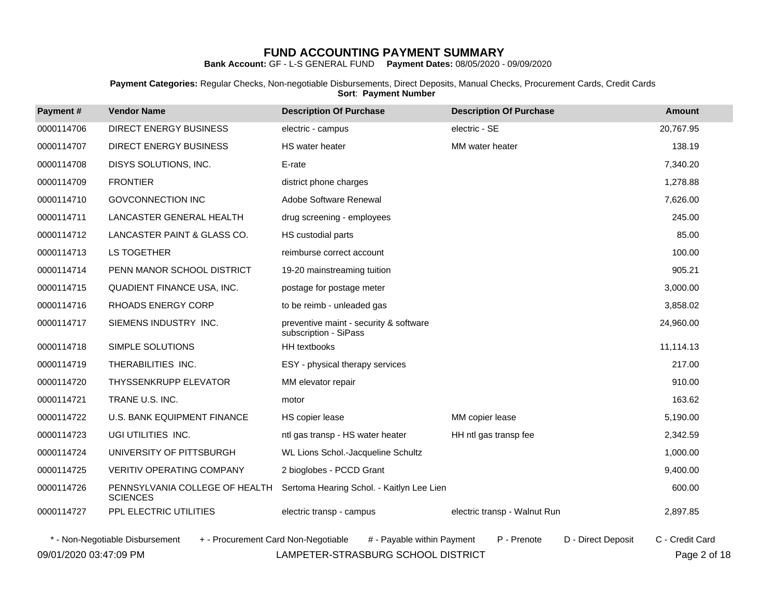**Bank Account:** GF - L-S GENERAL FUND **Payment Dates:** 08/05/2020 - 09/09/2020

**Payment Categories:** Regular Checks, Non-negotiable Disbursements, Direct Deposits, Manual Checks, Procurement Cards, Credit Cards **Sort**: **Payment Number**

| Payment#   | <b>Vendor Name</b>                                                     | <b>Description Of Purchase</b>                                  | <b>Description Of Purchase</b>    | <b>Amount</b>   |
|------------|------------------------------------------------------------------------|-----------------------------------------------------------------|-----------------------------------|-----------------|
| 0000114706 | <b>DIRECT ENERGY BUSINESS</b>                                          | electric - campus                                               | electric - SE                     | 20,767.95       |
| 0000114707 | DIRECT ENERGY BUSINESS                                                 | HS water heater                                                 | MM water heater                   | 138.19          |
| 0000114708 | DISYS SOLUTIONS, INC.                                                  | E-rate                                                          |                                   | 7,340.20        |
| 0000114709 | <b>FRONTIER</b>                                                        | district phone charges                                          |                                   | 1,278.88        |
| 0000114710 | <b>GOVCONNECTION INC</b>                                               | Adobe Software Renewal                                          |                                   | 7,626.00        |
| 0000114711 | LANCASTER GENERAL HEALTH                                               | drug screening - employees                                      |                                   | 245.00          |
| 0000114712 | LANCASTER PAINT & GLASS CO.                                            | HS custodial parts                                              |                                   | 85.00           |
| 0000114713 | LS TOGETHER                                                            | reimburse correct account                                       |                                   | 100.00          |
| 0000114714 | PENN MANOR SCHOOL DISTRICT                                             | 19-20 mainstreaming tuition                                     |                                   | 905.21          |
| 0000114715 | QUADIENT FINANCE USA, INC.                                             | postage for postage meter                                       |                                   | 3,000.00        |
| 0000114716 | RHOADS ENERGY CORP                                                     | to be reimb - unleaded gas                                      |                                   | 3,858.02        |
| 0000114717 | SIEMENS INDUSTRY INC.                                                  | preventive maint - security & software<br>subscription - SiPass |                                   | 24,960.00       |
| 0000114718 | SIMPLE SOLUTIONS                                                       | HH textbooks                                                    |                                   | 11,114.13       |
| 0000114719 | THERABILITIES INC.                                                     | ESY - physical therapy services                                 |                                   | 217.00          |
| 0000114720 | <b>THYSSENKRUPP ELEVATOR</b>                                           | MM elevator repair                                              |                                   | 910.00          |
| 0000114721 | TRANE U.S. INC.                                                        | motor                                                           |                                   | 163.62          |
| 0000114722 | U.S. BANK EQUIPMENT FINANCE                                            | HS copier lease                                                 | MM copier lease                   | 5,190.00        |
| 0000114723 | UGI UTILITIES INC.                                                     | ntl gas transp - HS water heater                                | HH ntl gas transp fee             | 2,342.59        |
| 0000114724 | UNIVERSITY OF PITTSBURGH                                               | WL Lions Schol.-Jacqueline Schultz                              |                                   | 1,000.00        |
| 0000114725 | VERITIV OPERATING COMPANY                                              | 2 bioglobes - PCCD Grant                                        |                                   | 9,400.00        |
| 0000114726 | PENNSYLVANIA COLLEGE OF HEALTH<br><b>SCIENCES</b>                      | Sertoma Hearing Schol. - Kaitlyn Lee Lien                       |                                   | 600.00          |
| 0000114727 | PPL ELECTRIC UTILITIES                                                 | electric transp - campus                                        | electric transp - Walnut Run      | 2,897.85        |
|            | * - Non-Negotiable Disbursement<br>+ - Procurement Card Non-Negotiable | # - Pavable within Payment                                      | D - Direct Deposit<br>P - Prenote | C - Credit Card |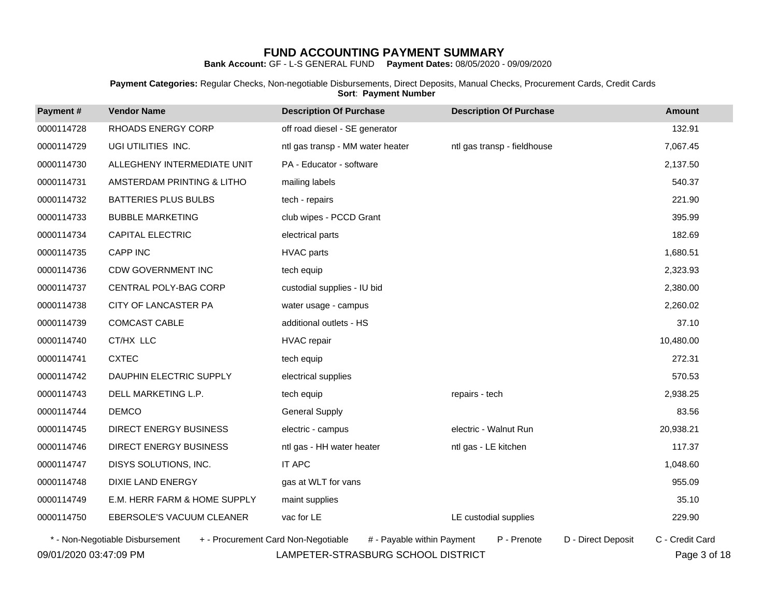**Bank Account:** GF - L-S GENERAL FUND **Payment Dates:** 08/05/2020 - 09/09/2020

**Payment Categories:** Regular Checks, Non-negotiable Disbursements, Direct Deposits, Manual Checks, Procurement Cards, Credit Cards **Sort**: **Payment Number**

| Payment#   | <b>Vendor Name</b>                                                     | <b>Description Of Purchase</b>   | <b>Description Of Purchase</b>    | <b>Amount</b>   |
|------------|------------------------------------------------------------------------|----------------------------------|-----------------------------------|-----------------|
| 0000114728 | RHOADS ENERGY CORP                                                     | off road diesel - SE generator   |                                   | 132.91          |
| 0000114729 | UGI UTILITIES INC.                                                     | ntl gas transp - MM water heater | ntl gas transp - fieldhouse       | 7,067.45        |
| 0000114730 | ALLEGHENY INTERMEDIATE UNIT                                            | PA - Educator - software         |                                   | 2,137.50        |
| 0000114731 | AMSTERDAM PRINTING & LITHO                                             | mailing labels                   |                                   | 540.37          |
| 0000114732 | <b>BATTERIES PLUS BULBS</b>                                            | tech - repairs                   |                                   | 221.90          |
| 0000114733 | <b>BUBBLE MARKETING</b>                                                | club wipes - PCCD Grant          |                                   | 395.99          |
| 0000114734 | <b>CAPITAL ELECTRIC</b>                                                | electrical parts                 |                                   | 182.69          |
| 0000114735 | <b>CAPP INC</b>                                                        | <b>HVAC</b> parts                |                                   | 1,680.51        |
| 0000114736 | <b>CDW GOVERNMENT INC</b>                                              | tech equip                       |                                   | 2,323.93        |
| 0000114737 | CENTRAL POLY-BAG CORP                                                  | custodial supplies - IU bid      |                                   | 2,380.00        |
| 0000114738 | CITY OF LANCASTER PA                                                   | water usage - campus             |                                   | 2,260.02        |
| 0000114739 | COMCAST CABLE                                                          | additional outlets - HS          |                                   | 37.10           |
| 0000114740 | CT/HX LLC                                                              | <b>HVAC</b> repair               |                                   | 10,480.00       |
| 0000114741 | <b>CXTEC</b>                                                           | tech equip                       |                                   | 272.31          |
| 0000114742 | DAUPHIN ELECTRIC SUPPLY                                                | electrical supplies              |                                   | 570.53          |
| 0000114743 | DELL MARKETING L.P.                                                    | tech equip                       | repairs - tech                    | 2,938.25        |
| 0000114744 | <b>DEMCO</b>                                                           | <b>General Supply</b>            |                                   | 83.56           |
| 0000114745 | DIRECT ENERGY BUSINESS                                                 | electric - campus                | electric - Walnut Run             | 20,938.21       |
| 0000114746 | <b>DIRECT ENERGY BUSINESS</b>                                          | ntl gas - HH water heater        | ntl gas - LE kitchen              | 117.37          |
| 0000114747 | DISYS SOLUTIONS, INC.                                                  | <b>IT APC</b>                    |                                   | 1,048.60        |
| 0000114748 | DIXIE LAND ENERGY                                                      | gas at WLT for vans              |                                   | 955.09          |
| 0000114749 | E.M. HERR FARM & HOME SUPPLY                                           | maint supplies                   |                                   | 35.10           |
| 0000114750 | EBERSOLE'S VACUUM CLEANER                                              | vac for LE                       | LE custodial supplies             | 229.90          |
|            | * - Non-Negotiable Disbursement<br>+ - Procurement Card Non-Negotiable | # - Payable within Payment       | P - Prenote<br>D - Direct Deposit | C - Credit Card |

09/01/2020 03:47:09 PM LAMPETER-STRASBURG SCHOOL DISTRICT Page 3 of 18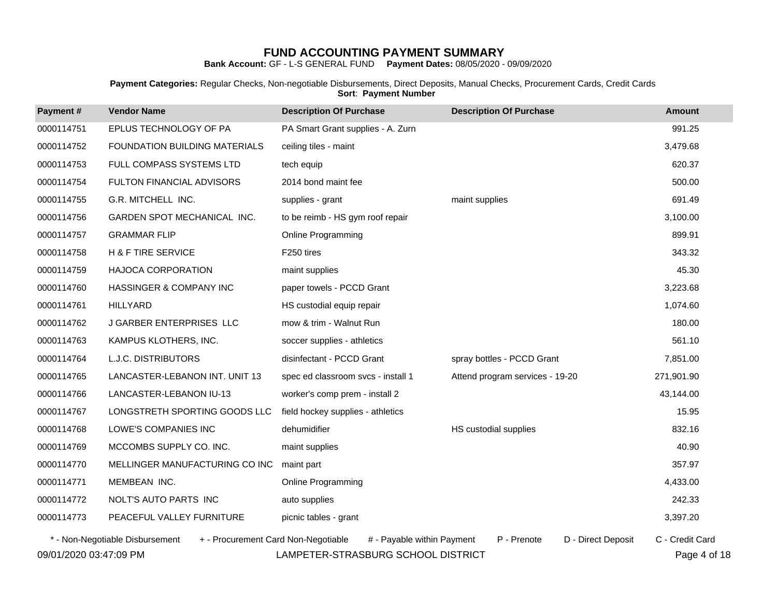**Bank Account:** GF - L-S GENERAL FUND **Payment Dates:** 08/05/2020 - 09/09/2020

**Payment Categories:** Regular Checks, Non-negotiable Disbursements, Direct Deposits, Manual Checks, Procurement Cards, Credit Cards **Sort**: **Payment Number**

| Payment#   | <b>Vendor Name</b>                                                     | <b>Description Of Purchase</b>     | <b>Description Of Purchase</b>    | <b>Amount</b>   |
|------------|------------------------------------------------------------------------|------------------------------------|-----------------------------------|-----------------|
| 0000114751 | EPLUS TECHNOLOGY OF PA                                                 | PA Smart Grant supplies - A. Zurn  |                                   | 991.25          |
| 0000114752 | FOUNDATION BUILDING MATERIALS                                          | ceiling tiles - maint              |                                   | 3,479.68        |
| 0000114753 | FULL COMPASS SYSTEMS LTD                                               | tech equip                         |                                   | 620.37          |
| 0000114754 | FULTON FINANCIAL ADVISORS                                              | 2014 bond maint fee                |                                   | 500.00          |
| 0000114755 | G.R. MITCHELL INC.                                                     | supplies - grant                   | maint supplies                    | 691.49          |
| 0000114756 | GARDEN SPOT MECHANICAL INC.                                            | to be reimb - HS gym roof repair   |                                   | 3,100.00        |
| 0000114757 | <b>GRAMMAR FLIP</b>                                                    | Online Programming                 |                                   | 899.91          |
| 0000114758 | <b>H &amp; F TIRE SERVICE</b>                                          | F250 tires                         |                                   | 343.32          |
| 0000114759 | HAJOCA CORPORATION                                                     | maint supplies                     |                                   | 45.30           |
| 0000114760 | HASSINGER & COMPANY INC                                                | paper towels - PCCD Grant          |                                   | 3,223.68        |
| 0000114761 | <b>HILLYARD</b>                                                        | HS custodial equip repair          |                                   | 1,074.60        |
| 0000114762 | J GARBER ENTERPRISES LLC                                               | mow & trim - Walnut Run            |                                   | 180.00          |
| 0000114763 | KAMPUS KLOTHERS, INC.                                                  | soccer supplies - athletics        |                                   | 561.10          |
| 0000114764 | L.J.C. DISTRIBUTORS                                                    | disinfectant - PCCD Grant          | spray bottles - PCCD Grant        | 7,851.00        |
| 0000114765 | LANCASTER-LEBANON INT. UNIT 13                                         | spec ed classroom svcs - install 1 | Attend program services - 19-20   | 271,901.90      |
| 0000114766 | LANCASTER-LEBANON IU-13                                                | worker's comp prem - install 2     |                                   | 43,144.00       |
| 0000114767 | LONGSTRETH SPORTING GOODS LLC                                          | field hockey supplies - athletics  |                                   | 15.95           |
| 0000114768 | LOWE'S COMPANIES INC                                                   | dehumidifier                       | HS custodial supplies             | 832.16          |
| 0000114769 | MCCOMBS SUPPLY CO. INC.                                                | maint supplies                     |                                   | 40.90           |
| 0000114770 | MELLINGER MANUFACTURING CO INC                                         | maint part                         |                                   | 357.97          |
| 0000114771 | MEMBEAN INC.                                                           | <b>Online Programming</b>          |                                   | 4,433.00        |
| 0000114772 | NOLT'S AUTO PARTS INC                                                  | auto supplies                      |                                   | 242.33          |
| 0000114773 | PEACEFUL VALLEY FURNITURE                                              | picnic tables - grant              |                                   | 3,397.20        |
|            | + - Procurement Card Non-Negotiable<br>* - Non-Negotiable Disbursement | # - Payable within Payment         | D - Direct Deposit<br>P - Prenote | C - Credit Card |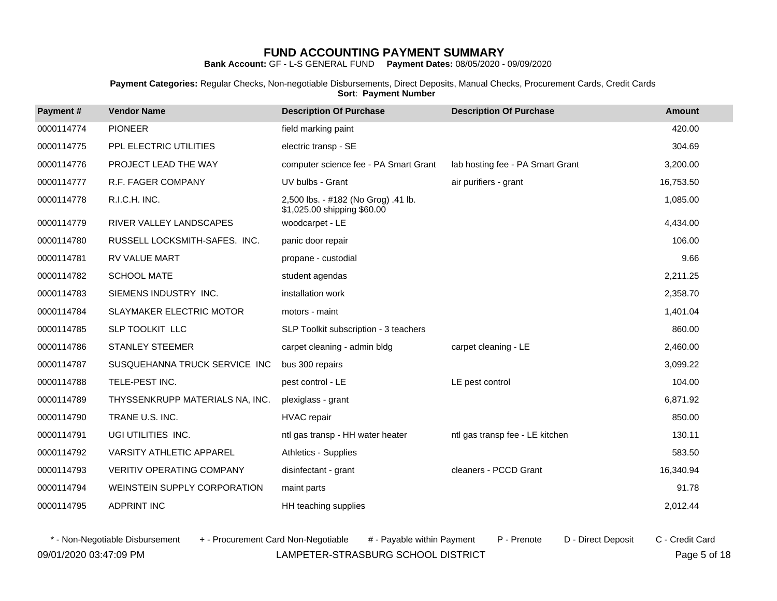**Bank Account:** GF - L-S GENERAL FUND **Payment Dates:** 08/05/2020 - 09/09/2020

**Payment Categories:** Regular Checks, Non-negotiable Disbursements, Direct Deposits, Manual Checks, Procurement Cards, Credit Cards **Sort**: **Payment Number**

| Payment#   | <b>Vendor Name</b>               | <b>Description Of Purchase</b>                                     | <b>Description Of Purchase</b>   | <b>Amount</b> |
|------------|----------------------------------|--------------------------------------------------------------------|----------------------------------|---------------|
| 0000114774 | <b>PIONEER</b>                   | field marking paint                                                |                                  | 420.00        |
| 0000114775 | PPL ELECTRIC UTILITIES           | electric transp - SE                                               |                                  | 304.69        |
| 0000114776 | PROJECT LEAD THE WAY             | computer science fee - PA Smart Grant                              | lab hosting fee - PA Smart Grant | 3,200.00      |
| 0000114777 | R.F. FAGER COMPANY               | UV bulbs - Grant                                                   | air purifiers - grant            | 16,753.50     |
| 0000114778 | R.I.C.H. INC.                    | 2,500 lbs. - #182 (No Grog) .41 lb.<br>\$1,025.00 shipping \$60.00 |                                  | 1,085.00      |
| 0000114779 | RIVER VALLEY LANDSCAPES          | woodcarpet - LE                                                    |                                  | 4,434.00      |
| 0000114780 | RUSSELL LOCKSMITH-SAFES. INC.    | panic door repair                                                  |                                  | 106.00        |
| 0000114781 | RV VALUE MART                    | propane - custodial                                                |                                  | 9.66          |
| 0000114782 | <b>SCHOOL MATE</b>               | student agendas                                                    |                                  | 2,211.25      |
| 0000114783 | SIEMENS INDUSTRY INC.            | installation work                                                  |                                  | 2,358.70      |
| 0000114784 | <b>SLAYMAKER ELECTRIC MOTOR</b>  | motors - maint                                                     |                                  | 1,401.04      |
| 0000114785 | SLP TOOLKIT LLC                  | SLP Toolkit subscription - 3 teachers                              |                                  | 860.00        |
| 0000114786 | <b>STANLEY STEEMER</b>           | carpet cleaning - admin bldg                                       | carpet cleaning - LE             | 2,460.00      |
| 0000114787 | SUSQUEHANNA TRUCK SERVICE INC    | bus 300 repairs                                                    |                                  | 3,099.22      |
| 0000114788 | TELE-PEST INC.                   | pest control - LE                                                  | LE pest control                  | 104.00        |
| 0000114789 | THYSSENKRUPP MATERIALS NA, INC.  | plexiglass - grant                                                 |                                  | 6,871.92      |
| 0000114790 | TRANE U.S. INC.                  | <b>HVAC</b> repair                                                 |                                  | 850.00        |
| 0000114791 | UGI UTILITIES INC.               | ntl gas transp - HH water heater                                   | ntl gas transp fee - LE kitchen  | 130.11        |
| 0000114792 | VARSITY ATHLETIC APPAREL         | Athletics - Supplies                                               |                                  | 583.50        |
| 0000114793 | <b>VERITIV OPERATING COMPANY</b> | disinfectant - grant                                               | cleaners - PCCD Grant            | 16,340.94     |
| 0000114794 | WEINSTEIN SUPPLY CORPORATION     | maint parts                                                        |                                  | 91.78         |
| 0000114795 | <b>ADPRINT INC</b>               | HH teaching supplies                                               |                                  | 2,012.44      |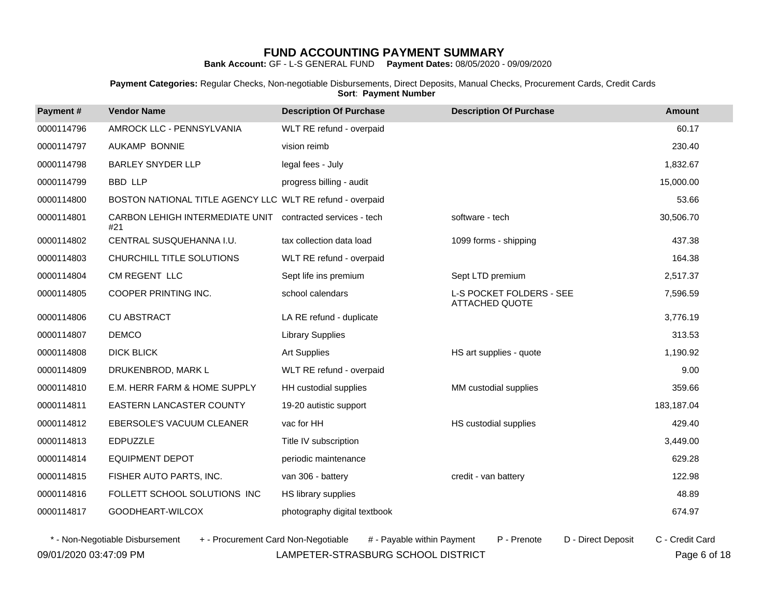**Bank Account:** GF - L-S GENERAL FUND **Payment Dates:** 08/05/2020 - 09/09/2020

**Payment Categories:** Regular Checks, Non-negotiable Disbursements, Direct Deposits, Manual Checks, Procurement Cards, Credit Cards **Sort**: **Payment Number**

| Payment#   | <b>Vendor Name</b>                                        | <b>Description Of Purchase</b> | <b>Description Of Purchase</b>                    | <b>Amount</b> |
|------------|-----------------------------------------------------------|--------------------------------|---------------------------------------------------|---------------|
| 0000114796 | AMROCK LLC - PENNSYLVANIA                                 | WLT RE refund - overpaid       |                                                   | 60.17         |
| 0000114797 | <b>AUKAMP BONNIE</b>                                      | vision reimb                   |                                                   | 230.40        |
| 0000114798 | <b>BARLEY SNYDER LLP</b>                                  | legal fees - July              |                                                   | 1,832.67      |
| 0000114799 | <b>BBD LLP</b>                                            | progress billing - audit       |                                                   | 15,000.00     |
| 0000114800 | BOSTON NATIONAL TITLE AGENCY LLC WLT RE refund - overpaid |                                |                                                   | 53.66         |
| 0000114801 | CARBON LEHIGH INTERMEDIATE UNIT<br>#21                    | contracted services - tech     | software - tech                                   | 30,506.70     |
| 0000114802 | CENTRAL SUSQUEHANNA I.U.                                  | tax collection data load       | 1099 forms - shipping                             | 437.38        |
| 0000114803 | CHURCHILL TITLE SOLUTIONS                                 | WLT RE refund - overpaid       |                                                   | 164.38        |
| 0000114804 | CM REGENT LLC                                             | Sept life ins premium          | Sept LTD premium                                  | 2,517.37      |
| 0000114805 | COOPER PRINTING INC.                                      | school calendars               | L-S POCKET FOLDERS - SEE<br><b>ATTACHED QUOTE</b> | 7,596.59      |
| 0000114806 | <b>CU ABSTRACT</b>                                        | LA RE refund - duplicate       |                                                   | 3,776.19      |
| 0000114807 | <b>DEMCO</b>                                              | <b>Library Supplies</b>        |                                                   | 313.53        |
| 0000114808 | <b>DICK BLICK</b>                                         | <b>Art Supplies</b>            | HS art supplies - quote                           | 1,190.92      |
| 0000114809 | DRUKENBROD, MARK L                                        | WLT RE refund - overpaid       |                                                   | 9.00          |
| 0000114810 | E.M. HERR FARM & HOME SUPPLY                              | HH custodial supplies          | MM custodial supplies                             | 359.66        |
| 0000114811 | EASTERN LANCASTER COUNTY                                  | 19-20 autistic support         |                                                   | 183,187.04    |
| 0000114812 | EBERSOLE'S VACUUM CLEANER                                 | vac for HH                     | HS custodial supplies                             | 429.40        |
| 0000114813 | <b>EDPUZZLE</b>                                           | Title IV subscription          |                                                   | 3,449.00      |
| 0000114814 | <b>EQUIPMENT DEPOT</b>                                    | periodic maintenance           |                                                   | 629.28        |
| 0000114815 | FISHER AUTO PARTS, INC.                                   | van 306 - battery              | credit - van battery                              | 122.98        |
| 0000114816 | FOLLETT SCHOOL SOLUTIONS INC                              | HS library supplies            |                                                   | 48.89         |
| 0000114817 | GOODHEART-WILCOX                                          | photography digital textbook   |                                                   | 674.97        |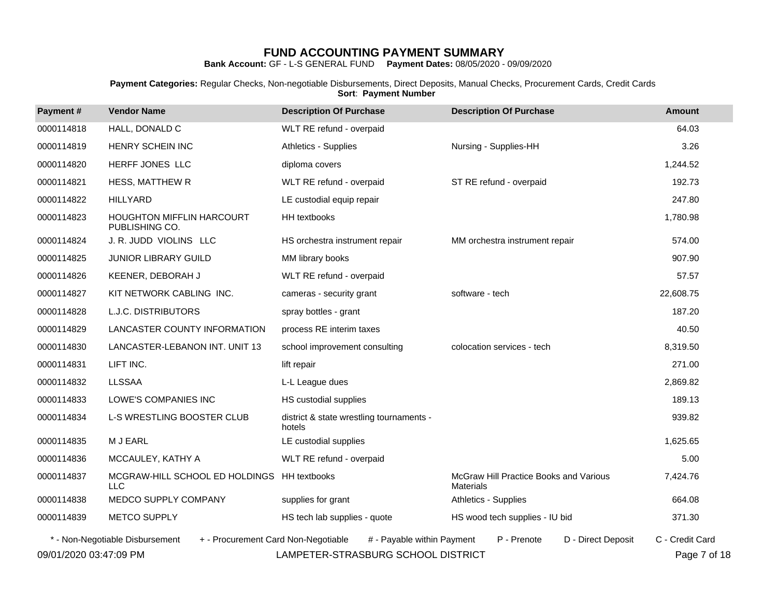**Bank Account:** GF - L-S GENERAL FUND **Payment Dates:** 08/05/2020 - 09/09/2020

**Payment Categories:** Regular Checks, Non-negotiable Disbursements, Direct Deposits, Manual Checks, Procurement Cards, Credit Cards **Sort**: **Payment Number**

| Payment#               | <b>Vendor Name</b>                                                     | <b>Description Of Purchase</b>                     | <b>Description Of Purchase</b>                             | <b>Amount</b>   |
|------------------------|------------------------------------------------------------------------|----------------------------------------------------|------------------------------------------------------------|-----------------|
| 0000114818             | HALL, DONALD C                                                         | WLT RE refund - overpaid                           |                                                            | 64.03           |
| 0000114819             | HENRY SCHEIN INC                                                       | Athletics - Supplies                               | Nursing - Supplies-HH                                      | 3.26            |
| 0000114820             | HERFF JONES LLC                                                        | diploma covers                                     |                                                            | 1,244.52        |
| 0000114821             | <b>HESS, MATTHEW R</b>                                                 | WLT RE refund - overpaid                           | ST RE refund - overpaid                                    | 192.73          |
| 0000114822             | <b>HILLYARD</b>                                                        | LE custodial equip repair                          |                                                            | 247.80          |
| 0000114823             | <b>HOUGHTON MIFFLIN HARCOURT</b><br>PUBLISHING CO.                     | HH textbooks                                       |                                                            | 1,780.98        |
| 0000114824             | J. R. JUDD VIOLINS LLC                                                 | HS orchestra instrument repair                     | MM orchestra instrument repair                             | 574.00          |
| 0000114825             | JUNIOR LIBRARY GUILD                                                   | MM library books                                   |                                                            | 907.90          |
| 0000114826             | KEENER, DEBORAH J                                                      | WLT RE refund - overpaid                           |                                                            | 57.57           |
| 0000114827             | KIT NETWORK CABLING INC.                                               | cameras - security grant                           | software - tech                                            | 22,608.75       |
| 0000114828             | <b>L.J.C. DISTRIBUTORS</b>                                             | spray bottles - grant                              |                                                            | 187.20          |
| 0000114829             | LANCASTER COUNTY INFORMATION                                           | process RE interim taxes                           |                                                            | 40.50           |
| 0000114830             | LANCASTER-LEBANON INT. UNIT 13                                         | school improvement consulting                      | colocation services - tech                                 | 8,319.50        |
| 0000114831             | LIFT INC.                                                              | lift repair                                        |                                                            | 271.00          |
| 0000114832             | <b>LLSSAA</b>                                                          | L-L League dues                                    |                                                            | 2,869.82        |
| 0000114833             | LOWE'S COMPANIES INC                                                   | HS custodial supplies                              |                                                            | 189.13          |
| 0000114834             | L-S WRESTLING BOOSTER CLUB                                             | district & state wrestling tournaments -<br>hotels |                                                            | 939.82          |
| 0000114835             | M J EARL                                                               | LE custodial supplies                              |                                                            | 1,625.65        |
| 0000114836             | MCCAULEY, KATHY A                                                      | WLT RE refund - overpaid                           |                                                            | 5.00            |
| 0000114837             | MCGRAW-HILL SCHOOL ED HOLDINGS<br><b>LLC</b>                           | <b>HH</b> textbooks                                | McGraw Hill Practice Books and Various<br><b>Materials</b> | 7,424.76        |
| 0000114838             | MEDCO SUPPLY COMPANY                                                   | supplies for grant                                 | Athletics - Supplies                                       | 664.08          |
| 0000114839             | <b>METCO SUPPLY</b>                                                    | HS tech lab supplies - quote                       | HS wood tech supplies - IU bid                             | 371.30          |
|                        | * - Non-Negotiable Disbursement<br>+ - Procurement Card Non-Negotiable | # - Payable within Payment                         | P - Prenote<br>D - Direct Deposit                          | C - Credit Card |
| 09/01/2020 03:47:09 PM |                                                                        | LAMPETER-STRASBURG SCHOOL DISTRICT                 |                                                            | Page 7 of 18    |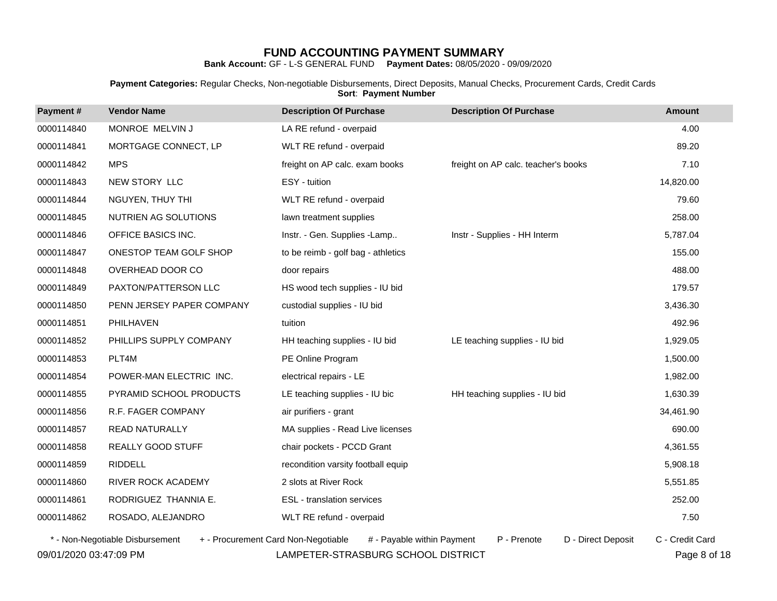**Bank Account:** GF - L-S GENERAL FUND **Payment Dates:** 08/05/2020 - 09/09/2020

**Payment Categories:** Regular Checks, Non-negotiable Disbursements, Direct Deposits, Manual Checks, Procurement Cards, Credit Cards **Sort**: **Payment Number**

| Payment#   | <b>Vendor Name</b>        | <b>Description Of Purchase</b>     | <b>Description Of Purchase</b>      | <b>Amount</b> |
|------------|---------------------------|------------------------------------|-------------------------------------|---------------|
| 0000114840 | MONROE MELVIN J           | LA RE refund - overpaid            |                                     | 4.00          |
| 0000114841 | MORTGAGE CONNECT, LP      | WLT RE refund - overpaid           |                                     | 89.20         |
| 0000114842 | <b>MPS</b>                | freight on AP calc. exam books     | freight on AP calc. teacher's books | 7.10          |
| 0000114843 | NEW STORY LLC             | ESY - tuition                      |                                     | 14,820.00     |
| 0000114844 | NGUYEN, THUY THI          | WLT RE refund - overpaid           |                                     | 79.60         |
| 0000114845 | NUTRIEN AG SOLUTIONS      | lawn treatment supplies            |                                     | 258.00        |
| 0000114846 | OFFICE BASICS INC.        | Instr. - Gen. Supplies -Lamp       | Instr - Supplies - HH Interm        | 5,787.04      |
| 0000114847 | ONESTOP TEAM GOLF SHOP    | to be reimb - golf bag - athletics |                                     | 155.00        |
| 0000114848 | OVERHEAD DOOR CO          | door repairs                       |                                     | 488.00        |
| 0000114849 | PAXTON/PATTERSON LLC      | HS wood tech supplies - IU bid     |                                     | 179.57        |
| 0000114850 | PENN JERSEY PAPER COMPANY | custodial supplies - IU bid        |                                     | 3,436.30      |
| 0000114851 | PHILHAVEN                 | tuition                            |                                     | 492.96        |
| 0000114852 | PHILLIPS SUPPLY COMPANY   | HH teaching supplies - IU bid      | LE teaching supplies - IU bid       | 1,929.05      |
| 0000114853 | PLT4M                     | PE Online Program                  |                                     | 1,500.00      |
| 0000114854 | POWER-MAN ELECTRIC INC.   | electrical repairs - LE            |                                     | 1,982.00      |
| 0000114855 | PYRAMID SCHOOL PRODUCTS   | LE teaching supplies - IU bic      | HH teaching supplies - IU bid       | 1,630.39      |
| 0000114856 | R.F. FAGER COMPANY        | air purifiers - grant              |                                     | 34,461.90     |
| 0000114857 | <b>READ NATURALLY</b>     | MA supplies - Read Live licenses   |                                     | 690.00        |
| 0000114858 | REALLY GOOD STUFF         | chair pockets - PCCD Grant         |                                     | 4,361.55      |
| 0000114859 | <b>RIDDELL</b>            | recondition varsity football equip |                                     | 5,908.18      |
| 0000114860 | RIVER ROCK ACADEMY        | 2 slots at River Rock              |                                     | 5,551.85      |
| 0000114861 | RODRIGUEZ THANNIA E.      | ESL - translation services         |                                     | 252.00        |
| 0000114862 | ROSADO, ALEJANDRO         | WLT RE refund - overpaid           |                                     | 7.50          |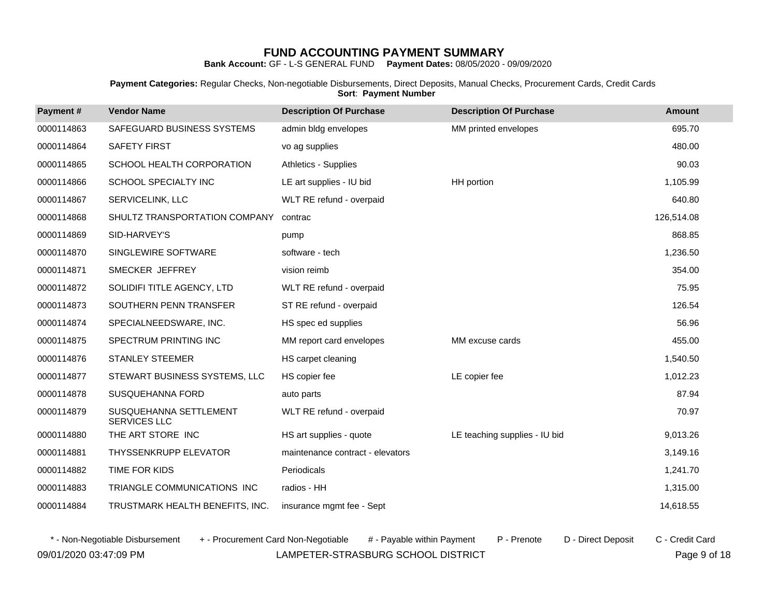**Bank Account:** GF - L-S GENERAL FUND **Payment Dates:** 08/05/2020 - 09/09/2020

**Payment Categories:** Regular Checks, Non-negotiable Disbursements, Direct Deposits, Manual Checks, Procurement Cards, Credit Cards **Sort**: **Payment Number**

| Payment#   | <b>Vendor Name</b>                            | <b>Description Of Purchase</b>   | <b>Description Of Purchase</b> | <b>Amount</b> |
|------------|-----------------------------------------------|----------------------------------|--------------------------------|---------------|
| 0000114863 | SAFEGUARD BUSINESS SYSTEMS                    | admin bldg envelopes             | MM printed envelopes           | 695.70        |
| 0000114864 | <b>SAFETY FIRST</b>                           | vo ag supplies                   |                                | 480.00        |
| 0000114865 | SCHOOL HEALTH CORPORATION                     | Athletics - Supplies             |                                | 90.03         |
| 0000114866 | SCHOOL SPECIALTY INC                          | LE art supplies - IU bid         | HH portion                     | 1,105.99      |
| 0000114867 | SERVICELINK, LLC                              | WLT RE refund - overpaid         |                                | 640.80        |
| 0000114868 | SHULTZ TRANSPORTATION COMPANY                 | contrac                          |                                | 126,514.08    |
| 0000114869 | SID-HARVEY'S                                  | pump                             |                                | 868.85        |
| 0000114870 | SINGLEWIRE SOFTWARE                           | software - tech                  |                                | 1,236.50      |
| 0000114871 | SMECKER JEFFREY                               | vision reimb                     |                                | 354.00        |
| 0000114872 | SOLIDIFI TITLE AGENCY, LTD                    | WLT RE refund - overpaid         |                                | 75.95         |
| 0000114873 | SOUTHERN PENN TRANSFER                        | ST RE refund - overpaid          |                                | 126.54        |
| 0000114874 | SPECIALNEEDSWARE, INC.                        | HS spec ed supplies              |                                | 56.96         |
| 0000114875 | SPECTRUM PRINTING INC                         | MM report card envelopes         | MM excuse cards                | 455.00        |
| 0000114876 | <b>STANLEY STEEMER</b>                        | HS carpet cleaning               |                                | 1,540.50      |
| 0000114877 | STEWART BUSINESS SYSTEMS, LLC                 | HS copier fee                    | LE copier fee                  | 1,012.23      |
| 0000114878 | SUSQUEHANNA FORD                              | auto parts                       |                                | 87.94         |
| 0000114879 | SUSQUEHANNA SETTLEMENT<br><b>SERVICES LLC</b> | WLT RE refund - overpaid         |                                | 70.97         |
| 0000114880 | THE ART STORE INC                             | HS art supplies - quote          | LE teaching supplies - IU bid  | 9,013.26      |
| 0000114881 | THYSSENKRUPP ELEVATOR                         | maintenance contract - elevators |                                | 3,149.16      |
| 0000114882 | TIME FOR KIDS                                 | Periodicals                      |                                | 1,241.70      |
| 0000114883 | TRIANGLE COMMUNICATIONS INC                   | radios - HH                      |                                | 1,315.00      |
| 0000114884 | TRUSTMARK HEALTH BENEFITS, INC.               | insurance mgmt fee - Sept        |                                | 14,618.55     |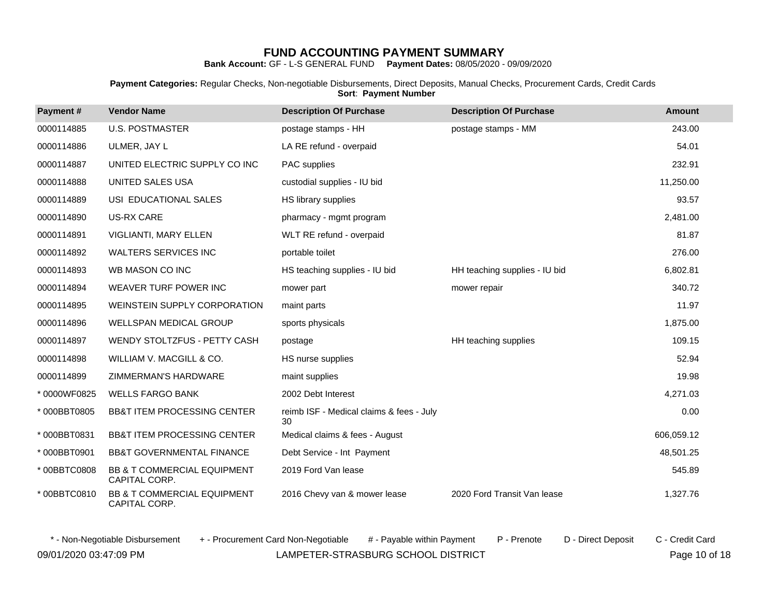**Bank Account:** GF - L-S GENERAL FUND **Payment Dates:** 08/05/2020 - 09/09/2020

**Payment Categories:** Regular Checks, Non-negotiable Disbursements, Direct Deposits, Manual Checks, Procurement Cards, Credit Cards **Sort**: **Payment Number**

| Payment#    | <b>Vendor Name</b>                           | <b>Description Of Purchase</b>                 | <b>Description Of Purchase</b> | <b>Amount</b> |
|-------------|----------------------------------------------|------------------------------------------------|--------------------------------|---------------|
| 0000114885  | <b>U.S. POSTMASTER</b>                       | postage stamps - HH                            | postage stamps - MM            | 243.00        |
| 0000114886  | ULMER, JAY L                                 | LA RE refund - overpaid                        |                                | 54.01         |
| 0000114887  | UNITED ELECTRIC SUPPLY CO INC                | PAC supplies                                   |                                | 232.91        |
| 0000114888  | UNITED SALES USA                             | custodial supplies - IU bid                    |                                | 11,250.00     |
| 0000114889  | USI EDUCATIONAL SALES                        | HS library supplies                            |                                | 93.57         |
| 0000114890  | US-RX CARE                                   | pharmacy - mgmt program                        |                                | 2,481.00      |
| 0000114891  | VIGLIANTI, MARY ELLEN                        | WLT RE refund - overpaid                       |                                | 81.87         |
| 0000114892  | <b>WALTERS SERVICES INC</b>                  | portable toilet                                |                                | 276.00        |
| 0000114893  | WB MASON CO INC                              | HS teaching supplies - IU bid                  | HH teaching supplies - IU bid  | 6,802.81      |
| 0000114894  | WEAVER TURF POWER INC                        | mower part                                     | mower repair                   | 340.72        |
| 0000114895  | WEINSTEIN SUPPLY CORPORATION                 | maint parts                                    |                                | 11.97         |
| 0000114896  | WELLSPAN MEDICAL GROUP                       | sports physicals                               |                                | 1,875.00      |
| 0000114897  | WENDY STOLTZFUS - PETTY CASH                 | postage                                        | HH teaching supplies           | 109.15        |
| 0000114898  | WILLIAM V. MACGILL & CO.                     | HS nurse supplies                              |                                | 52.94         |
| 0000114899  | ZIMMERMAN'S HARDWARE                         | maint supplies                                 |                                | 19.98         |
| *0000WF0825 | <b>WELLS FARGO BANK</b>                      | 2002 Debt Interest                             |                                | 4,271.03      |
| *000BBT0805 | <b>BB&amp;T ITEM PROCESSING CENTER</b>       | reimb ISF - Medical claims & fees - July<br>30 |                                | 0.00          |
| *000BBT0831 | <b>BB&amp;T ITEM PROCESSING CENTER</b>       | Medical claims & fees - August                 |                                | 606,059.12    |
| *000BBT0901 | <b>BB&amp;T GOVERNMENTAL FINANCE</b>         | Debt Service - Int Payment                     |                                | 48,501.25     |
| *00BBTC0808 | BB & T COMMERCIAL EQUIPMENT<br>CAPITAL CORP. | 2019 Ford Van lease                            |                                | 545.89        |
| *00BBTC0810 | BB & T COMMERCIAL EQUIPMENT<br>CAPITAL CORP. | 2016 Chevy van & mower lease                   | 2020 Ford Transit Van lease    | 1,327.76      |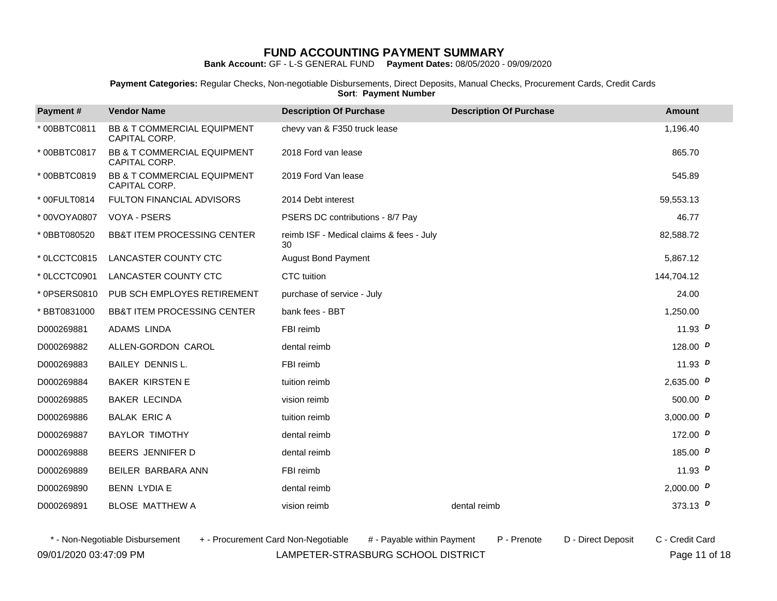**Bank Account:** GF - L-S GENERAL FUND **Payment Dates:** 08/05/2020 - 09/09/2020

**Payment Categories:** Regular Checks, Non-negotiable Disbursements, Direct Deposits, Manual Checks, Procurement Cards, Credit Cards **Sort**: **Payment Number**

| Payment#     | <b>Vendor Name</b>                                      | <b>Description Of Purchase</b>                 | <b>Description Of Purchase</b> | <b>Amount</b> |  |
|--------------|---------------------------------------------------------|------------------------------------------------|--------------------------------|---------------|--|
| *00BBTC0811  | <b>BB &amp; T COMMERCIAL EQUIPMENT</b><br>CAPITAL CORP. | chevy van & F350 truck lease                   |                                | 1,196.40      |  |
| *00BBTC0817  | BB & T COMMERCIAL EQUIPMENT<br>CAPITAL CORP.            | 2018 Ford van lease                            |                                | 865.70        |  |
| *00BBTC0819  | BB & T COMMERCIAL EQUIPMENT<br>CAPITAL CORP.            | 2019 Ford Van lease                            |                                | 545.89        |  |
| * 00FULT0814 | <b>FULTON FINANCIAL ADVISORS</b>                        | 2014 Debt interest                             |                                | 59,553.13     |  |
| * 00VOYA0807 | VOYA - PSERS                                            | PSERS DC contributions - 8/7 Pay               |                                | 46.77         |  |
| * 0BBT080520 | <b>BB&amp;T ITEM PROCESSING CENTER</b>                  | reimb ISF - Medical claims & fees - July<br>30 |                                | 82,588.72     |  |
| * 0LCCTC0815 | <b>LANCASTER COUNTY CTC</b>                             | <b>August Bond Payment</b>                     |                                | 5.867.12      |  |
| * 0LCCTC0901 | LANCASTER COUNTY CTC                                    | CTC tuition                                    |                                | 144,704.12    |  |
| * 0PSERS0810 | PUB SCH EMPLOYES RETIREMENT                             | purchase of service - July                     |                                | 24.00         |  |
| * BBT0831000 | <b>BB&amp;T ITEM PROCESSING CENTER</b>                  | bank fees - BBT                                |                                | 1,250.00      |  |
| D000269881   | ADAMS LINDA                                             | FBI reimb                                      |                                | 11.93 $P$     |  |
| D000269882   | ALLEN-GORDON CAROL                                      | dental reimb                                   |                                | 128.00 $D$    |  |
| D000269883   | <b>BAILEY DENNIS L.</b>                                 | FBI reimb                                      |                                | 11.93 $P$     |  |
| D000269884   | <b>BAKER KIRSTEN E</b>                                  | tuition reimb                                  |                                | 2,635.00 $D$  |  |
| D000269885   | <b>BAKER LECINDA</b>                                    | vision reimb                                   |                                | 500.00 $D$    |  |
| D000269886   | <b>BALAK ERIC A</b>                                     | tuition reimb                                  |                                | 3,000.00 $D$  |  |
| D000269887   | <b>BAYLOR TIMOTHY</b>                                   | dental reimb                                   |                                | 172.00 $D$    |  |
| D000269888   | BEERS JENNIFER D                                        | dental reimb                                   |                                | 185.00 $P$    |  |
| D000269889   | BEILER BARBARA ANN                                      | FBI reimb                                      |                                | 11.93 $P$     |  |
| D000269890   | <b>BENN LYDIA E</b>                                     | dental reimb                                   |                                | 2,000.00 $D$  |  |
| D000269891   | <b>BLOSE MATTHEW A</b>                                  | vision reimb                                   | dental reimb                   | 373.13 $D$    |  |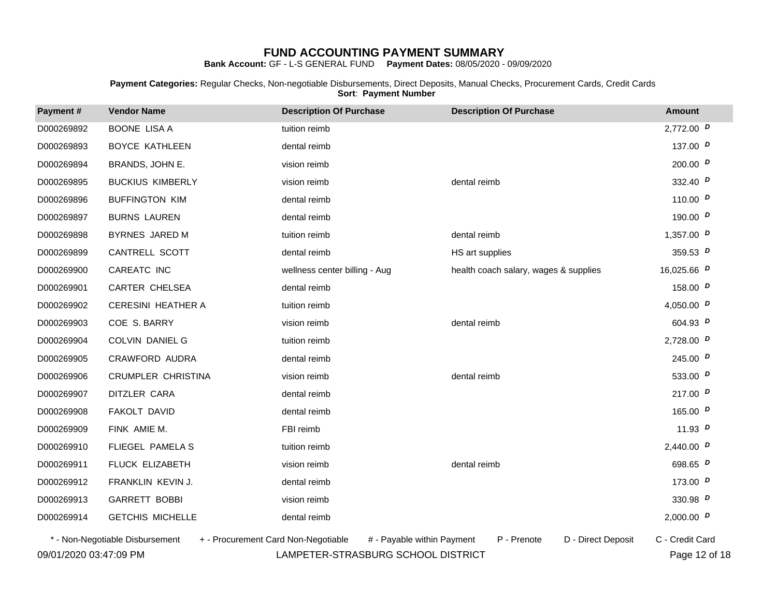**Bank Account:** GF - L-S GENERAL FUND **Payment Dates:** 08/05/2020 - 09/09/2020

**Payment Categories:** Regular Checks, Non-negotiable Disbursements, Direct Deposits, Manual Checks, Procurement Cards, Credit Cards **Sort**: **Payment Number**

| Payment#   | <b>Vendor Name</b>                                                     | <b>Description Of Purchase</b> | <b>Description Of Purchase</b>        | <b>Amount</b>   |
|------------|------------------------------------------------------------------------|--------------------------------|---------------------------------------|-----------------|
| D000269892 | <b>BOONE LISA A</b>                                                    | tuition reimb                  |                                       | 2,772.00 $D$    |
| D000269893 | <b>BOYCE KATHLEEN</b>                                                  | dental reimb                   |                                       | 137.00 $D$      |
| D000269894 | BRANDS, JOHN E.                                                        | vision reimb                   |                                       | 200.00 $D$      |
| D000269895 | <b>BUCKIUS KIMBERLY</b>                                                | vision reimb                   | dental reimb                          | 332.40 $D$      |
| D000269896 | <b>BUFFINGTON KIM</b>                                                  | dental reimb                   |                                       | 110.00 $D$      |
| D000269897 | <b>BURNS LAUREN</b>                                                    | dental reimb                   |                                       | 190.00 $D$      |
| D000269898 | BYRNES JARED M                                                         | tuition reimb                  | dental reimb                          | 1,357.00 $D$    |
| D000269899 | CANTRELL SCOTT                                                         | dental reimb                   | HS art supplies                       | 359.53 $D$      |
| D000269900 | CAREATC INC                                                            | wellness center billing - Aug  | health coach salary, wages & supplies | 16,025.66 $D$   |
| D000269901 | CARTER CHELSEA                                                         | dental reimb                   |                                       | 158.00 $D$      |
| D000269902 | <b>CERESINI HEATHER A</b>                                              | tuition reimb                  |                                       | 4,050.00 $D$    |
| D000269903 | COE S. BARRY                                                           | vision reimb                   | dental reimb                          | 604.93 $D$      |
| D000269904 | <b>COLVIN DANIEL G</b>                                                 | tuition reimb                  |                                       | 2,728.00 $D$    |
| D000269905 | CRAWFORD AUDRA                                                         | dental reimb                   |                                       | 245.00 $D$      |
| D000269906 | CRUMPLER CHRISTINA                                                     | vision reimb                   | dental reimb                          | 533.00 $D$      |
| D000269907 | DITZLER CARA                                                           | dental reimb                   |                                       | 217.00 $D$      |
| D000269908 | FAKOLT DAVID                                                           | dental reimb                   |                                       | 165.00 $P$      |
| D000269909 | FINK AMIE M.                                                           | FBI reimb                      |                                       | 11.93 $D$       |
| D000269910 | FLIEGEL PAMELA S                                                       | tuition reimb                  |                                       | 2,440.00 $D$    |
| D000269911 | FLUCK ELIZABETH                                                        | vision reimb                   | dental reimb                          | 698.65 $D$      |
| D000269912 | FRANKLIN KEVIN J.                                                      | dental reimb                   |                                       | 173.00 $D$      |
| D000269913 | <b>GARRETT BOBBI</b>                                                   | vision reimb                   |                                       | 330.98 $D$      |
| D000269914 | <b>GETCHIS MICHELLE</b>                                                | dental reimb                   |                                       | 2,000.00 $D$    |
|            | * - Non-Negotiable Disbursement<br>+ - Procurement Card Non-Negotiable | # - Payable within Payment     | P - Prenote<br>D - Direct Deposit     | C - Credit Card |

09/01/2020 03:47:09 PM LAMPETER-STRASBURG SCHOOL DISTRICT Page 12 of 18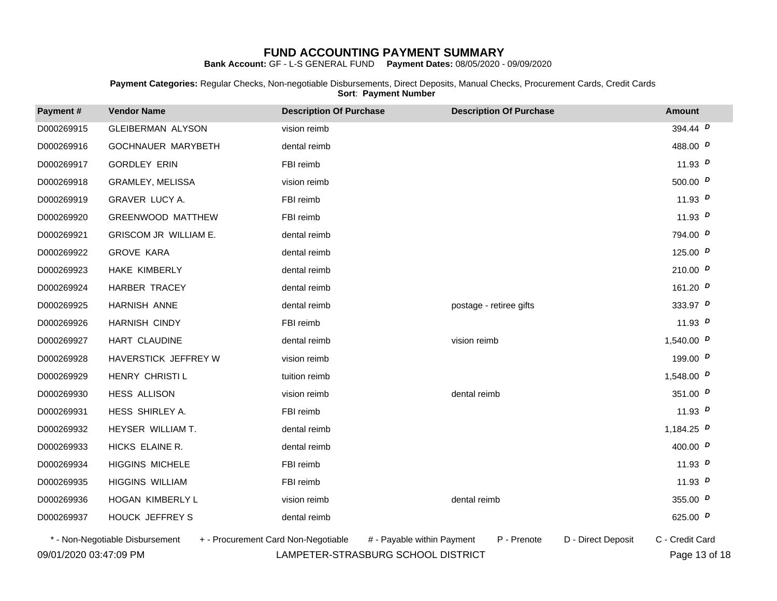**Bank Account:** GF - L-S GENERAL FUND **Payment Dates:** 08/05/2020 - 09/09/2020

**Payment Categories:** Regular Checks, Non-negotiable Disbursements, Direct Deposits, Manual Checks, Procurement Cards, Credit Cards **Sort**: **Payment Number**

| Payment#   | <b>Vendor Name</b>                                                     | <b>Description Of Purchase</b> | <b>Description Of Purchase</b>    | <b>Amount</b>   |  |
|------------|------------------------------------------------------------------------|--------------------------------|-----------------------------------|-----------------|--|
| D000269915 | <b>GLEIBERMAN ALYSON</b>                                               | vision reimb                   |                                   | 394.44 P        |  |
| D000269916 | GOCHNAUER MARYBETH                                                     | dental reimb                   |                                   | 488.00 $D$      |  |
| D000269917 | <b>GORDLEY ERIN</b>                                                    | FBI reimb                      |                                   | 11.93 $D$       |  |
| D000269918 | GRAMLEY, MELISSA                                                       | vision reimb                   |                                   | 500.00 $D$      |  |
| D000269919 | GRAVER LUCY A.                                                         | FBI reimb                      |                                   | 11.93 $D$       |  |
| D000269920 | <b>GREENWOOD MATTHEW</b>                                               | FBI reimb                      |                                   | 11.93 $P$       |  |
| D000269921 | GRISCOM JR WILLIAM E.                                                  | dental reimb                   |                                   | 794.00 $D$      |  |
| D000269922 | <b>GROVE KARA</b>                                                      | dental reimb                   |                                   | 125.00 $P$      |  |
| D000269923 | HAKE KIMBERLY                                                          | dental reimb                   |                                   | 210.00 $D$      |  |
| D000269924 | HARBER TRACEY                                                          | dental reimb                   |                                   | 161.20 $D$      |  |
| D000269925 | HARNISH ANNE                                                           | dental reimb                   | postage - retiree gifts           | 333.97 $P$      |  |
| D000269926 | <b>HARNISH CINDY</b>                                                   | FBI reimb                      |                                   | 11.93 $D$       |  |
| D000269927 | HART CLAUDINE                                                          | dental reimb                   | vision reimb                      | 1,540.00 $D$    |  |
| D000269928 | HAVERSTICK JEFFREY W                                                   | vision reimb                   |                                   | 199.00 $P$      |  |
| D000269929 | HENRY CHRISTI L                                                        | tuition reimb                  |                                   | 1,548.00 $D$    |  |
| D000269930 | <b>HESS ALLISON</b>                                                    | vision reimb                   | dental reimb                      | 351.00 $D$      |  |
| D000269931 | HESS SHIRLEY A.                                                        | FBI reimb                      |                                   | 11.93 $D$       |  |
| D000269932 | HEYSER WILLIAM T.                                                      | dental reimb                   |                                   | 1,184.25 $D$    |  |
| D000269933 | HICKS ELAINE R.                                                        | dental reimb                   |                                   | 400.00 $D$      |  |
| D000269934 | <b>HIGGINS MICHELE</b>                                                 | FBI reimb                      |                                   | 11.93 $D$       |  |
| D000269935 | <b>HIGGINS WILLIAM</b>                                                 | FBI reimb                      |                                   | 11.93 $D$       |  |
| D000269936 | HOGAN KIMBERLY L                                                       | vision reimb                   | dental reimb                      | 355.00 $D$      |  |
| D000269937 | HOUCK JEFFREY S                                                        | dental reimb                   |                                   | 625.00 $D$      |  |
|            | * - Non-Negotiable Disbursement<br>+ - Procurement Card Non-Negotiable | # - Payable within Payment     | P - Prenote<br>D - Direct Deposit | C - Credit Card |  |

09/01/2020 03:47:09 PM LAMPETER-STRASBURG SCHOOL DISTRICT Page 13 of 18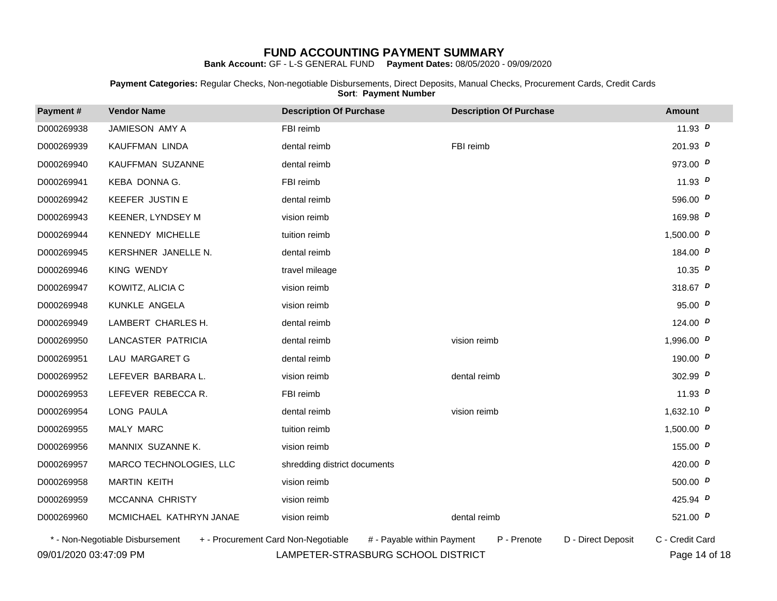**Bank Account:** GF - L-S GENERAL FUND **Payment Dates:** 08/05/2020 - 09/09/2020

**Payment Categories:** Regular Checks, Non-negotiable Disbursements, Direct Deposits, Manual Checks, Procurement Cards, Credit Cards **Sort**: **Payment Number**

| Payment#   | <b>Vendor Name</b>      | <b>Description Of Purchase</b> | <b>Description Of Purchase</b> | <b>Amount</b> |  |
|------------|-------------------------|--------------------------------|--------------------------------|---------------|--|
| D000269938 | JAMIESON AMY A          | FBI reimb                      |                                | 11.93 $D$     |  |
| D000269939 | KAUFFMAN LINDA          | dental reimb                   | FBI reimb                      | 201.93 $D$    |  |
| D000269940 | KAUFFMAN SUZANNE        | dental reimb                   |                                | 973.00 $D$    |  |
| D000269941 | KEBA DONNA G.           | FBI reimb                      |                                | 11.93 $D$     |  |
| D000269942 | <b>KEEFER JUSTIN E</b>  | dental reimb                   |                                | 596.00 $D$    |  |
| D000269943 | KEENER, LYNDSEY M       | vision reimb                   |                                | 169.98 $D$    |  |
| D000269944 | <b>KENNEDY MICHELLE</b> | tuition reimb                  |                                | 1,500.00 $D$  |  |
| D000269945 | KERSHNER JANELLE N.     | dental reimb                   |                                | 184.00 $D$    |  |
| D000269946 | <b>KING WENDY</b>       | travel mileage                 |                                | 10.35 $D$     |  |
| D000269947 | KOWITZ, ALICIA C        | vision reimb                   |                                | 318.67 $P$    |  |
| D000269948 | KUNKLE ANGELA           | vision reimb                   |                                | 95.00 $P$     |  |
| D000269949 | LAMBERT CHARLES H.      | dental reimb                   |                                | 124.00 $D$    |  |
| D000269950 | LANCASTER PATRICIA      | dental reimb                   | vision reimb                   | 1,996.00 $D$  |  |
| D000269951 | LAU MARGARET G          | dental reimb                   |                                | 190.00 $D$    |  |
| D000269952 | LEFEVER BARBARA L.      | vision reimb                   | dental reimb                   | 302.99 $D$    |  |
| D000269953 | LEFEVER REBECCA R.      | FBI reimb                      |                                | 11.93 $D$     |  |
| D000269954 | LONG PAULA              | dental reimb                   | vision reimb                   | 1,632.10 $D$  |  |
| D000269955 | MALY MARC               | tuition reimb                  |                                | 1,500.00 $D$  |  |
| D000269956 | MANNIX SUZANNE K.       | vision reimb                   |                                | 155.00 $P$    |  |
| D000269957 | MARCO TECHNOLOGIES, LLC | shredding district documents   |                                | 420.00 $D$    |  |
| D000269958 | <b>MARTIN KEITH</b>     | vision reimb                   |                                | 500.00 $D$    |  |
| D000269959 | MCCANNA CHRISTY         | vision reimb                   |                                | 425.94 $D$    |  |
| D000269960 | MCMICHAEL KATHRYN JANAE | vision reimb                   | dental reimb                   | 521.00 $D$    |  |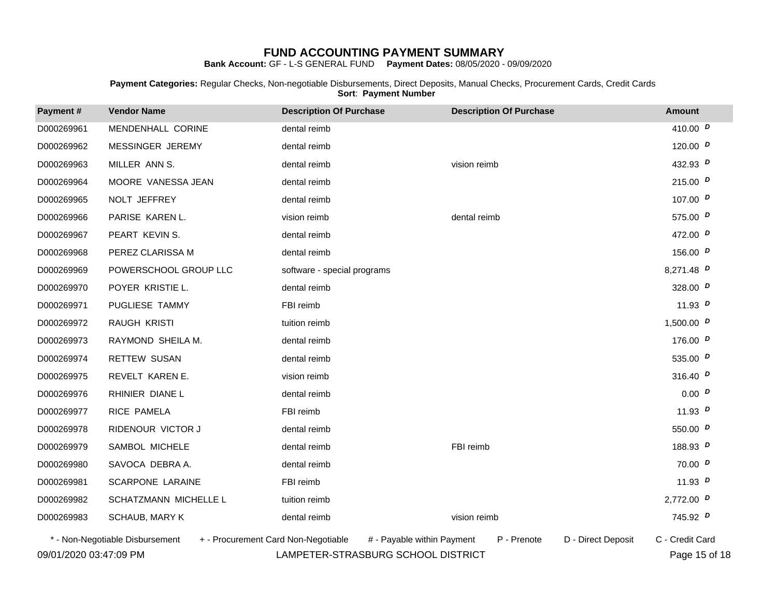**Bank Account:** GF - L-S GENERAL FUND **Payment Dates:** 08/05/2020 - 09/09/2020

**Payment Categories:** Regular Checks, Non-negotiable Disbursements, Direct Deposits, Manual Checks, Procurement Cards, Credit Cards **Sort**: **Payment Number**

| Payment#   | <b>Vendor Name</b>                                                     | <b>Description Of Purchase</b> | <b>Description Of Purchase</b>    | <b>Amount</b>   |
|------------|------------------------------------------------------------------------|--------------------------------|-----------------------------------|-----------------|
| D000269961 | MENDENHALL CORINE                                                      | dental reimb                   |                                   | 410.00 $D$      |
| D000269962 | MESSINGER JEREMY                                                       | dental reimb                   |                                   | 120.00 $D$      |
| D000269963 | MILLER ANN S.                                                          | dental reimb                   | vision reimb                      | 432.93 $D$      |
| D000269964 | MOORE VANESSA JEAN                                                     | dental reimb                   |                                   | 215.00 $D$      |
| D000269965 | NOLT JEFFREY                                                           | dental reimb                   |                                   | 107.00 $D$      |
| D000269966 | PARISE KAREN L.                                                        | vision reimb                   | dental reimb                      | 575.00 $D$      |
| D000269967 | PEART KEVIN S.                                                         | dental reimb                   |                                   | 472.00 $D$      |
| D000269968 | PEREZ CLARISSA M                                                       | dental reimb                   |                                   | 156.00 $D$      |
| D000269969 | POWERSCHOOL GROUP LLC                                                  | software - special programs    |                                   | 8,271.48 $D$    |
| D000269970 | POYER KRISTIE L.                                                       | dental reimb                   |                                   | 328.00 $D$      |
| D000269971 | PUGLIESE TAMMY                                                         | FBI reimb                      |                                   | 11.93 $D$       |
| D000269972 | RAUGH KRISTI                                                           | tuition reimb                  |                                   | 1,500.00 $D$    |
| D000269973 | RAYMOND SHEILA M.                                                      | dental reimb                   |                                   | 176.00 $P$      |
| D000269974 | <b>RETTEW SUSAN</b>                                                    | dental reimb                   |                                   | 535.00 $D$      |
| D000269975 | REVELT KAREN E.                                                        | vision reimb                   |                                   | 316.40 $P$      |
| D000269976 | RHINIER DIANE L                                                        | dental reimb                   |                                   | 0.00 P          |
| D000269977 | RICE PAMELA                                                            | FBI reimb                      |                                   | 11.93 $D$       |
| D000269978 | RIDENOUR VICTOR J                                                      | dental reimb                   |                                   | 550.00 $D$      |
| D000269979 | SAMBOL MICHELE                                                         | dental reimb                   | FBI reimb                         | 188.93 $D$      |
| D000269980 | SAVOCA DEBRA A.                                                        | dental reimb                   |                                   | 70.00 $D$       |
| D000269981 | SCARPONE LARAINE                                                       | FBI reimb                      |                                   | 11.93 $P$       |
| D000269982 | SCHATZMANN MICHELLE L                                                  | tuition reimb                  |                                   | 2,772.00 $D$    |
| D000269983 | SCHAUB, MARY K                                                         | dental reimb                   | vision reimb                      | 745.92 $D$      |
|            | * - Non-Negotiable Disbursement<br>+ - Procurement Card Non-Negotiable | # - Payable within Payment     | P - Prenote<br>D - Direct Deposit | C - Credit Card |

09/01/2020 03:47:09 PM LAMPETER-STRASBURG SCHOOL DISTRICT Page 15 of 18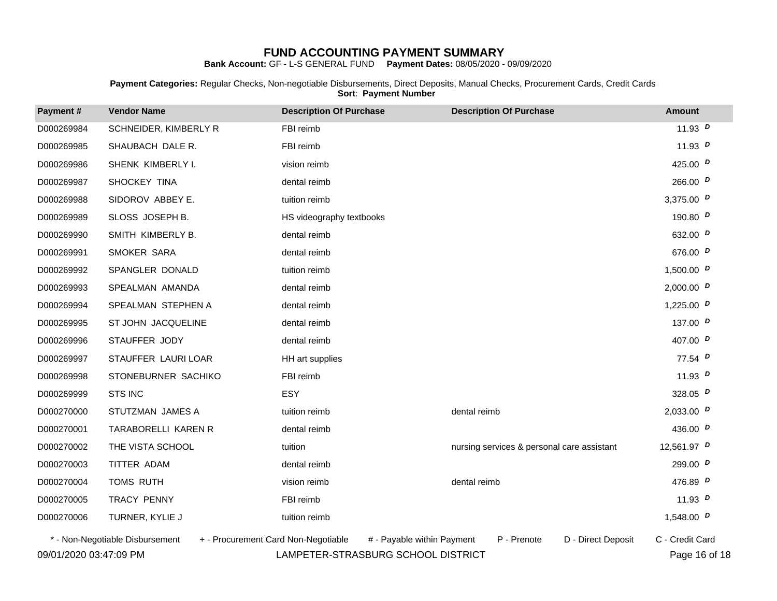**Bank Account:** GF - L-S GENERAL FUND **Payment Dates:** 08/05/2020 - 09/09/2020

**Payment Categories:** Regular Checks, Non-negotiable Disbursements, Direct Deposits, Manual Checks, Procurement Cards, Credit Cards **Sort**: **Payment Number**

| Payment#   | <b>Vendor Name</b>                                                     | <b>Description Of Purchase</b> | <b>Description Of Purchase</b>             | <b>Amount</b>   |  |
|------------|------------------------------------------------------------------------|--------------------------------|--------------------------------------------|-----------------|--|
| D000269984 | SCHNEIDER, KIMBERLY R                                                  | FBI reimb                      |                                            | 11.93 $D$       |  |
| D000269985 | SHAUBACH DALE R.                                                       | FBI reimb                      |                                            | 11.93 $P$       |  |
| D000269986 | SHENK KIMBERLY I.                                                      | vision reimb                   |                                            | 425.00 $D$      |  |
| D000269987 | SHOCKEY TINA                                                           | dental reimb                   |                                            | 266.00 $D$      |  |
| D000269988 | SIDOROV ABBEY E.                                                       | tuition reimb                  |                                            | 3,375.00 $D$    |  |
| D000269989 | SLOSS JOSEPH B.                                                        | HS videography textbooks       |                                            | 190.80 $D$      |  |
| D000269990 | SMITH KIMBERLY B.                                                      | dental reimb                   |                                            | 632.00 $D$      |  |
| D000269991 | SMOKER SARA                                                            | dental reimb                   |                                            | 676.00 $D$      |  |
| D000269992 | SPANGLER DONALD                                                        | tuition reimb                  |                                            | 1,500.00 $D$    |  |
| D000269993 | SPEALMAN AMANDA                                                        | dental reimb                   |                                            | 2,000.00 $D$    |  |
| D000269994 | SPEALMAN STEPHEN A                                                     | dental reimb                   |                                            | 1,225.00 $D$    |  |
| D000269995 | ST JOHN JACQUELINE                                                     | dental reimb                   |                                            | 137.00 $D$      |  |
| D000269996 | STAUFFER JODY                                                          | dental reimb                   |                                            | 407.00 $D$      |  |
| D000269997 | STAUFFER LAURI LOAR                                                    | HH art supplies                |                                            | 77.54 $D$       |  |
| D000269998 | STONEBURNER SACHIKO                                                    | FBI reimb                      |                                            | 11.93 $P$       |  |
| D000269999 | <b>STS INC</b>                                                         | <b>ESY</b>                     |                                            | 328.05 $P$      |  |
| D000270000 | STUTZMAN JAMES A                                                       | tuition reimb                  | dental reimb                               | 2,033.00 $D$    |  |
| D000270001 | TARABORELLI KAREN R                                                    | dental reimb                   |                                            | 436.00 $D$      |  |
| D000270002 | THE VISTA SCHOOL                                                       | tuition                        | nursing services & personal care assistant | 12,561.97 $D$   |  |
| D000270003 | TITTER ADAM                                                            | dental reimb                   |                                            | 299.00 $D$      |  |
| D000270004 | TOMS RUTH                                                              | vision reimb                   | dental reimb                               | 476.89 $D$      |  |
| D000270005 | <b>TRACY PENNY</b>                                                     | FBI reimb                      |                                            | 11.93 $D$       |  |
| D000270006 | TURNER, KYLIE J                                                        | tuition reimb                  |                                            | 1,548.00 $D$    |  |
|            | * - Non-Negotiable Disbursement<br>+ - Procurement Card Non-Negotiable | # - Payable within Payment     | P - Prenote<br>D - Direct Deposit          | C - Credit Card |  |

09/01/2020 03:47:09 PM LAMPETER-STRASBURG SCHOOL DISTRICT Page 16 of 18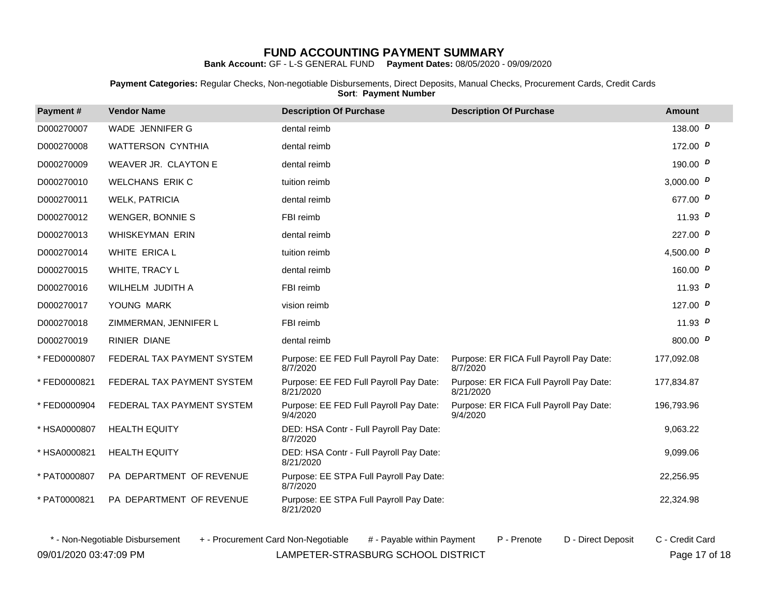**Bank Account:** GF - L-S GENERAL FUND **Payment Dates:** 08/05/2020 - 09/09/2020

**Payment Categories:** Regular Checks, Non-negotiable Disbursements, Direct Deposits, Manual Checks, Procurement Cards, Credit Cards **Sort**: **Payment Number**

| Payment#     | <b>Vendor Name</b>                                                     | <b>Description Of Purchase</b>                       | <b>Description Of Purchase</b>                       | <b>Amount</b>   |
|--------------|------------------------------------------------------------------------|------------------------------------------------------|------------------------------------------------------|-----------------|
| D000270007   | WADE JENNIFER G                                                        | dental reimb                                         |                                                      | 138.00 $D$      |
| D000270008   | <b>WATTERSON CYNTHIA</b>                                               | dental reimb                                         |                                                      | 172.00 $D$      |
| D000270009   | WEAVER JR. CLAYTON E                                                   | dental reimb                                         |                                                      | 190.00 $D$      |
| D000270010   | <b>WELCHANS ERIK C</b>                                                 | tuition reimb                                        |                                                      | 3,000.00 $D$    |
| D000270011   | <b>WELK, PATRICIA</b>                                                  | dental reimb                                         |                                                      | 677.00 P        |
| D000270012   | <b>WENGER, BONNIE S</b>                                                | FBI reimb                                            |                                                      | 11.93 $D$       |
| D000270013   | <b>WHISKEYMAN ERIN</b>                                                 | dental reimb                                         |                                                      | 227.00 $D$      |
| D000270014   | <b>WHITE ERICA L</b>                                                   | tuition reimb                                        |                                                      | 4,500.00 $D$    |
| D000270015   | WHITE, TRACY L                                                         | dental reimb                                         |                                                      | 160.00 $D$      |
| D000270016   | WILHELM JUDITH A                                                       | FBI reimb                                            |                                                      | 11.93 $D$       |
| D000270017   | YOUNG MARK                                                             | vision reimb                                         |                                                      | 127.00 $D$      |
| D000270018   | ZIMMERMAN, JENNIFER L                                                  | FBI reimb                                            |                                                      | 11.93 $D$       |
| D000270019   | <b>RINIER DIANE</b>                                                    | dental reimb                                         |                                                      | 800.00 $D$      |
| *FED0000807  | FEDERAL TAX PAYMENT SYSTEM                                             | Purpose: EE FED Full Payroll Pay Date:<br>8/7/2020   | Purpose: ER FICA Full Payroll Pay Date:<br>8/7/2020  | 177,092.08      |
| *FED0000821  | FEDERAL TAX PAYMENT SYSTEM                                             | Purpose: EE FED Full Payroll Pay Date:<br>8/21/2020  | Purpose: ER FICA Full Payroll Pay Date:<br>8/21/2020 | 177,834.87      |
| *FED0000904  | FEDERAL TAX PAYMENT SYSTEM                                             | Purpose: EE FED Full Payroll Pay Date:<br>9/4/2020   | Purpose: ER FICA Full Payroll Pay Date:<br>9/4/2020  | 196,793.96      |
| * HSA0000807 | <b>HEALTH EQUITY</b>                                                   | DED: HSA Contr - Full Payroll Pay Date:<br>8/7/2020  |                                                      | 9.063.22        |
| * HSA0000821 | <b>HEALTH EQUITY</b>                                                   | DED: HSA Contr - Full Payroll Pay Date:<br>8/21/2020 |                                                      | 9,099.06        |
| * PAT0000807 | PA DEPARTMENT OF REVENUE                                               | Purpose: EE STPA Full Payroll Pay Date:<br>8/7/2020  |                                                      | 22.256.95       |
| * PAT0000821 | PA DEPARTMENT OF REVENUE                                               | Purpose: EE STPA Full Payroll Pay Date:<br>8/21/2020 |                                                      | 22,324.98       |
|              | * - Non-Negotiable Disbursement<br>+ - Procurement Card Non-Negotiable | # - Pavable within Payment                           | P - Prenote<br>D - Direct Deposit                    | C - Credit Card |

09/01/2020 03:47:09 PM LAMPETER-STRASBURG SCHOOL DISTRICT Page 17 of 18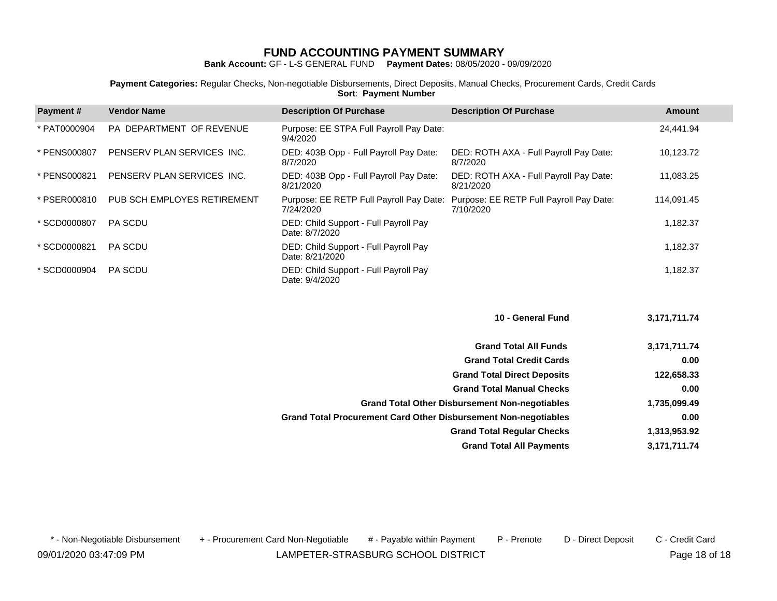**Bank Account:** GF - L-S GENERAL FUND **Payment Dates:** 08/05/2020 - 09/09/2020

**Payment Categories:** Regular Checks, Non-negotiable Disbursements, Direct Deposits, Manual Checks, Procurement Cards, Credit Cards **Sort**: **Payment Number**

| Payment#     | <b>Vendor Name</b>          | <b>Description Of Purchase</b>                           | <b>Description Of Purchase</b>                       | Amount     |
|--------------|-----------------------------|----------------------------------------------------------|------------------------------------------------------|------------|
| * PAT0000904 | PA DEPARTMENT OF REVENUE    | Purpose: EE STPA Full Payroll Pay Date:<br>9/4/2020      |                                                      | 24.441.94  |
| * PENS000807 | PENSERV PLAN SERVICES INC.  | DED: 403B Opp - Full Payroll Pay Date:<br>8/7/2020       | DED: ROTH AXA - Full Payroll Pay Date:<br>8/7/2020   | 10,123.72  |
| * PENS000821 | PENSERV PLAN SERVICES INC.  | DED: 403B Opp - Full Payroll Pay Date:<br>8/21/2020      | DED: ROTH AXA - Full Payroll Pay Date:<br>8/21/2020  | 11.083.25  |
| * PSER000810 | PUB SCH EMPLOYES RETIREMENT | Purpose: EE RETP Full Payroll Pay Date:<br>7/24/2020     | Purpose: EE RETP Full Payroll Pay Date:<br>7/10/2020 | 114,091.45 |
| * SCD0000807 | <b>PA SCDU</b>              | DED: Child Support - Full Payroll Pay<br>Date: 8/7/2020  |                                                      | 1,182.37   |
| * SCD0000821 | <b>PA SCDU</b>              | DED: Child Support - Full Payroll Pay<br>Date: 8/21/2020 |                                                      | 1.182.37   |
| * SCD0000904 | <b>PA SCDU</b>              | DED: Child Support - Full Payroll Pay<br>Date: 9/4/2020  |                                                      | 1,182.37   |

| 3,171,711.74 |
|--------------|
| 3,171,711.74 |
| 0.00         |
| 122,658.33   |
| 0.00         |
| 1,735,099.49 |
| 0.00         |
| 1,313,953.92 |
| 3,171,711.74 |
|              |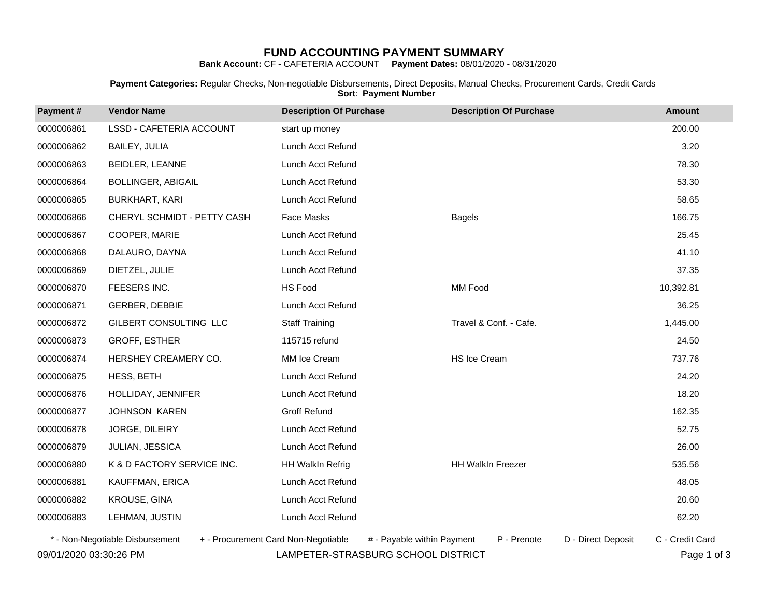**Bank Account:** CF - CAFETERIA ACCOUNT **Payment Dates:** 08/01/2020 - 08/31/2020

**Payment Categories:** Regular Checks, Non-negotiable Disbursements, Direct Deposits, Manual Checks, Procurement Cards, Credit Cards **Sort**: **Payment Number**

| Payment#   | <b>Vendor Name</b>              | <b>Description Of Purchase</b> | <b>Description Of Purchase</b> | <b>Amount</b> |
|------------|---------------------------------|--------------------------------|--------------------------------|---------------|
| 0000006861 | <b>LSSD - CAFETERIA ACCOUNT</b> | start up money                 |                                | 200.00        |
| 0000006862 | BAILEY, JULIA                   | Lunch Acct Refund              |                                | 3.20          |
| 0000006863 | BEIDLER, LEANNE                 | Lunch Acct Refund              |                                | 78.30         |
| 0000006864 | <b>BOLLINGER, ABIGAIL</b>       | Lunch Acct Refund              |                                | 53.30         |
| 0000006865 | <b>BURKHART, KARI</b>           | Lunch Acct Refund              |                                | 58.65         |
| 0000006866 | CHERYL SCHMIDT - PETTY CASH     | Face Masks                     | <b>Bagels</b>                  | 166.75        |
| 0000006867 | COOPER, MARIE                   | Lunch Acct Refund              |                                | 25.45         |
| 0000006868 | DALAURO, DAYNA                  | Lunch Acct Refund              |                                | 41.10         |
| 0000006869 | DIETZEL, JULIE                  | Lunch Acct Refund              |                                | 37.35         |
| 0000006870 | FEESERS INC.                    | HS Food                        | MM Food                        | 10,392.81     |
| 0000006871 | <b>GERBER, DEBBIE</b>           | Lunch Acct Refund              |                                | 36.25         |
| 0000006872 | GILBERT CONSULTING LLC          | <b>Staff Training</b>          | Travel & Conf. - Cafe.         | 1,445.00      |
| 0000006873 | GROFF, ESTHER                   | 115715 refund                  |                                | 24.50         |
| 0000006874 | HERSHEY CREAMERY CO.            | MM Ice Cream                   | HS Ice Cream                   | 737.76        |
| 0000006875 | HESS, BETH                      | Lunch Acct Refund              |                                | 24.20         |
| 0000006876 | HOLLIDAY, JENNIFER              | Lunch Acct Refund              |                                | 18.20         |
| 0000006877 | <b>JOHNSON KAREN</b>            | Groff Refund                   |                                | 162.35        |
| 0000006878 | JORGE, DILEIRY                  | Lunch Acct Refund              |                                | 52.75         |
| 0000006879 | JULIAN, JESSICA                 | Lunch Acct Refund              |                                | 26.00         |
| 0000006880 | K & D FACTORY SERVICE INC.      | HH WalkIn Refrig               | HH WalkIn Freezer              | 535.56        |
| 0000006881 | KAUFFMAN, ERICA                 | Lunch Acct Refund              |                                | 48.05         |
| 0000006882 | KROUSE, GINA                    | Lunch Acct Refund              |                                | 20.60         |
| 0000006883 | LEHMAN, JUSTIN                  | Lunch Acct Refund              |                                | 62.20         |
|            |                                 |                                |                                |               |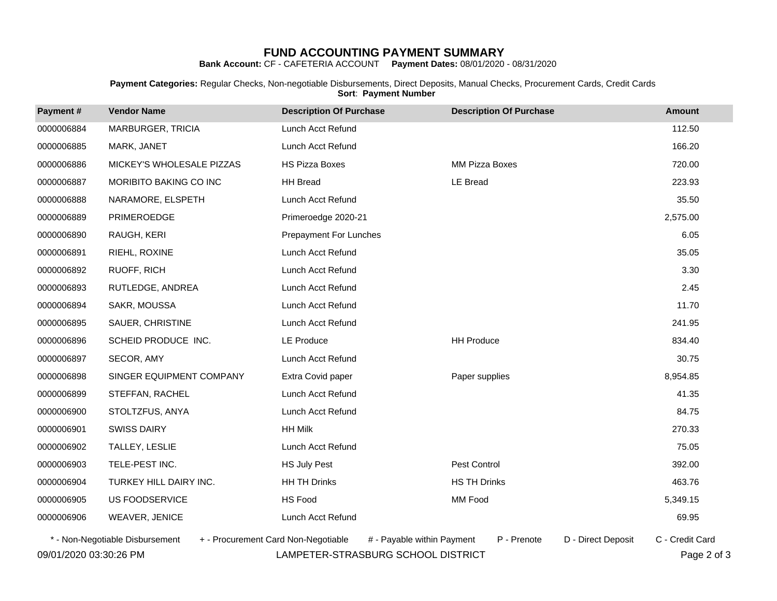**Bank Account:** CF - CAFETERIA ACCOUNT **Payment Dates:** 08/01/2020 - 08/31/2020

**Payment Categories:** Regular Checks, Non-negotiable Disbursements, Direct Deposits, Manual Checks, Procurement Cards, Credit Cards **Sort**: **Payment Number**

| Payment#   | <b>Vendor Name</b>                                                     | <b>Description Of Purchase</b> | <b>Description Of Purchase</b>    | <b>Amount</b>   |
|------------|------------------------------------------------------------------------|--------------------------------|-----------------------------------|-----------------|
| 0000006884 | MARBURGER, TRICIA                                                      | Lunch Acct Refund              |                                   | 112.50          |
| 0000006885 | MARK, JANET                                                            | Lunch Acct Refund              |                                   | 166.20          |
| 0000006886 | MICKEY'S WHOLESALE PIZZAS                                              | <b>HS Pizza Boxes</b>          | MM Pizza Boxes                    | 720.00          |
| 0000006887 | MORIBITO BAKING CO INC                                                 | <b>HH Bread</b>                | <b>LE Bread</b>                   | 223.93          |
| 0000006888 | NARAMORE, ELSPETH                                                      | Lunch Acct Refund              |                                   | 35.50           |
| 0000006889 | PRIMEROEDGE                                                            | Primeroedge 2020-21            |                                   | 2,575.00        |
| 0000006890 | RAUGH, KERI                                                            | <b>Prepayment For Lunches</b>  |                                   | 6.05            |
| 0000006891 | RIEHL, ROXINE                                                          | Lunch Acct Refund              |                                   | 35.05           |
| 0000006892 | RUOFF, RICH                                                            | Lunch Acct Refund              |                                   | 3.30            |
| 0000006893 | RUTLEDGE, ANDREA                                                       | Lunch Acct Refund              |                                   | 2.45            |
| 0000006894 | SAKR, MOUSSA                                                           | Lunch Acct Refund              |                                   | 11.70           |
| 0000006895 | SAUER, CHRISTINE                                                       | Lunch Acct Refund              |                                   | 241.95          |
| 0000006896 | SCHEID PRODUCE INC.                                                    | <b>LE Produce</b>              | <b>HH Produce</b>                 | 834.40          |
| 0000006897 | SECOR, AMY                                                             | Lunch Acct Refund              |                                   | 30.75           |
| 0000006898 | SINGER EQUIPMENT COMPANY                                               | Extra Covid paper              | Paper supplies                    | 8,954.85        |
| 0000006899 | STEFFAN, RACHEL                                                        | Lunch Acct Refund              |                                   | 41.35           |
| 0000006900 | STOLTZFUS, ANYA                                                        | Lunch Acct Refund              |                                   | 84.75           |
| 0000006901 | <b>SWISS DAIRY</b>                                                     | <b>HH Milk</b>                 |                                   | 270.33          |
| 0000006902 | TALLEY, LESLIE                                                         | Lunch Acct Refund              |                                   | 75.05           |
| 0000006903 | TELE-PEST INC.                                                         | <b>HS July Pest</b>            | Pest Control                      | 392.00          |
| 0000006904 | TURKEY HILL DAIRY INC.                                                 | <b>HH TH Drinks</b>            | <b>HS TH Drinks</b>               | 463.76          |
| 0000006905 | <b>US FOODSERVICE</b>                                                  | HS Food                        | MM Food                           | 5,349.15        |
| 0000006906 | WEAVER, JENICE                                                         | Lunch Acct Refund              |                                   | 69.95           |
|            | * - Non-Negotiable Disbursement<br>+ - Procurement Card Non-Negotiable | # - Pavable within Payment     | D - Direct Deposit<br>P - Prenote | C - Credit Card |

09/01/2020 03:30:26 PM LAMPETER-STRASBURG SCHOOL DISTRICT Page 2 of 3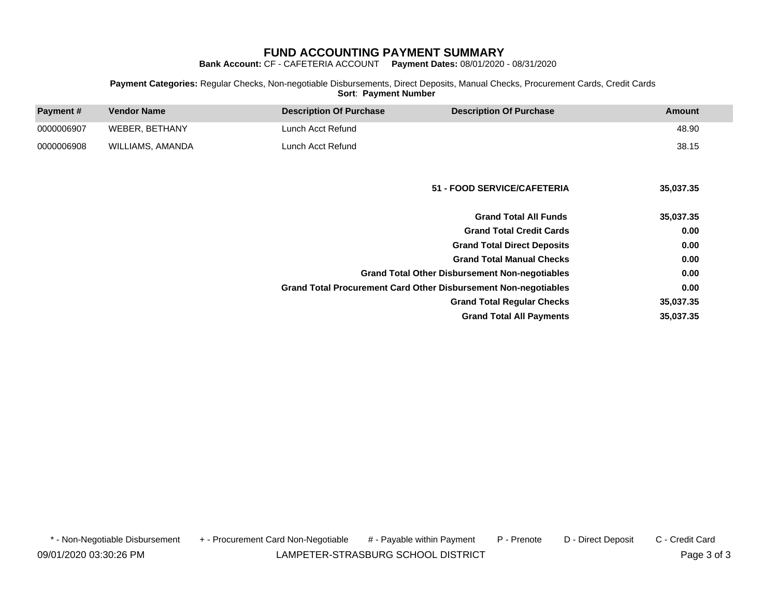**Bank Account:** CF - CAFETERIA ACCOUNT **Payment Dates:** 08/01/2020 - 08/31/2020

### **Payment Categories:** Regular Checks, Non-negotiable Disbursements, Direct Deposits, Manual Checks, Procurement Cards, Credit Cards **Sort**: **Payment Number**

| Payment#   | <b>Vendor Name</b> | <b>Description Of Purchase</b>                                         | <b>Description Of Purchase</b>                        | <b>Amount</b> |
|------------|--------------------|------------------------------------------------------------------------|-------------------------------------------------------|---------------|
| 0000006907 | WEBER, BETHANY     | Lunch Acct Refund                                                      |                                                       | 48.90         |
| 0000006908 | WILLIAMS, AMANDA   | Lunch Acct Refund                                                      |                                                       | 38.15         |
|            |                    |                                                                        |                                                       |               |
|            |                    |                                                                        | 51 - FOOD SERVICE/CAFETERIA                           | 35,037.35     |
|            |                    |                                                                        | <b>Grand Total All Funds</b>                          | 35,037.35     |
|            |                    |                                                                        | <b>Grand Total Credit Cards</b>                       | 0.00          |
|            |                    |                                                                        | <b>Grand Total Direct Deposits</b>                    | 0.00          |
|            |                    |                                                                        | <b>Grand Total Manual Checks</b>                      | 0.00          |
|            |                    |                                                                        | <b>Grand Total Other Disbursement Non-negotiables</b> | 0.00          |
|            |                    | <b>Grand Total Procurement Card Other Disbursement Non-negotiables</b> |                                                       | 0.00          |
|            |                    |                                                                        | <b>Grand Total Regular Checks</b>                     | 35,037.35     |
|            |                    |                                                                        | <b>Grand Total All Payments</b>                       | 35,037.35     |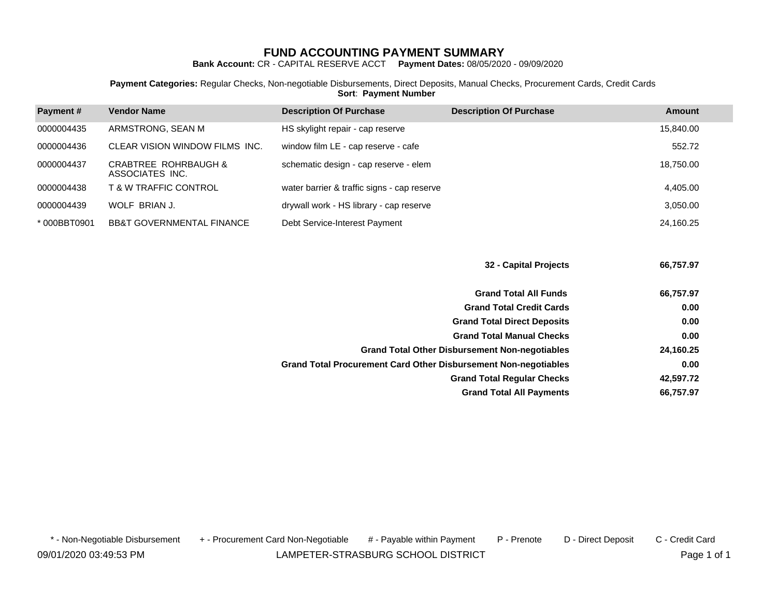**Bank Account:** CR - CAPITAL RESERVE ACCT **Payment Dates:** 08/05/2020 - 09/09/2020

**Payment Categories:** Regular Checks, Non-negotiable Disbursements, Direct Deposits, Manual Checks, Procurement Cards, Credit Cards **Sort**: **Payment Number**

| <b>Payment#</b> | <b>Vendor Name</b>                      | <b>Description Of Purchase</b>              | <b>Description Of Purchase</b> | <b>Amount</b> |
|-----------------|-----------------------------------------|---------------------------------------------|--------------------------------|---------------|
| 0000004435      | ARMSTRONG, SEAN M                       | HS skylight repair - cap reserve            |                                | 15,840.00     |
| 0000004436      | CLEAR VISION WINDOW FILMS INC.          | window film LE - cap reserve - cafe         |                                | 552.72        |
| 0000004437      | CRABTREE ROHRBAUGH &<br>ASSOCIATES INC. | schematic design - cap reserve - elem       |                                | 18,750.00     |
| 0000004438      | <b>T &amp; W TRAFFIC CONTROL</b>        | water barrier & traffic signs - cap reserve |                                | 4,405.00      |
| 0000004439      | WOLF BRIAN J.                           | drywall work - HS library - cap reserve     |                                | 3,050.00      |
| *000BBT0901     | <b>BB&amp;T GOVERNMENTAL FINANCE</b>    | Debt Service-Interest Payment               |                                | 24.160.25     |

**32 - Capital Projects 66,757.97**

| <b>Grand Total All Funds</b>                                           | 66,757.97 |
|------------------------------------------------------------------------|-----------|
| <b>Grand Total Credit Cards</b>                                        | 0.00      |
| <b>Grand Total Direct Deposits</b>                                     | 0.00      |
| <b>Grand Total Manual Checks</b>                                       | 0.00      |
| <b>Grand Total Other Disbursement Non-negotiables</b>                  | 24,160.25 |
| <b>Grand Total Procurement Card Other Disbursement Non-negotiables</b> | 0.00      |
| <b>Grand Total Regular Checks</b>                                      | 42,597.72 |
| <b>Grand Total All Payments</b>                                        | 66,757.97 |

\* - Non-Negotiable Disbursement + - Procurement Card Non-Negotiable # - Payable within Payment P - Prenote D - Direct Deposit C - Credit Card

09/01/2020 03:49:53 PM LAMPETER-STRASBURG SCHOOL DISTRICT Page 1 of 1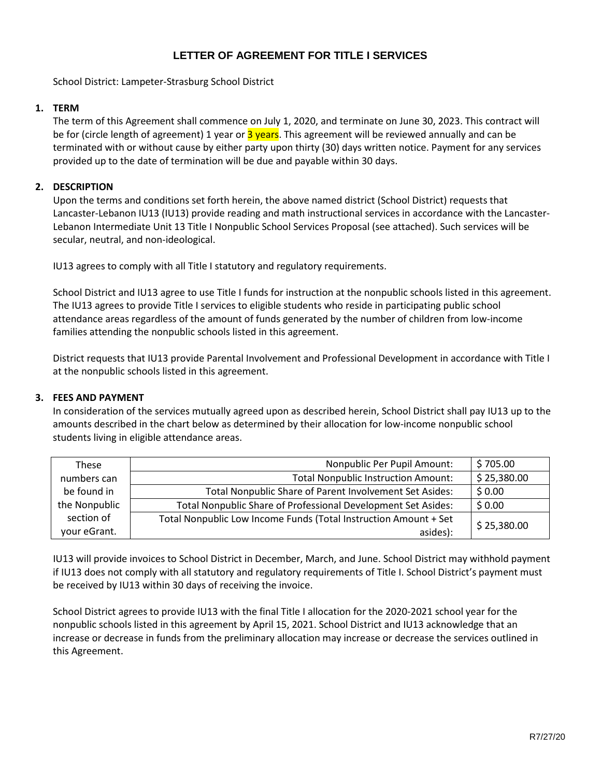# **LETTER OF AGREEMENT FOR TITLE I SERVICES**

School District: Lampeter-Strasburg School District

### **1. TERM**

The term of this Agreement shall commence on July 1, 2020, and terminate on June 30, 2023. This contract will be for (circle length of agreement) 1 year or 3 years. This agreement will be reviewed annually and can be terminated with or without cause by either party upon thirty (30) days written notice. Payment for any services provided up to the date of termination will be due and payable within 30 days.

### **2. DESCRIPTION**

Upon the terms and conditions set forth herein, the above named district (School District) requests that Lancaster-Lebanon IU13 (IU13) provide reading and math instructional services in accordance with the Lancaster-Lebanon Intermediate Unit 13 Title I Nonpublic School Services Proposal (see attached). Such services will be secular, neutral, and non-ideological.

IU13 agrees to comply with all Title I statutory and regulatory requirements.

School District and IU13 agree to use Title I funds for instruction at the nonpublic schools listed in this agreement. The IU13 agrees to provide Title I services to eligible students who reside in participating public school attendance areas regardless of the amount of funds generated by the number of children from low-income families attending the nonpublic schools listed in this agreement.

District requests that IU13 provide Parental Involvement and Professional Development in accordance with Title I at the nonpublic schools listed in this agreement.

### **3. FEES AND PAYMENT**

In consideration of the services mutually agreed upon as described herein, School District shall pay IU13 up to the amounts described in the chart below as determined by their allocation for low-income nonpublic school students living in eligible attendance areas.

| These         | Nonpublic Per Pupil Amount:                                      | \$705.00    |
|---------------|------------------------------------------------------------------|-------------|
| numbers can   | <b>Total Nonpublic Instruction Amount:</b>                       | \$25,380.00 |
| be found in   | Total Nonpublic Share of Parent Involvement Set Asides:          | \$0.00      |
| the Nonpublic | Total Nonpublic Share of Professional Development Set Asides:    | \$0.00      |
| section of    | Total Nonpublic Low Income Funds (Total Instruction Amount + Set | \$25,380.00 |
| your eGrant.  | asides):                                                         |             |

IU13 will provide invoices to School District in December, March, and June. School District may withhold payment if IU13 does not comply with all statutory and regulatory requirements of Title I. School District's payment must be received by IU13 within 30 days of receiving the invoice.

School District agrees to provide IU13 with the final Title I allocation for the 2020-2021 school year for the nonpublic schools listed in this agreement by April 15, 2021. School District and IU13 acknowledge that an increase or decrease in funds from the preliminary allocation may increase or decrease the services outlined in this Agreement.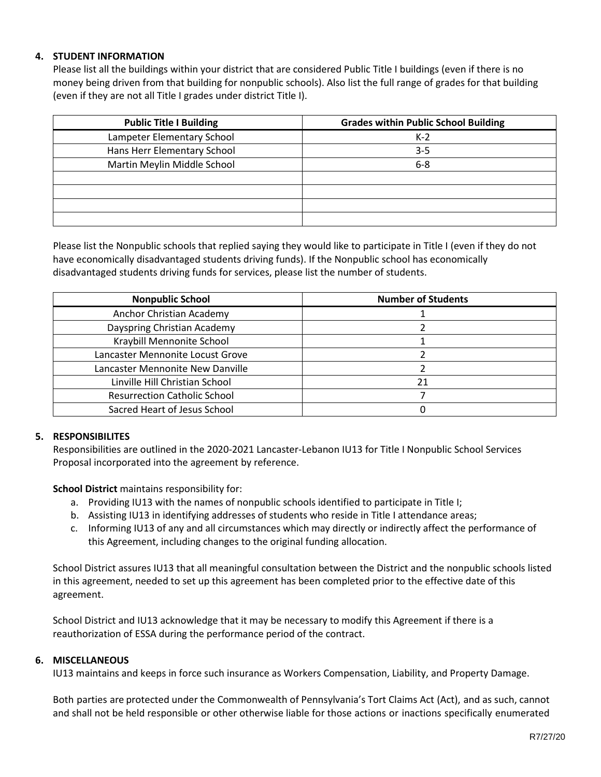## **4. STUDENT INFORMATION**

Please list all the buildings within your district that are considered Public Title I buildings (even if there is no money being driven from that building for nonpublic schools). Also list the full range of grades for that building (even if they are not all Title I grades under district Title I).

| <b>Public Title I Building</b> | <b>Grades within Public School Building</b> |
|--------------------------------|---------------------------------------------|
| Lampeter Elementary School     | $K-2$                                       |
| Hans Herr Elementary School    | $3 - 5$                                     |
| Martin Meylin Middle School    | $6 - 8$                                     |
|                                |                                             |
|                                |                                             |
|                                |                                             |
|                                |                                             |

Please list the Nonpublic schools that replied saying they would like to participate in Title I (even if they do not have economically disadvantaged students driving funds). If the Nonpublic school has economically disadvantaged students driving funds for services, please list the number of students.

| <b>Nonpublic School</b>             | <b>Number of Students</b> |
|-------------------------------------|---------------------------|
| Anchor Christian Academy            |                           |
| Dayspring Christian Academy         |                           |
| Kraybill Mennonite School           |                           |
| Lancaster Mennonite Locust Grove    |                           |
| Lancaster Mennonite New Danville    |                           |
| Linville Hill Christian School      | 21                        |
| <b>Resurrection Catholic School</b> |                           |
| Sacred Heart of Jesus School        |                           |

### **5. RESPONSIBILITES**

Responsibilities are outlined in the 2020-2021 Lancaster-Lebanon IU13 for Title I Nonpublic School Services Proposal incorporated into the agreement by reference.

**School District** maintains responsibility for:

- a. Providing IU13 with the names of nonpublic schools identified to participate in Title I;
- b. Assisting IU13 in identifying addresses of students who reside in Title I attendance areas;
- c. Informing IU13 of any and all circumstances which may directly or indirectly affect the performance of this Agreement, including changes to the original funding allocation.

School District assures IU13 that all meaningful consultation between the District and the nonpublic schools listed in this agreement, needed to set up this agreement has been completed prior to the effective date of this agreement.

School District and IU13 acknowledge that it may be necessary to modify this Agreement if there is a reauthorization of ESSA during the performance period of the contract.

### **6. MISCELLANEOUS**

IU13 maintains and keeps in force such insurance as Workers Compensation, Liability, and Property Damage.

Both parties are protected under the Commonwealth of Pennsylvania's Tort Claims Act (Act), and as such, cannot and shall not be held responsible or other otherwise liable for those actions or inactions specifically enumerated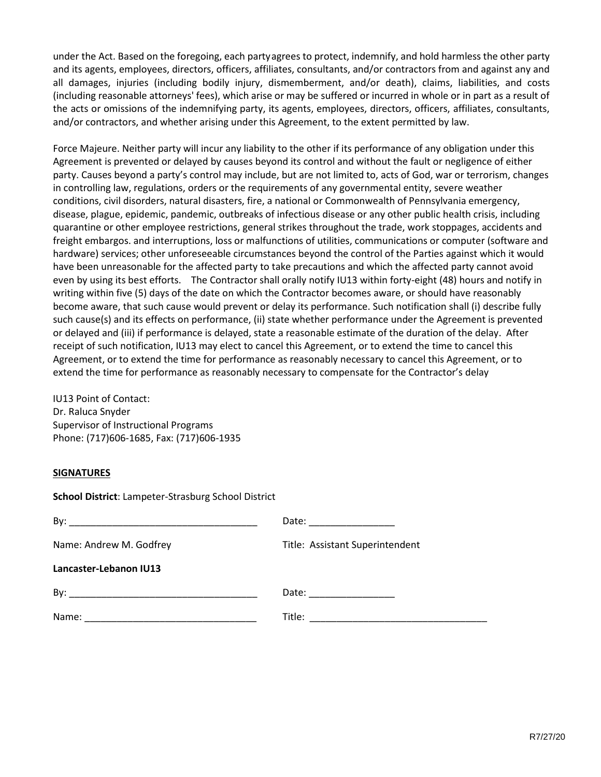under the Act. Based on the foregoing, each partyagrees to protect, indemnify, and hold harmless the other party and its agents, employees, directors, officers, affiliates, consultants, and/or contractors from and against any and all damages, injuries (including bodily injury, dismemberment, and/or death), claims, liabilities, and costs (including reasonable attorneys' fees), which arise or may be suffered or incurred in whole or in part as a result of the acts or omissions of the indemnifying party, its agents, employees, directors, officers, affiliates, consultants, and/or contractors, and whether arising under this Agreement, to the extent permitted by law.

Force Majeure. Neither party will incur any liability to the other if its performance of any obligation under this Agreement is prevented or delayed by causes beyond its control and without the fault or negligence of either party. Causes beyond a party's control may include, but are not limited to, acts of God, war or terrorism, changes in controlling law, regulations, orders or the requirements of any governmental entity, severe weather conditions, civil disorders, natural disasters, fire, a national or Commonwealth of Pennsylvania emergency, disease, plague, epidemic, pandemic, outbreaks of infectious disease or any other public health crisis, including quarantine or other employee restrictions, general strikes throughout the trade, work stoppages, accidents and freight embargos. and interruptions, loss or malfunctions of utilities, communications or computer (software and hardware) services; other unforeseeable circumstances beyond the control of the Parties against which it would have been unreasonable for the affected party to take precautions and which the affected party cannot avoid even by using its best efforts. The Contractor shall orally notify IU13 within forty-eight (48) hours and notify in writing within five (5) days of the date on which the Contractor becomes aware, or should have reasonably become aware, that such cause would prevent or delay its performance. Such notification shall (i) describe fully such cause(s) and its effects on performance, (ii) state whether performance under the Agreement is prevented or delayed and (iii) if performance is delayed, state a reasonable estimate of the duration of the delay. After receipt of such notification, IU13 may elect to cancel this Agreement, or to extend the time to cancel this Agreement, or to extend the time for performance as reasonably necessary to cancel this Agreement, or to extend the time for performance as reasonably necessary to compensate for the Contractor's delay

IU13 Point of Contact: Dr. Raluca Snyder Supervisor of Instructional Programs Phone: (717)606-1685, Fax: (717)606-1935

### **SIGNATURES**

| <b>School District: Lampeter-Strasburg School District</b> |                                 |  |  |
|------------------------------------------------------------|---------------------------------|--|--|
|                                                            | Date: _________________         |  |  |
| Name: Andrew M. Godfrey                                    | Title: Assistant Superintendent |  |  |
| Lancaster-Lebanon IU13                                     |                                 |  |  |
|                                                            | Date: _________________         |  |  |
|                                                            |                                 |  |  |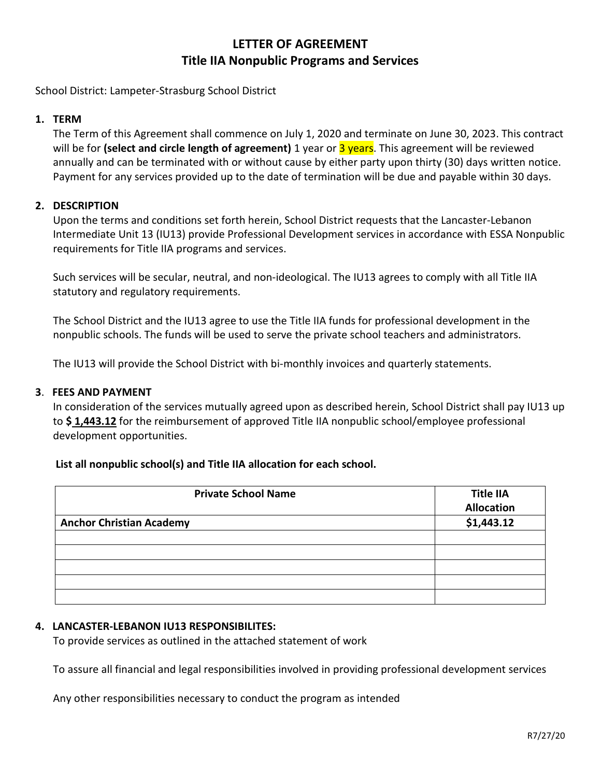# **LETTER OF AGREEMENT Title IIA Nonpublic Programs and Services**

School District: Lampeter-Strasburg School District

# **1. TERM**

The Term of this Agreement shall commence on July 1, 2020 and terminate on June 30, 2023. This contract will be for **(select and circle length of agreement)** 1 year or 3 years. This agreement will be reviewed annually and can be terminated with or without cause by either party upon thirty (30) days written notice. Payment for any services provided up to the date of termination will be due and payable within 30 days.

# **2. DESCRIPTION**

Upon the terms and conditions set forth herein, School District requests that the Lancaster-Lebanon Intermediate Unit 13 (IU13) provide Professional Development services in accordance with ESSA Nonpublic requirements for Title IIA programs and services.

Such services will be secular, neutral, and non-ideological. The IU13 agrees to comply with all Title IIA statutory and regulatory requirements.

The School District and the IU13 agree to use the Title IIA funds for professional development in the nonpublic schools. The funds will be used to serve the private school teachers and administrators.

The IU13 will provide the School District with bi-monthly invoices and quarterly statements.

## **3**. **FEES AND PAYMENT**

In consideration of the services mutually agreed upon as described herein, School District shall pay IU13 up to **\$ 1,443.12** for the reimbursement of approved Title IIA nonpublic school/employee professional development opportunities.

# **List all nonpublic school(s) and Title IIA allocation for each school.**

| <b>Private School Name</b>      | <b>Title IIA</b><br><b>Allocation</b> |
|---------------------------------|---------------------------------------|
| <b>Anchor Christian Academy</b> | \$1,443.12                            |
|                                 |                                       |
|                                 |                                       |
|                                 |                                       |
|                                 |                                       |
|                                 |                                       |

# **4. LANCASTER-LEBANON IU13 RESPONSIBILITES:**

To provide services as outlined in the attached statement of work

To assure all financial and legal responsibilities involved in providing professional development services

Any other responsibilities necessary to conduct the program as intended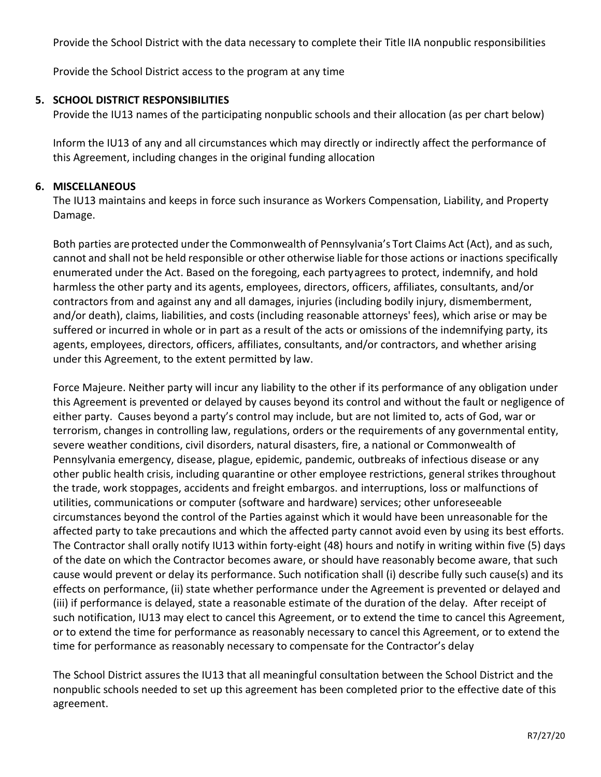Provide the School District with the data necessary to complete their Title IIA nonpublic responsibilities

Provide the School District access to the program at any time

# **5. SCHOOL DISTRICT RESPONSIBILITIES**

Provide the IU13 names of the participating nonpublic schools and their allocation (as per chart below)

Inform the IU13 of any and all circumstances which may directly or indirectly affect the performance of this Agreement, including changes in the original funding allocation

# **6. MISCELLANEOUS**

The IU13 maintains and keeps in force such insurance as Workers Compensation, Liability, and Property Damage.

Both parties are protected under the Commonwealth of Pennsylvania's Tort Claims Act (Act), and as such, cannot and shall not be held responsible or other otherwise liable forthose actions or inactions specifically enumerated under the Act. Based on the foregoing, each partyagrees to protect, indemnify, and hold harmless the other party and its agents, employees, directors, officers, affiliates, consultants, and/or contractors from and against any and all damages, injuries (including bodily injury, dismemberment, and/or death), claims, liabilities, and costs (including reasonable attorneys' fees), which arise or may be suffered or incurred in whole or in part as a result of the acts or omissions of the indemnifying party, its agents, employees, directors, officers, affiliates, consultants, and/or contractors, and whether arising under this Agreement, to the extent permitted by law.

Force Majeure. Neither party will incur any liability to the other if its performance of any obligation under this Agreement is prevented or delayed by causes beyond its control and without the fault or negligence of either party. Causes beyond a party's control may include, but are not limited to, acts of God, war or terrorism, changes in controlling law, regulations, orders or the requirements of any governmental entity, severe weather conditions, civil disorders, natural disasters, fire, a national or Commonwealth of Pennsylvania emergency, disease, plague, epidemic, pandemic, outbreaks of infectious disease or any other public health crisis, including quarantine or other employee restrictions, general strikes throughout the trade, work stoppages, accidents and freight embargos. and interruptions, loss or malfunctions of utilities, communications or computer (software and hardware) services; other unforeseeable circumstances beyond the control of the Parties against which it would have been unreasonable for the affected party to take precautions and which the affected party cannot avoid even by using its best efforts. The Contractor shall orally notify IU13 within forty-eight (48) hours and notify in writing within five (5) days of the date on which the Contractor becomes aware, or should have reasonably become aware, that such cause would prevent or delay its performance. Such notification shall (i) describe fully such cause(s) and its effects on performance, (ii) state whether performance under the Agreement is prevented or delayed and (iii) if performance is delayed, state a reasonable estimate of the duration of the delay. After receipt of such notification, IU13 may elect to cancel this Agreement, or to extend the time to cancel this Agreement, or to extend the time for performance as reasonably necessary to cancel this Agreement, or to extend the time for performance as reasonably necessary to compensate for the Contractor's delay

The School District assures the IU13 that all meaningful consultation between the School District and the nonpublic schools needed to set up this agreement has been completed prior to the effective date of this agreement.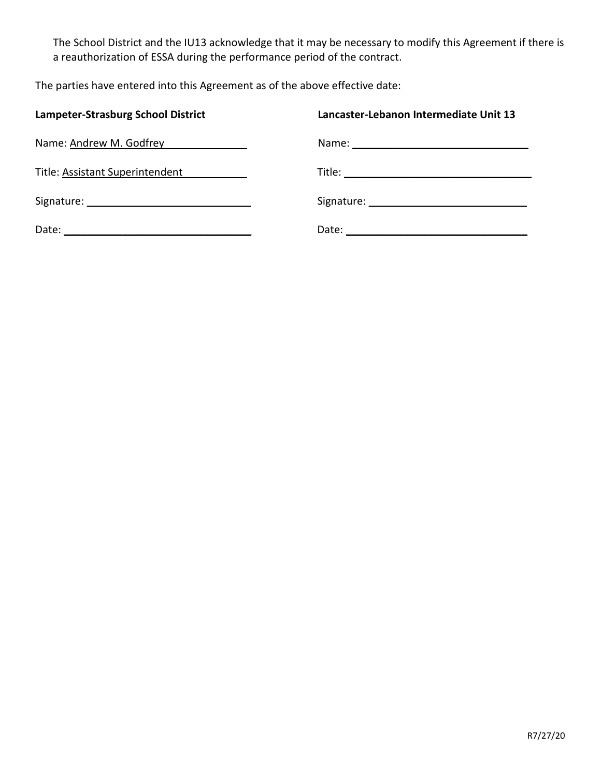The School District and the IU13 acknowledge that it may be necessary to modify this Agreement if there is a reauthorization of ESSA during the performance period of the contract.

The parties have entered into this Agreement as of the above effective date:

| <b>Lampeter-Strasburg School District</b> | Lancaster-Lebanon Intermediate Unit 13 |
|-------------------------------------------|----------------------------------------|
| Name: Andrew M. Godfrey                   |                                        |
| Title: Assistant Superintendent           |                                        |
|                                           |                                        |
|                                           |                                        |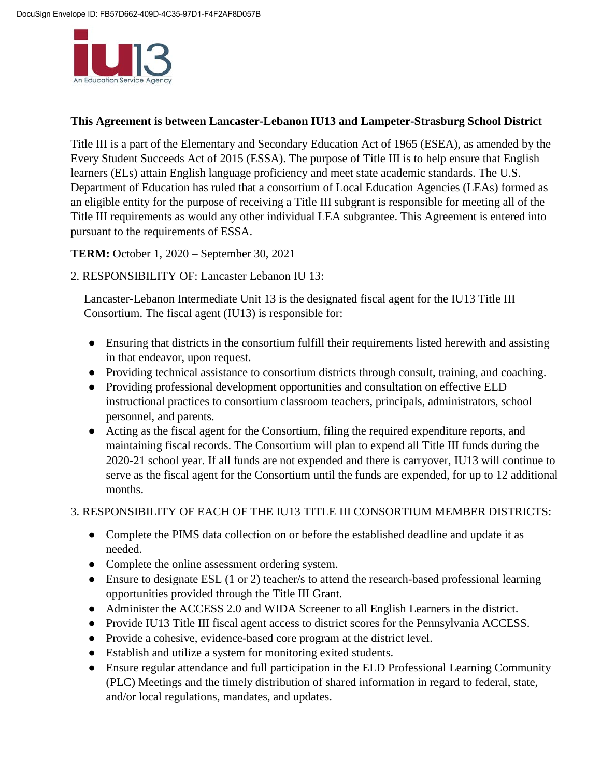

# **This Agreement is between Lancaster-Lebanon IU13 and Lampeter-Strasburg School District**

Title III is a part of the Elementary and Secondary Education Act of 1965 (ESEA), as amended by the Every Student Succeeds Act of 2015 (ESSA). The purpose of Title III is to help ensure that English learners (ELs) attain English language proficiency and meet state academic standards. The U.S. Department of Education has ruled that a consortium of Local Education Agencies (LEAs) formed as an eligible entity for the purpose of receiving a Title III subgrant is responsible for meeting all of the Title III requirements as would any other individual LEA subgrantee. This Agreement is entered into pursuant to the requirements of ESSA.

**TERM:** October 1, 2020 – September 30, 2021

2. RESPONSIBILITY OF: Lancaster Lebanon IU 13:

Lancaster-Lebanon Intermediate Unit 13 is the designated fiscal agent for the IU13 Title III Consortium. The fiscal agent (IU13) is responsible for:

- Ensuring that districts in the consortium fulfill their requirements listed herewith and assisting in that endeavor, upon request.
- Providing technical assistance to consortium districts through consult, training, and coaching.
- Providing professional development opportunities and consultation on effective ELD instructional practices to consortium classroom teachers, principals, administrators, school personnel, and parents.
- Acting as the fiscal agent for the Consortium, filing the required expenditure reports, and maintaining fiscal records. The Consortium will plan to expend all Title III funds during the 2020-21 school year. If all funds are not expended and there is carryover, IU13 will continue to serve as the fiscal agent for the Consortium until the funds are expended, for up to 12 additional months.

# 3. RESPONSIBILITY OF EACH OF THE IU13 TITLE III CONSORTIUM MEMBER DISTRICTS:

- Complete the PIMS data collection on or before the established deadline and update it as needed.
- Complete the online assessment ordering system.
- Ensure to designate ESL (1 or 2) teacher/s to attend the research-based professional learning opportunities provided through the Title III Grant.
- Administer the ACCESS 2.0 and WIDA Screener to all English Learners in the district.
- Provide IU13 Title III fiscal agent access to district scores for the Pennsylvania ACCESS.
- Provide a cohesive, evidence-based core program at the district level.
- Establish and utilize a system for monitoring exited students.
- Ensure regular attendance and full participation in the ELD Professional Learning Community (PLC) Meetings and the timely distribution of shared information in regard to federal, state, and/or local regulations, mandates, and updates.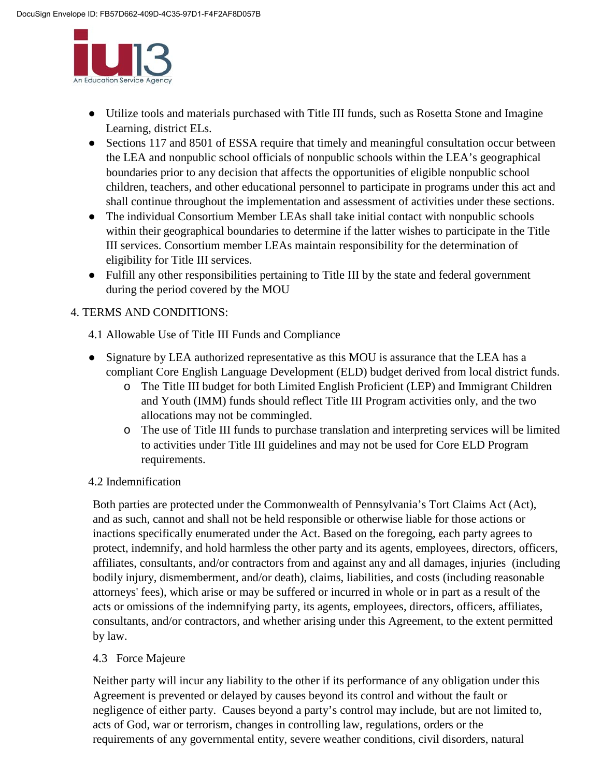

- Utilize tools and materials purchased with Title III funds, such as Rosetta Stone and Imagine Learning, district ELs.
- Sections 117 and 8501 of ESSA require that timely and meaningful consultation occur between the LEA and nonpublic school officials of nonpublic schools within the LEA's geographical boundaries prior to any decision that affects the opportunities of eligible nonpublic school children, teachers, and other educational personnel to participate in programs under this act and shall continue throughout the implementation and assessment of activities under these sections.
- The individual Consortium Member LEAs shall take initial contact with nonpublic schools within their geographical boundaries to determine if the latter wishes to participate in the Title III services. Consortium member LEAs maintain responsibility for the determination of eligibility for Title III services.
- Fulfill any other responsibilities pertaining to Title III by the state and federal government during the period covered by the MOU

# 4. TERMS AND CONDITIONS:

- 4.1 Allowable Use of Title III Funds and Compliance
- Signature by LEA authorized representative as this MOU is assurance that the LEA has a compliant Core English Language Development (ELD) budget derived from local district funds.
	- o The Title III budget for both Limited English Proficient (LEP) and Immigrant Children and Youth (IMM) funds should reflect Title III Program activities only, and the two allocations may not be commingled.
	- o The use of Title III funds to purchase translation and interpreting services will be limited to activities under Title III guidelines and may not be used for Core ELD Program requirements.

# 4.2 Indemnification

Both parties are protected under the Commonwealth of Pennsylvania's Tort Claims Act (Act), and as such, cannot and shall not be held responsible or otherwise liable for those actions or inactions specifically enumerated under the Act. Based on the foregoing, each party agrees to protect, indemnify, and hold harmless the other party and its agents, employees, directors, officers, affiliates, consultants, and/or contractors from and against any and all damages, injuries (including bodily injury, dismemberment, and/or death), claims, liabilities, and costs (including reasonable attorneys' fees), which arise or may be suffered or incurred in whole or in part as a result of the acts or omissions of the indemnifying party, its agents, employees, directors, officers, affiliates, consultants, and/or contractors, and whether arising under this Agreement, to the extent permitted by law.

# 4.3 Force Majeure

Neither party will incur any liability to the other if its performance of any obligation under this Agreement is prevented or delayed by causes beyond its control and without the fault or negligence of either party. Causes beyond a party's control may include, but are not limited to, acts of God, war or terrorism, changes in controlling law, regulations, orders or the requirements of any governmental entity, severe weather conditions, civil disorders, natural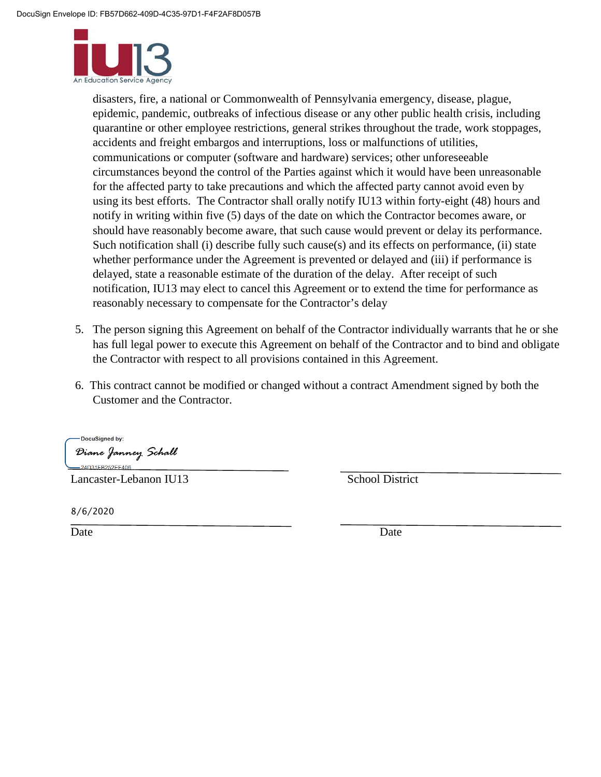

disasters, fire, a national or Commonwealth of Pennsylvania emergency, disease, plague, epidemic, pandemic, outbreaks of infectious disease or any other public health crisis, including quarantine or other employee restrictions, general strikes throughout the trade, work stoppages, accidents and freight embargos and interruptions, loss or malfunctions of utilities, communications or computer (software and hardware) services; other unforeseeable circumstances beyond the control of the Parties against which it would have been unreasonable for the affected party to take precautions and which the affected party cannot avoid even by using its best efforts. The Contractor shall orally notify IU13 within forty-eight (48) hours and notify in writing within five (5) days of the date on which the Contractor becomes aware, or should have reasonably become aware, that such cause would prevent or delay its performance. Such notification shall (i) describe fully such cause(s) and its effects on performance, (ii) state whether performance under the Agreement is prevented or delayed and (iii) if performance is delayed, state a reasonable estimate of the duration of the delay. After receipt of such notification, IU13 may elect to cancel this Agreement or to extend the time for performance as reasonably necessary to compensate for the Contractor's delay

- 5. The person signing this Agreement on behalf of the Contractor individually warrants that he or she has full legal power to execute this Agreement on behalf of the Contractor and to bind and obligate the Contractor with respect to all provisions contained in this Agreement.
- 6. This contract cannot be modified or changed without a contract Amendment signed by both the Customer and the Contractor.

DocuSigned by: Diane Janney Schall -24D31FB252EF406.

Lancaster-Lebanon IU13 School District

8/6/2020

Date Date Date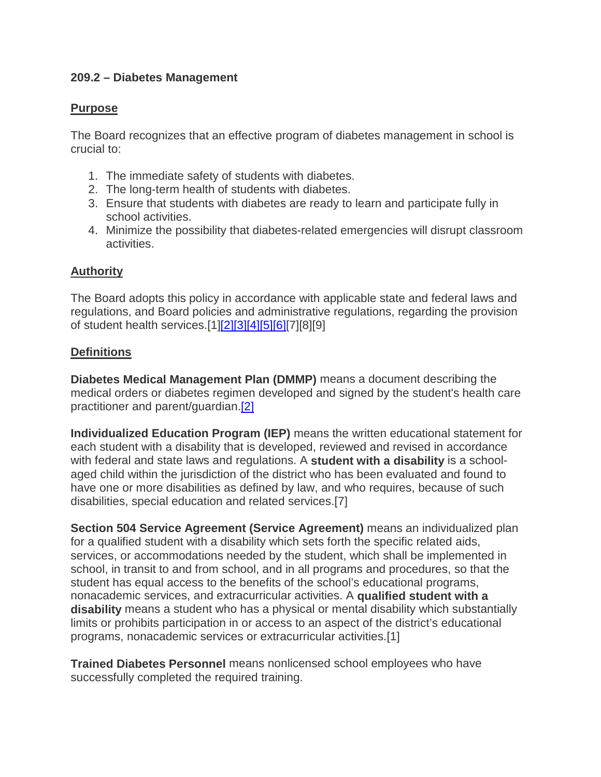# **209.2 – Diabetes Management**

# **Purpose**

The Board recognizes that an effective program of diabetes management in school is crucial to:

- 1. The immediate safety of students with diabetes.
- 2. The long-term health of students with diabetes.
- 3. Ensure that students with diabetes are ready to learn and participate fully in school activities.
- 4. Minimize the possibility that diabetes-related emergencies will disrupt classroom activities.

# **Authority**

The Board adopts this policy in accordance with applicable state and federal laws and regulations, and Board policies and administrative regulations, regarding the provision of student health services.[1[\]\[2\]\[3\]](http://www.legis.state.pa.us/cfdocs/legis/LI/uconsCheck.cfm?txtType=HTM&yr=1949&sessInd=0&smthLwInd=0&act=14&chpt=14&sctn=1&subsctn=0)[\[4\]\[5\]](http://www.legis.state.pa.us/cfdocs/legis/LI/uconsCheck.cfm?txtType=HTM&yr=1949&sessInd=0&smthLwInd=0&act=14&chpt=14&sctn=14&subsctn=3)[\[6\]\[](http://www.legis.state.pa.us/cfdocs/legis/LI/uconsCheck.cfm?txtType=HTM&yr=1949&sessInd=0&smthLwInd=0&act=14&chpt=14&sctn=14&subsctn=7)7][8][9]

# **Definitions**

**Diabetes Medical Management Plan (DMMP)** means a document describing the medical orders or diabetes regimen developed and signed by the student's health care practitioner and parent/guardian[.\[2\]](http://www.legis.state.pa.us/cfdocs/legis/LI/uconsCheck.cfm?txtType=HTM&yr=1949&sessInd=0&smthLwInd=0&act=14&chpt=14&sctn=1&subsctn=0)

**Individualized Education Program (IEP)** means the written educational statement for each student with a disability that is developed, reviewed and revised in accordance with federal and state laws and regulations. A **student with a disability** is a schoolaged child within the jurisdiction of the district who has been evaluated and found to have one or more disabilities as defined by law, and who requires, because of such disabilities, special education and related services.[7]

**Section 504 Service Agreement (Service Agreement)** means an individualized plan for a qualified student with a disability which sets forth the specific related aids, services, or accommodations needed by the student, which shall be implemented in school, in transit to and from school, and in all programs and procedures, so that the student has equal access to the benefits of the school's educational programs, nonacademic services, and extracurricular activities. A **qualified student with a disability** means a student who has a physical or mental disability which substantially limits or prohibits participation in or access to an aspect of the district's educational programs, nonacademic services or extracurricular activities.[1]

**Trained Diabetes Personnel** means nonlicensed school employees who have successfully completed the required training.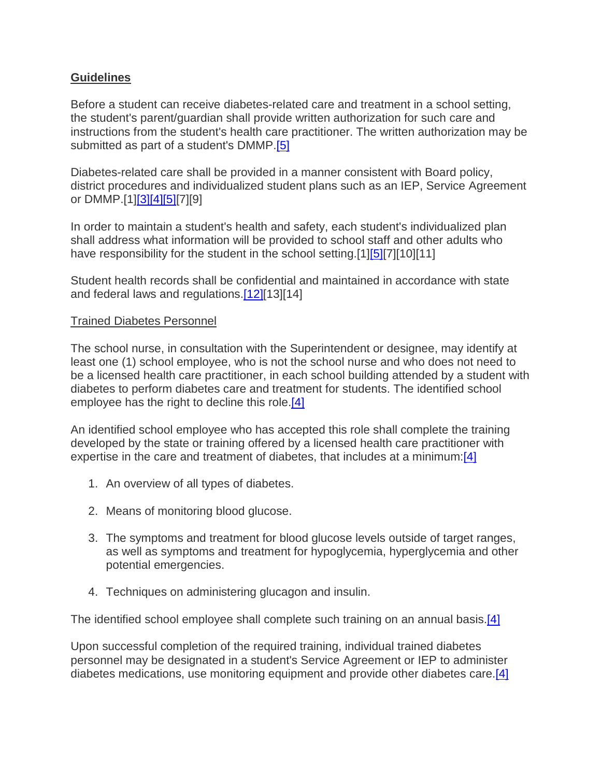# **Guidelines**

Before a student can receive diabetes-related care and treatment in a school setting, the student's parent/guardian shall provide written authorization for such care and instructions from the student's health care practitioner. The written authorization may be submitted as part of a student's DMMP[.\[5\]](http://www.legis.state.pa.us/cfdocs/legis/LI/uconsCheck.cfm?txtType=HTM&yr=1949&sessInd=0&smthLwInd=0&act=14&chpt=14&sctn=14&subsctn=4)

Diabetes-related care shall be provided in a manner consistent with Board policy, district procedures and individualized student plans such as an IEP, Service Agreement or DMMP.[1[\]\[3\]\[4\]](http://www.legis.state.pa.us/cfdocs/legis/LI/uconsCheck.cfm?txtType=HTM&yr=1949&sessInd=0&smthLwInd=0&act=14&chpt=14&sctn=14&subsctn=5)[\[5\]\[](http://www.legis.state.pa.us/cfdocs/legis/LI/uconsCheck.cfm?txtType=HTM&yr=1949&sessInd=0&smthLwInd=0&act=14&chpt=14&sctn=14&subsctn=4)7][9]

In order to maintain a student's health and safety, each student's individualized plan shall address what information will be provided to school staff and other adults who have responsibility for the student in the school setting.[1[\]\[5\]\[](http://www.legis.state.pa.us/cfdocs/legis/LI/uconsCheck.cfm?txtType=HTM&yr=1949&sessInd=0&smthLwInd=0&act=14&chpt=14&sctn=14&subsctn=4)7][10][11]

Student health records shall be confidential and maintained in accordance with state and federal laws and regulations[.\[12\]\[](http://www.legis.state.pa.us/cfdocs/legis/LI/uconsCheck.cfm?txtType=HTM&yr=1949&sessInd=0&smthLwInd=0&act=14&chpt=14&sctn=9&subsctn=0)13][14]

# Trained Diabetes Personnel

The school nurse, in consultation with the Superintendent or designee, may identify at least one (1) school employee, who is not the school nurse and who does not need to be a licensed health care practitioner, in each school building attended by a student with diabetes to perform diabetes care and treatment for students. The identified school employee has the right to decline this role[.\[4\]](http://www.legis.state.pa.us/cfdocs/legis/LI/uconsCheck.cfm?txtType=HTM&yr=1949&sessInd=0&smthLwInd=0&act=14&chpt=14&sctn=14&subsctn=3)

An identified school employee who has accepted this role shall complete the training developed by the state or training offered by a licensed health care practitioner with expertise in the care and treatment of diabetes, that includes at a minimum: $[4]$ 

- 1. An overview of all types of diabetes.
- 2. Means of monitoring blood glucose.
- 3. The symptoms and treatment for blood glucose levels outside of target ranges, as well as symptoms and treatment for hypoglycemia, hyperglycemia and other potential emergencies.
- 4. Techniques on administering glucagon and insulin.

The identified school employee shall complete such training on an annual basis.<sup>[4]</sup>

Upon successful completion of the required training, individual trained diabetes personnel may be designated in a student's Service Agreement or IEP to administer diabetes medications, use monitoring equipment and provide other diabetes care[.\[4\]](http://www.legis.state.pa.us/cfdocs/legis/LI/uconsCheck.cfm?txtType=HTM&yr=1949&sessInd=0&smthLwInd=0&act=14&chpt=14&sctn=14&subsctn=3)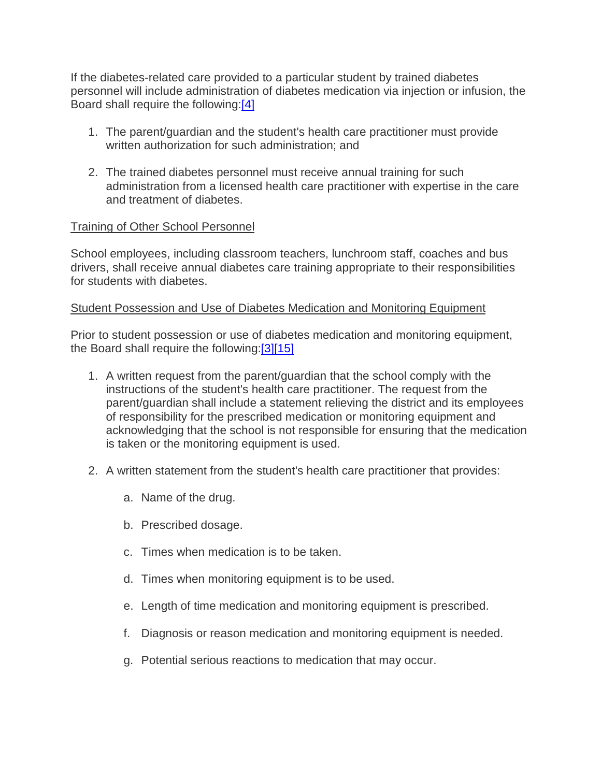If the diabetes-related care provided to a particular student by trained diabetes personnel will include administration of diabetes medication via injection or infusion, the Board shall require the following[:\[4\]](http://www.legis.state.pa.us/cfdocs/legis/LI/uconsCheck.cfm?txtType=HTM&yr=1949&sessInd=0&smthLwInd=0&act=14&chpt=14&sctn=14&subsctn=3)

- 1. The parent/guardian and the student's health care practitioner must provide written authorization for such administration; and
- 2. The trained diabetes personnel must receive annual training for such administration from a licensed health care practitioner with expertise in the care and treatment of diabetes.

# Training of Other School Personnel

School employees, including classroom teachers, lunchroom staff, coaches and bus drivers, shall receive annual diabetes care training appropriate to their responsibilities for students with diabetes.

# Student Possession and Use of Diabetes Medication and Monitoring Equipment

Prior to student possession or use of diabetes medication and monitoring equipment, the Board shall require the following[:\[3\]\[15\]](http://www.legis.state.pa.us/cfdocs/legis/LI/uconsCheck.cfm?txtType=HTM&yr=1949&sessInd=0&smthLwInd=0&act=14&chpt=14&sctn=14&subsctn=5)

- 1. A written request from the parent/guardian that the school comply with the instructions of the student's health care practitioner. The request from the parent/guardian shall include a statement relieving the district and its employees of responsibility for the prescribed medication or monitoring equipment and acknowledging that the school is not responsible for ensuring that the medication is taken or the monitoring equipment is used.
- 2. A written statement from the student's health care practitioner that provides:
	- a. Name of the drug.
	- b. Prescribed dosage.
	- c. Times when medication is to be taken.
	- d. Times when monitoring equipment is to be used.
	- e. Length of time medication and monitoring equipment is prescribed.
	- f. Diagnosis or reason medication and monitoring equipment is needed.
	- g. Potential serious reactions to medication that may occur.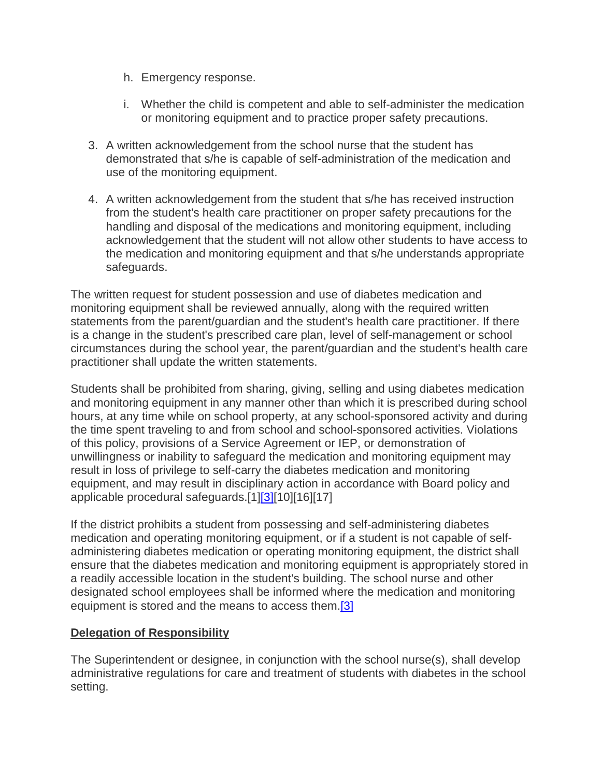- h. Emergency response.
- i. Whether the child is competent and able to self-administer the medication or monitoring equipment and to practice proper safety precautions.
- 3. A written acknowledgement from the school nurse that the student has demonstrated that s/he is capable of self-administration of the medication and use of the monitoring equipment.
- 4. A written acknowledgement from the student that s/he has received instruction from the student's health care practitioner on proper safety precautions for the handling and disposal of the medications and monitoring equipment, including acknowledgement that the student will not allow other students to have access to the medication and monitoring equipment and that s/he understands appropriate safeguards.

The written request for student possession and use of diabetes medication and monitoring equipment shall be reviewed annually, along with the required written statements from the parent/guardian and the student's health care practitioner. If there is a change in the student's prescribed care plan, level of self-management or school circumstances during the school year, the parent/guardian and the student's health care practitioner shall update the written statements.

Students shall be prohibited from sharing, giving, selling and using diabetes medication and monitoring equipment in any manner other than which it is prescribed during school hours, at any time while on school property, at any school-sponsored activity and during the time spent traveling to and from school and school-sponsored activities. Violations of this policy, provisions of a Service Agreement or IEP, or demonstration of unwillingness or inability to safeguard the medication and monitoring equipment may result in loss of privilege to self-carry the diabetes medication and monitoring equipment, and may result in disciplinary action in accordance with Board policy and applicable procedural safeguards.[1[\]\[3\]\[](http://www.legis.state.pa.us/cfdocs/legis/LI/uconsCheck.cfm?txtType=HTM&yr=1949&sessInd=0&smthLwInd=0&act=14&chpt=14&sctn=14&subsctn=5)10][16][17]

If the district prohibits a student from possessing and self-administering diabetes medication and operating monitoring equipment, or if a student is not capable of selfadministering diabetes medication or operating monitoring equipment, the district shall ensure that the diabetes medication and monitoring equipment is appropriately stored in a readily accessible location in the student's building. The school nurse and other designated school employees shall be informed where the medication and monitoring equipment is stored and the means to access them[.\[3\]](http://www.legis.state.pa.us/cfdocs/legis/LI/uconsCheck.cfm?txtType=HTM&yr=1949&sessInd=0&smthLwInd=0&act=14&chpt=14&sctn=14&subsctn=5)

# **Delegation of Responsibility**

The Superintendent or designee, in conjunction with the school nurse(s), shall develop administrative regulations for care and treatment of students with diabetes in the school setting.